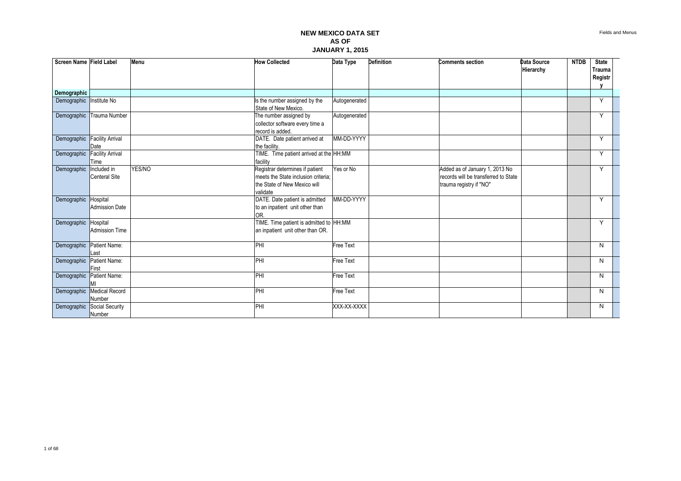| Screen Name Field Label  |                                      | Menu   | <b>How Collected</b>                                                                                               | Data Type        | <b>Definition</b> | <b>Comments section</b>                                                                           | Data Source<br>Hierarchy | <b>NTDB</b> | <b>State</b><br>Trauma<br>Registr |  |
|--------------------------|--------------------------------------|--------|--------------------------------------------------------------------------------------------------------------------|------------------|-------------------|---------------------------------------------------------------------------------------------------|--------------------------|-------------|-----------------------------------|--|
| Demographic              |                                      |        |                                                                                                                    |                  |                   |                                                                                                   |                          |             |                                   |  |
| Demographic Institute No |                                      |        | Is the number assigned by the<br>State of New Mexico.                                                              | Autogenerated    |                   |                                                                                                   |                          |             | Y                                 |  |
|                          | Demographic Trauma Number            |        | The number assigned by<br>collector software every time a<br>record is added.                                      | Autogenerated    |                   |                                                                                                   |                          |             | Y                                 |  |
| Demographic              | <b>Facility Arrival</b><br>Date      |        | DATE. Date patient arrived at<br>the facility.                                                                     | MM-DD-YYYY       |                   |                                                                                                   |                          |             | Y                                 |  |
| Demographic              | <b>Facility Arrival</b><br>Time      |        | TIME. Time patient arrived at the HH:MM<br>facility                                                                |                  |                   |                                                                                                   |                          |             | Y                                 |  |
| Demographic              | Included in<br><b>Centeral Site</b>  | YES/NO | Registrar determines if patient<br>meets the State inclusion criteria:<br>the State of New Mexico will<br>validate | Yes or No        |                   | Added as of January 1, 2013 No<br>records will be transferred to State<br>trauma registry if "NO" |                          |             | Y                                 |  |
| Demographic Hospital     | <b>Admission Date</b>                |        | DATE. Date patient is admitted<br>to an inpatient unit other than<br>OR.                                           | MM-DD-YYYY       |                   |                                                                                                   |                          |             | Y                                 |  |
| Demographic Hospital     | <b>Admission Time</b>                |        | TIME. Time patient is admitted to HH:MM<br>an inpatient unit other than OR.                                        |                  |                   |                                                                                                   |                          |             | Y                                 |  |
| Demographic              | Patient Name:<br>Last                |        | PHI                                                                                                                | <b>Free Text</b> |                   |                                                                                                   |                          |             | N                                 |  |
| Demographic              | Patient Name:<br>First               |        | PHI                                                                                                                | <b>Free Text</b> |                   |                                                                                                   |                          |             | N                                 |  |
| Demographic              | Patient Name:                        |        | PHI                                                                                                                | <b>Free Text</b> |                   |                                                                                                   |                          |             | N                                 |  |
|                          | Demographic Medical Record<br>Number |        | PHI                                                                                                                | <b>Free Text</b> |                   |                                                                                                   |                          |             | N                                 |  |
| Demographic              | Social Security<br>Number            |        | PHI                                                                                                                | XXX-XX-XXXX      |                   |                                                                                                   |                          |             | N                                 |  |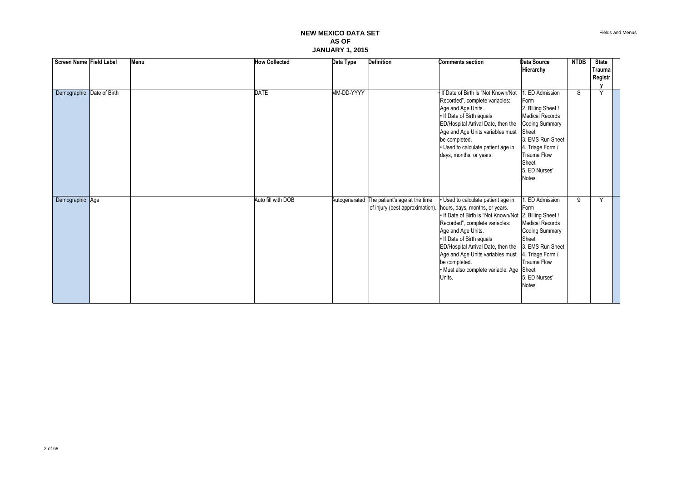| Screen Name Field Label   | Menu | <b>How Collected</b> | Data Type     | <b>Definition</b>             | <b>Comments section</b>                                                                                                                                                                                                                                                                                                                                                                               | Data Source<br>Hierarchy                                                                                                                                                                                | <b>NTDB</b> | <b>State</b><br><b>Trauma</b><br>Registr |  |
|---------------------------|------|----------------------|---------------|-------------------------------|-------------------------------------------------------------------------------------------------------------------------------------------------------------------------------------------------------------------------------------------------------------------------------------------------------------------------------------------------------------------------------------------------------|---------------------------------------------------------------------------------------------------------------------------------------------------------------------------------------------------------|-------------|------------------------------------------|--|
| Demographic Date of Birth |      | <b>DATE</b>          | MM-DD-YYYY    |                               | If Date of Birth is "Not Known/Not<br>Recorded", complete variables:<br>Age and Age Units.<br>. If Date of Birth equals<br>ED/Hospital Arrival Date, then the<br>Age and Age Units variables must<br>be completed.<br>· Used to calculate patient age in<br>days, months, or years.                                                                                                                   | ED Admission<br>Form<br>2. Billing Sheet /<br>Medical Records<br><b>Coding Summary</b><br>Sheet<br>3. EMS Run Sheet<br>4. Triage Form /<br><b>Trauma Flow</b><br>Sheet<br>5. ED Nurses'<br><b>Notes</b> | 8           | Y                                        |  |
| Demographic Age           |      | Auto fill with DOB   | Autogenerated | The patient's age at the time | Used to calculate patient age in<br>of injury (best approximation). hours, days, months, or years.<br>. If Date of Birth is "Not Known/Not   2. Billing Sheet /<br>Recorded", complete variables:<br>Age and Age Units.<br>. If Date of Birth equals<br>ED/Hospital Arrival Date, then the<br>Age and Age Units variables must<br>be completed.<br>· Must also complete variable: Age Sheet<br>Units. | <b>ED Admission</b><br>Form<br><b>Medical Records</b><br><b>Coding Summary</b><br>Sheet<br>3. EMS Run Sheet<br>4. Triage Form /<br><b>Trauma Flow</b><br>5. ED Nurses'<br><b>Notes</b>                  | 9           | Y                                        |  |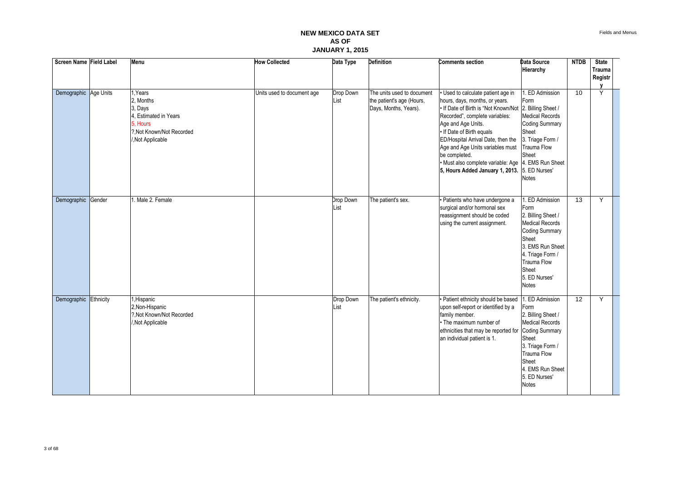| Screen Name Field Label | Menu                                                                                                                 | <b>How Collected</b>       | Data Type         | <b>Definition</b>                                                                | <b>Comments section</b>                                                                                                                                                                                                                                                                                                                                                                                                   | <b>Data Source</b><br>Hierarchy                                                                                                                                                                                       | <b>NTDB</b>     | <b>State</b><br><b>Trauma</b><br>Registr |  |
|-------------------------|----------------------------------------------------------------------------------------------------------------------|----------------------------|-------------------|----------------------------------------------------------------------------------|---------------------------------------------------------------------------------------------------------------------------------------------------------------------------------------------------------------------------------------------------------------------------------------------------------------------------------------------------------------------------------------------------------------------------|-----------------------------------------------------------------------------------------------------------------------------------------------------------------------------------------------------------------------|-----------------|------------------------------------------|--|
| Demographic Age Units   | I, Years<br>2, Months<br>3, Days<br>Estimated in Years<br>5. Hours<br>?. Not Known/Not Recorded<br>/, Not Applicable | Units used to document age | Drop Down<br>List | The units used to document<br>the patient's age (Hours,<br>Days, Months, Years). | · Used to calculate patient age in<br>hours, days, months, or years.<br>. If Date of Birth is "Not Known/Not 2. Billing Sheet /<br>Recorded", complete variables:<br>Age and Age Units.<br>. If Date of Birth equals<br>ED/Hospital Arrival Date, then the<br>Age and Age Units variables must<br>be completed.<br>· Must also complete variable: Age   4. EMS Run Sheet<br>5, Hours Added January 1, 2013. 5. ED Nurses' | . ED Admission<br>Form<br><b>Medical Records</b><br><b>Coding Summary</b><br>Sheet<br>3. Triage Form /<br><b>Trauma Flow</b><br>Sheet<br><b>Notes</b>                                                                 | $\overline{10}$ | Y                                        |  |
| Demographic Gender      | . Male 2. Female                                                                                                     |                            | Drop Down<br>List | The patient's sex.                                                               | · Patients who have undergone a<br>surgical and/or hormonal sex<br>reassignment should be coded<br>using the current assignment.                                                                                                                                                                                                                                                                                          | <b>ED Admission</b><br>Form<br>2. Billing Sheet /<br><b>Medical Records</b><br><b>Coding Summary</b><br>Sheet<br>3. EMS Run Sheet<br>4. Triage Form /<br><b>Trauma Flow</b><br>Sheet<br>5. ED Nurses'<br><b>Notes</b> | 13              | Y                                        |  |
| Demographic Ethnicity   | Hispanic<br>2, Non-Hispanic<br>?. Not Known/Not Recorded<br>Not Applicable                                           |                            | Drop Down<br>List | The patient's ethnicity.                                                         | · Patient ethnicity should be based<br>upon self-report or identified by a<br>family member.<br>• The maximum number of<br>ethnicities that may be reported for<br>an individual patient is 1.                                                                                                                                                                                                                            | 1. ED Admission<br>Form<br>2. Billing Sheet /<br><b>Medical Records</b><br><b>Coding Summary</b><br>Sheet<br>3. Triage Form /<br>Trauma Flow<br>Sheet<br>4. EMS Run Sheet<br>5. ED Nurses'<br><b>Notes</b>            | 12              | Y                                        |  |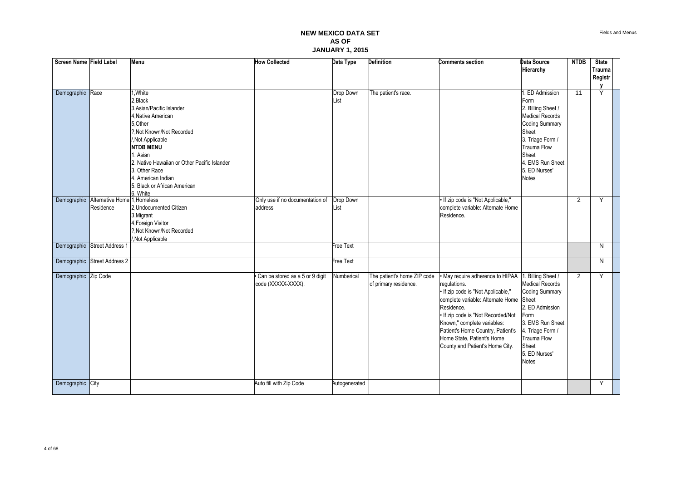| Screen Name Field Label |                               | Menu                                                                                                                                                                                                                                                                                                | <b>How Collected</b>                                  | Data Type         | <b>Definition</b>                                    | <b>Comments section</b>                                                                                                                                                                                                                                                                                                  | Data Source<br>Hierarchy                                                                                                                                                                                   | <b>NTDB</b>     | <b>State</b><br><b>Trauma</b><br>Registr |  |
|-------------------------|-------------------------------|-----------------------------------------------------------------------------------------------------------------------------------------------------------------------------------------------------------------------------------------------------------------------------------------------------|-------------------------------------------------------|-------------------|------------------------------------------------------|--------------------------------------------------------------------------------------------------------------------------------------------------------------------------------------------------------------------------------------------------------------------------------------------------------------------------|------------------------------------------------------------------------------------------------------------------------------------------------------------------------------------------------------------|-----------------|------------------------------------------|--|
| Demographic             | Race                          | .White<br>2, Black<br>3. Asian/Pacific Islander<br>4, Native American<br>5, Other<br>?. Not Known/Not Recorded<br>Not Applicable<br><b>NTDB MENU</b><br>1. Asian<br>2. Native Hawaiian or Other Pacific Islander<br>3. Other Race<br>4. American Indian<br>5. Black or African American<br>6. White |                                                       | Drop Down<br>List | The patient's race.                                  |                                                                                                                                                                                                                                                                                                                          | 1. ED Admission<br>Form<br>2. Billing Sheet /<br><b>Medical Records</b><br><b>Coding Summary</b><br>Sheet<br>3. Triage Form /<br>Trauma Flow<br>Sheet<br>4. EMS Run Sheet<br>5. ED Nurses'<br><b>Notes</b> | $\overline{11}$ | Y                                        |  |
| Demographic             | Alternative Home<br>Residence | 1.Homeless<br>2, Undocumented Citizen<br>3, Migrant<br>4, Foreign Visitor<br>?, Not Known/Not Recorded<br>Not Applicable                                                                                                                                                                            | Only use if no documentation of<br>address            | Drop Down<br>List |                                                      | • If zip code is "Not Applicable,"<br>complete variable: Alternate Home<br>Residence.                                                                                                                                                                                                                                    |                                                                                                                                                                                                            | $\overline{2}$  | Y                                        |  |
|                         | Demographic Street Address 1  |                                                                                                                                                                                                                                                                                                     |                                                       | Free Text         |                                                      |                                                                                                                                                                                                                                                                                                                          |                                                                                                                                                                                                            |                 | N                                        |  |
|                         | Demographic Street Address 2  |                                                                                                                                                                                                                                                                                                     |                                                       | Free Text         |                                                      |                                                                                                                                                                                                                                                                                                                          |                                                                                                                                                                                                            |                 | N                                        |  |
| Demographic Zip Code    |                               |                                                                                                                                                                                                                                                                                                     | Can be stored as a 5 or 9 digit<br>code (XXXXX-XXXX). | Numberical        | The patient's home ZIP code<br>of primary residence. | May require adherence to HIPAA<br>requlations.<br>• If zip code is "Not Applicable,"<br>complete variable: Alternate Home Sheet<br>Residence.<br>• If zip code is "Not Recorded/Not<br>Known," complete variables:<br>Patient's Home Country, Patient's<br>Home State, Patient's Home<br>County and Patient's Home City. | . Billing Sheet /<br><b>Medical Records</b><br><b>Coding Summary</b><br>2. ED Admission<br>Form<br>3. EMS Run Sheet<br>4. Triage Form /<br>Trauma Flow<br>Sheet<br>5. ED Nurses'<br><b>Notes</b>           | $\overline{2}$  | Y                                        |  |
| Demographic City        |                               |                                                                                                                                                                                                                                                                                                     | Auto fill with Zip Code                               | Autogenerated     |                                                      |                                                                                                                                                                                                                                                                                                                          |                                                                                                                                                                                                            |                 | Y                                        |  |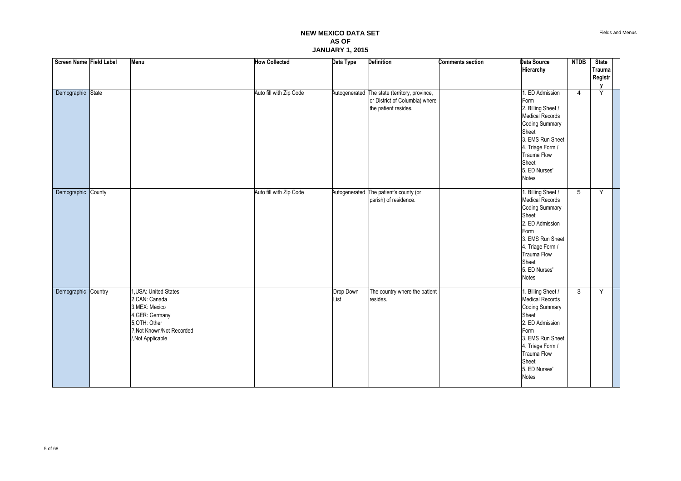| Screen Name Field Label | Menu                                                                                                                                                 | <b>How Collected</b>    | Data Type         | Definition                                                                                              | <b>Comments section</b> | Data Source<br>Hierarchy                                                                                                                                                                                          | <b>NTDB</b>    | <b>State</b><br>Trauma<br>Registr |  |
|-------------------------|------------------------------------------------------------------------------------------------------------------------------------------------------|-------------------------|-------------------|---------------------------------------------------------------------------------------------------------|-------------------------|-------------------------------------------------------------------------------------------------------------------------------------------------------------------------------------------------------------------|----------------|-----------------------------------|--|
| Demographic State       |                                                                                                                                                      | Auto fill with Zip Code |                   | Autogenerated The state (territory, province,<br>or District of Columbia) where<br>the patient resides. |                         | 1. ED Admission<br>Form<br>2. Billing Sheet /<br>Medical Records<br><b>Coding Summary</b><br>Sheet<br>3. EMS Run Sheet<br>4. Triage Form /<br>Trauma Flow<br>Sheet<br>5. ED Nurses'<br><b>Notes</b>               | $\overline{4}$ | Y                                 |  |
| Demographic County      |                                                                                                                                                      | Auto fill with Zip Code |                   | Autogenerated The patient's county (or<br>parish) of residence.                                         |                         | 1. Billing Sheet /<br><b>Medical Records</b><br><b>Coding Summary</b><br>Sheet<br>2. ED Admission<br>Form<br>3. EMS Run Sheet<br>4. Triage Form /<br>Trauma Flow<br>Sheet<br>5. ED Nurses'<br><b>Notes</b>        | 5              | Y                                 |  |
| Demographic Country     | <b>JUSA: United States</b><br>2, CAN: Canada<br>3, MEX: Mexico<br>4, GER: Germany<br>5, OTH: Other<br>?, Not Known/Not Recorded<br>/, Not Applicable |                         | Drop Down<br>List | The country where the patient<br>resides.                                                               |                         | 1. Billing Sheet /<br><b>Medical Records</b><br><b>Coding Summary</b><br>Sheet<br>2. ED Admission<br>Form<br>3. EMS Run Sheet<br>4. Triage Form /<br><b>Trauma Flow</b><br>Sheet<br>5. ED Nurses'<br><b>Notes</b> | 3              | Y                                 |  |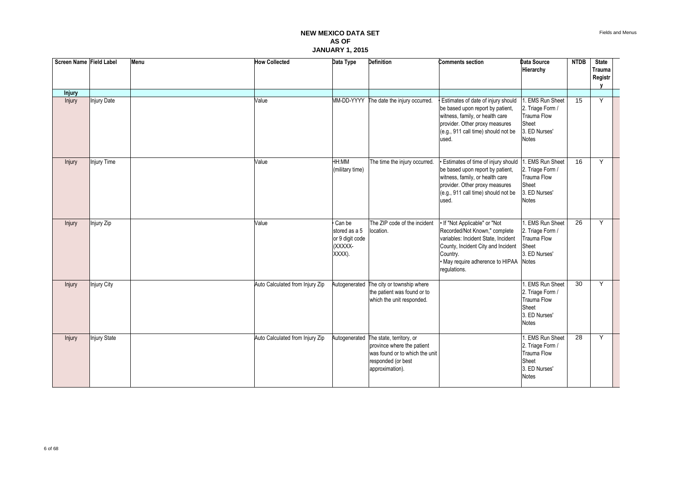| Screen Name Field Label |                    | Menu | <b>How Collected</b>            | Data Type                                                       | <b>Definition</b>                                                                                                                               | <b>Comments section</b>                                                                                                                                                                                   | <b>Data Source</b><br>Hierarchy                                                                          | <b>NTDB</b>     | <b>State</b><br><b>Trauma</b><br>Registr |  |
|-------------------------|--------------------|------|---------------------------------|-----------------------------------------------------------------|-------------------------------------------------------------------------------------------------------------------------------------------------|-----------------------------------------------------------------------------------------------------------------------------------------------------------------------------------------------------------|----------------------------------------------------------------------------------------------------------|-----------------|------------------------------------------|--|
| <b>Injury</b>           |                    |      |                                 |                                                                 |                                                                                                                                                 |                                                                                                                                                                                                           |                                                                                                          |                 |                                          |  |
| Injury                  | <b>Injury Date</b> |      | Value                           |                                                                 | MM-DD-YYYY The date the injury occurred.                                                                                                        | Estimates of date of injury should<br>be based upon report by patient,<br>witness, family, or health care<br>provider. Other proxy measures<br>(e.g., 911 call time) should not be<br>used.               | <b>EMS Run Sheet</b><br>2. Triage Form /<br><b>Trauma Flow</b><br>Sheet<br>3. ED Nurses'<br><b>Notes</b> | 15              | Y                                        |  |
| Injury                  | Injury Time        |      | Value                           | <b>MM:HH</b><br>(military time)                                 | The time the injury occurred.                                                                                                                   | Estimates of time of injury should<br>be based upon report by patient,<br>witness, family, or health care<br>provider. Other proxy measures<br>(e.g., 911 call time) should not be<br>used.               | <b>EMS Run Sheet</b><br>2. Triage Form /<br><b>Trauma Flow</b><br>Sheet<br>3. ED Nurses'<br><b>Notes</b> | 16              | Y                                        |  |
| Injury                  | Injury Zip         |      | Value                           | Can be<br>stored as a 5<br>or 9 digit code<br>(XXXXX-<br>XXXX). | The ZIP code of the incident<br>location.                                                                                                       | If "Not Applicable" or "Not<br>Recorded/Not Known," complete<br>variables: Incident State, Incident<br>County, Incident City and Incident<br>Country.<br>· May require adherence to HIPAA<br>regulations. | <b>EMS Run Sheet</b><br>2. Triage Form /<br><b>Trauma Flow</b><br>Sheet<br>3. ED Nurses'<br><b>Notes</b> | $\overline{26}$ | Y                                        |  |
| Injury                  | Injury City        |      | Auto Calculated from Injury Zip | Autogenerated                                                   | The city or township where<br>the patient was found or to<br>which the unit responded.                                                          |                                                                                                                                                                                                           | <b>EMS Run Sheet</b><br>2. Triage Form /<br><b>Trauma Flow</b><br>Sheet<br>3. ED Nurses'<br><b>Notes</b> | 30              | Y                                        |  |
| <b>Injury</b>           | Injury State       |      | Auto Calculated from Injury Zip |                                                                 | Autogenerated The state, territory, or<br>province where the patient<br>was found or to which the unit<br>responded (or best<br>approximation). |                                                                                                                                                                                                           | <b>EMS Run Sheet</b><br>2. Triage Form /<br><b>Trauma Flow</b><br>Sheet<br>3. ED Nurses'<br><b>Notes</b> | 28              | Y                                        |  |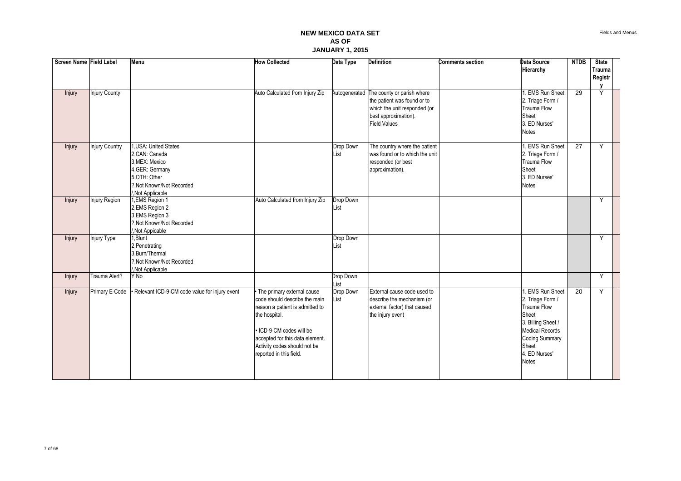| Screen Name Field Label |                       | Menu                                                                                                                                         | <b>How Collected</b>                                                                                                                                                                                                                    | Data Type         | <b>Definition</b>                                                                                                                        | <b>Comments section</b> | Data Source<br>Hierarchy                                                                                                                                                               | <b>NTDB</b>     | <b>State</b><br><b>Trauma</b><br>Registr |  |
|-------------------------|-----------------------|----------------------------------------------------------------------------------------------------------------------------------------------|-----------------------------------------------------------------------------------------------------------------------------------------------------------------------------------------------------------------------------------------|-------------------|------------------------------------------------------------------------------------------------------------------------------------------|-------------------------|----------------------------------------------------------------------------------------------------------------------------------------------------------------------------------------|-----------------|------------------------------------------|--|
| Injury                  | Injury County         |                                                                                                                                              | Auto Calculated from Injury Zip                                                                                                                                                                                                         | Autogenerated     | The county or parish where<br>the patient was found or to<br>which the unit responded (or<br>best approximation).<br><b>Field Values</b> |                         | 1. EMS Run Sheet<br>2. Triage Form /<br><b>Trauma Flow</b><br>Sheet<br>3. ED Nurses'<br><b>Notes</b>                                                                                   | 29              | Y                                        |  |
| Injury                  | <b>Injury Country</b> | 1, USA: United States<br>2.CAN: Canada<br>3.MEX: Mexico<br>4, GER: Germany<br>5.OTH: Other<br>?. Not Known/Not Recorded<br>/, Not Applicable |                                                                                                                                                                                                                                         | Drop Down<br>List | The country where the patient<br>was found or to which the unit<br>responded (or best<br>approximation).                                 |                         | 1. EMS Run Sheet<br>2. Triage Form /<br><b>Trauma Flow</b><br>Sheet<br>3. ED Nurses'<br><b>Notes</b>                                                                                   | $\overline{27}$ | Y                                        |  |
| Injury                  | Injury Region         | 1, EMS Region 1<br>2, EMS Region 2<br>3, EMS Region 3<br>?, Not Known/Not Recorded<br>/,Not Appicable                                        | Auto Calculated from Injury Zip                                                                                                                                                                                                         | Drop Down<br>List |                                                                                                                                          |                         |                                                                                                                                                                                        |                 | Y                                        |  |
| Injury                  | Injury Type           | $1,$ Blunt<br>2, Penetrating<br>3, Burn/Thermal<br>?. Not Known/Not Recorded<br>/, Not Applicable                                            |                                                                                                                                                                                                                                         | Drop Down<br>List |                                                                                                                                          |                         |                                                                                                                                                                                        |                 | Y                                        |  |
| Injury                  | Trauma Alert?         | Y No                                                                                                                                         |                                                                                                                                                                                                                                         | Drop Down<br>List |                                                                                                                                          |                         |                                                                                                                                                                                        |                 | Y                                        |  |
| Injury                  | Primary E-Code        | Relevant ICD-9-CM code value for injury event                                                                                                | The primary external cause<br>code should describe the main<br>reason a patient is admitted to<br>the hospital.<br>ICD-9-CM codes will be<br>accepted for this data element.<br>Activity codes should not be<br>reported in this field. | Drop Down<br>List | External cause code used to<br>describe the mechanism (or<br>external factor) that caused<br>the injury event                            |                         | 1. EMS Run Sheet<br>2. Triage Form /<br><b>Trauma Flow</b><br>Sheet<br>3. Billing Sheet /<br><b>Medical Records</b><br><b>Coding Summary</b><br>Sheet<br>4. ED Nurses'<br><b>Notes</b> | $\overline{20}$ | Y                                        |  |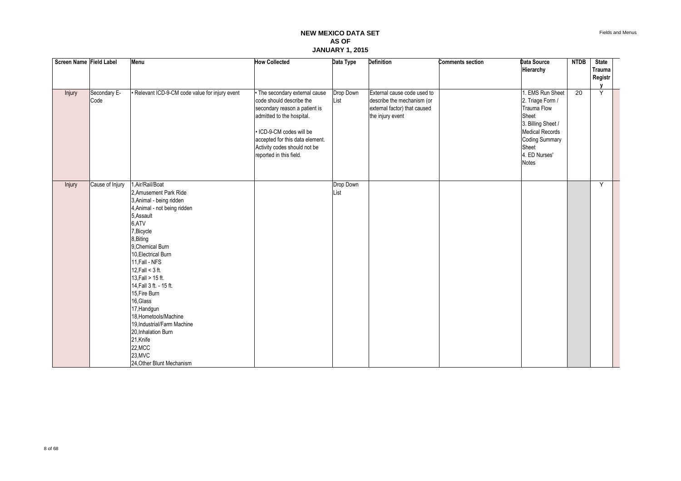| Screen Name Field Label |                      | Menu                                                                                                                                                                                                                                                                                                                                                                                                                                                                                | <b>How Collected</b>                                                                                                                                                                                                                           | Data Type         | Definition                                                                                                    | <b>Comments section</b> | Data Source<br>Hierarchy                                                                                                                                                                   | <b>NTDB</b> | <b>State</b><br>Trauma |  |
|-------------------------|----------------------|-------------------------------------------------------------------------------------------------------------------------------------------------------------------------------------------------------------------------------------------------------------------------------------------------------------------------------------------------------------------------------------------------------------------------------------------------------------------------------------|------------------------------------------------------------------------------------------------------------------------------------------------------------------------------------------------------------------------------------------------|-------------------|---------------------------------------------------------------------------------------------------------------|-------------------------|--------------------------------------------------------------------------------------------------------------------------------------------------------------------------------------------|-------------|------------------------|--|
|                         |                      |                                                                                                                                                                                                                                                                                                                                                                                                                                                                                     |                                                                                                                                                                                                                                                |                   |                                                                                                               |                         |                                                                                                                                                                                            |             | Registr                |  |
| Injury                  | Secondary E-<br>Code | Relevant ICD-9-CM code value for injury event                                                                                                                                                                                                                                                                                                                                                                                                                                       | The secondary external cause<br>code should describe the<br>secondary reason a patient is<br>admitted to the hospital.<br>ICD-9-CM codes will be<br>accepted for this data element.<br>Activity codes should not be<br>reported in this field. | Drop Down<br>List | External cause code used to<br>describe the mechanism (or<br>external factor) that caused<br>the injury event |                         | <b>EMS Run Sheet</b><br>2. Triage Form /<br><b>Trauma Flow</b><br>Sheet<br>3. Billing Sheet /<br><b>Medical Records</b><br><b>Coding Summary</b><br>Sheet<br>4. ED Nurses'<br><b>Notes</b> | 20          | v<br>Ÿ                 |  |
| Injury                  | Cause of Injury      | Air/Rail/Boat<br>2, Amusement Park Ride<br>3, Animal - being ridden<br>4, Animal - not being ridden<br>5, Assault<br>6,ATV<br>7, Bicycle<br>8, Biting<br>9. Chemical Burn<br>10, Electrical Burn<br>11, Fall - NFS<br>12, Fall $<$ 3 ft.<br>13, Fall > 15 ft.<br>14, Fall 3 ft. - 15 ft.<br>15, Fire Burn<br>16, Glass<br>17, Handgun<br>18.Hometools/Machine<br>19, Industrial/Farm Machine<br>20, Inhalation Burn<br>21, Knife<br>22, MCC<br>23, MVC<br>24, Other Blunt Mechanism |                                                                                                                                                                                                                                                | Drop Down<br>List |                                                                                                               |                         |                                                                                                                                                                                            |             | Y                      |  |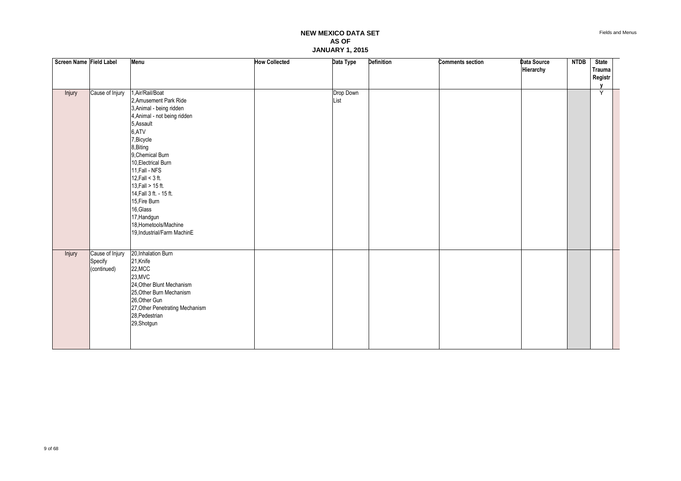| Screen Name Field Label |                 | <b>Menu</b>                     | <b>How Collected</b> | Data Type | Definition | <b>Comments section</b> | Data Source | <b>NTDB</b> | <b>State</b>  |  |
|-------------------------|-----------------|---------------------------------|----------------------|-----------|------------|-------------------------|-------------|-------------|---------------|--|
|                         |                 |                                 |                      |           |            |                         | Hierarchy   |             | <b>Trauma</b> |  |
|                         |                 |                                 |                      |           |            |                         |             |             | Registr       |  |
|                         |                 |                                 |                      |           |            |                         |             |             |               |  |
| Injury                  | Cause of Injury | 1, Air/Rail/Boat                |                      | Drop Down |            |                         |             |             | Y             |  |
|                         |                 | 2, Amusement Park Ride          |                      | List      |            |                         |             |             |               |  |
|                         |                 | 3, Animal - being ridden        |                      |           |            |                         |             |             |               |  |
|                         |                 | 4, Animal - not being ridden    |                      |           |            |                         |             |             |               |  |
|                         |                 | 5, Assault                      |                      |           |            |                         |             |             |               |  |
|                         |                 | 6,ATV                           |                      |           |            |                         |             |             |               |  |
|                         |                 | 7, Bicycle                      |                      |           |            |                         |             |             |               |  |
|                         |                 | 8, Biting                       |                      |           |            |                         |             |             |               |  |
|                         |                 | 9, Chemical Burn                |                      |           |            |                         |             |             |               |  |
|                         |                 | 10, Electrical Burn             |                      |           |            |                         |             |             |               |  |
|                         |                 | 11, Fall - NFS                  |                      |           |            |                         |             |             |               |  |
|                         |                 | 12, Fall $<$ 3 ft.              |                      |           |            |                         |             |             |               |  |
|                         |                 | 13, Fall > 15 ft.               |                      |           |            |                         |             |             |               |  |
|                         |                 | 14, Fall 3 ft. - 15 ft.         |                      |           |            |                         |             |             |               |  |
|                         |                 | 15, Fire Burn                   |                      |           |            |                         |             |             |               |  |
|                         |                 | 16, Glass                       |                      |           |            |                         |             |             |               |  |
|                         |                 | 17, Handgun                     |                      |           |            |                         |             |             |               |  |
|                         |                 | 18, Hometools/Machine           |                      |           |            |                         |             |             |               |  |
|                         |                 | 19, Industrial/Farm MachinE     |                      |           |            |                         |             |             |               |  |
|                         |                 |                                 |                      |           |            |                         |             |             |               |  |
| Injury                  | Cause of Injury | 20, Inhalation Burn             |                      |           |            |                         |             |             |               |  |
|                         | Specify         | 21, Knife                       |                      |           |            |                         |             |             |               |  |
|                         | (continued)     | 22, MCC                         |                      |           |            |                         |             |             |               |  |
|                         |                 | 23, MVC                         |                      |           |            |                         |             |             |               |  |
|                         |                 | 24, Other Blunt Mechanism       |                      |           |            |                         |             |             |               |  |
|                         |                 | 25, Other Burn Mechanism        |                      |           |            |                         |             |             |               |  |
|                         |                 | 26, Other Gun                   |                      |           |            |                         |             |             |               |  |
|                         |                 | 27, Other Penetrating Mechanism |                      |           |            |                         |             |             |               |  |
|                         |                 | 28, Pedestrian                  |                      |           |            |                         |             |             |               |  |
|                         |                 | 29, Shotgun                     |                      |           |            |                         |             |             |               |  |
|                         |                 |                                 |                      |           |            |                         |             |             |               |  |
|                         |                 |                                 |                      |           |            |                         |             |             |               |  |
|                         |                 |                                 |                      |           |            |                         |             |             |               |  |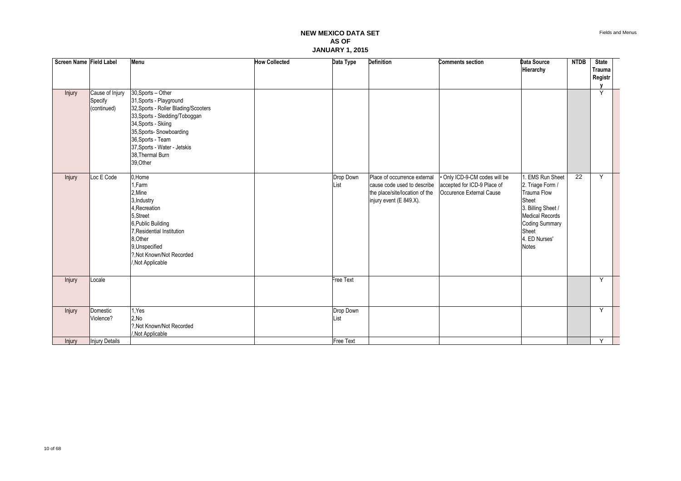| Screen Name Field Label |                                           | Menu                                                                                                                                                                                                                                                             | <b>How Collected</b> | Data Type         | <b>Definition</b>                                                                                                        | <b>Comments section</b>                                                                | Data Source<br>Hierarchy                                                                                                                                                              | <b>NTDB</b> | <b>State</b><br>Trauma |
|-------------------------|-------------------------------------------|------------------------------------------------------------------------------------------------------------------------------------------------------------------------------------------------------------------------------------------------------------------|----------------------|-------------------|--------------------------------------------------------------------------------------------------------------------------|----------------------------------------------------------------------------------------|---------------------------------------------------------------------------------------------------------------------------------------------------------------------------------------|-------------|------------------------|
|                         |                                           |                                                                                                                                                                                                                                                                  |                      |                   |                                                                                                                          |                                                                                        |                                                                                                                                                                                       |             | Registr                |
| Injury                  | Cause of Injury<br>Specify<br>(continued) | 30, Sports - Other<br>31, Sports - Playground<br>32, Sports - Roller Blading/Scooters<br>33, Sports - Sledding/Toboggan<br>34, Sports - Skiing<br>35, Sports- Snowboarding<br>36, Sports - Team<br>37, Sports - Water - Jetskis<br>38, Thermal Burn<br>39, Other |                      |                   |                                                                                                                          |                                                                                        |                                                                                                                                                                                       |             | Y                      |
| Injury                  | Loc E Code                                | 0,Home<br>1.Farm<br>2, Mine<br>3, Industry<br>4. Recreation<br>5.Street<br>6, Public Building<br>7. Residential Institution<br>8, Other<br>9, Unspecified<br>?. Not Known/Not Recorded<br>/, Not Applicable                                                      |                      | Drop Down<br>List | Place of occurrence external<br>cause code used to describe<br>the place/site/location of the<br>injury event (E 849.X). | Only ICD-9-CM codes will be<br>accepted for ICD-9 Place of<br>Occurence External Cause | . EMS Run Sheet<br>2. Triage Form /<br><b>Trauma Flow</b><br>Sheet<br>3. Billing Sheet /<br><b>Medical Records</b><br><b>Coding Summary</b><br>Sheet<br>4. ED Nurses'<br><b>Notes</b> | 22          | Y                      |
| Injury                  | Locale                                    |                                                                                                                                                                                                                                                                  |                      | Free Text         |                                                                                                                          |                                                                                        |                                                                                                                                                                                       |             | Y                      |
| Injury                  | Domestic<br>Violence?                     | 1.Yes<br>2,No<br>?, Not Known/Not Recorded<br>/, Not Applicable                                                                                                                                                                                                  |                      | Drop Down<br>List |                                                                                                                          |                                                                                        |                                                                                                                                                                                       |             | Y                      |
| <b>Injury</b>           | Injury Details                            |                                                                                                                                                                                                                                                                  |                      | Free Text         |                                                                                                                          |                                                                                        |                                                                                                                                                                                       |             | Y                      |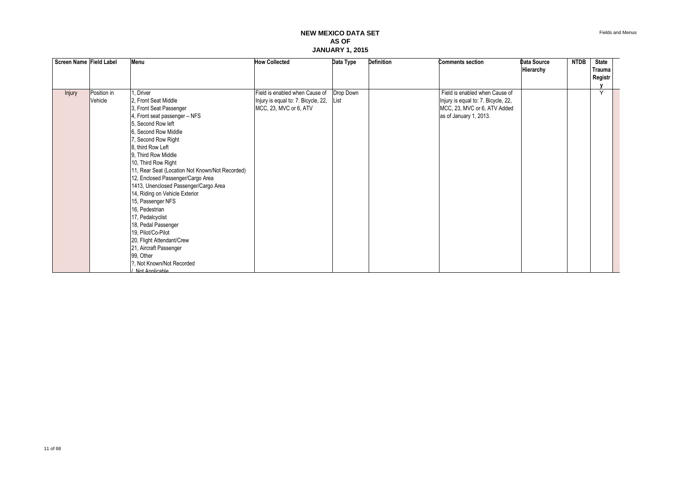| Screen Name Field Label |                        | Menu                                                                                                                                                                                                                                                                                                                                                                                                                                                                                                                                                                                                                             | <b>How Collected</b>                                                                            | Data Type         | <b>Definition</b> | <b>Comments section</b>                                                                                                         | Data Source<br>Hierarchy | <b>NTDB</b> | <b>State</b><br>Trauma<br>Registr |  |
|-------------------------|------------------------|----------------------------------------------------------------------------------------------------------------------------------------------------------------------------------------------------------------------------------------------------------------------------------------------------------------------------------------------------------------------------------------------------------------------------------------------------------------------------------------------------------------------------------------------------------------------------------------------------------------------------------|-------------------------------------------------------------------------------------------------|-------------------|-------------------|---------------------------------------------------------------------------------------------------------------------------------|--------------------------|-------------|-----------------------------------|--|
|                         |                        |                                                                                                                                                                                                                                                                                                                                                                                                                                                                                                                                                                                                                                  |                                                                                                 |                   |                   |                                                                                                                                 |                          |             |                                   |  |
| <b>Injury</b>           | Position in<br>Vehicle | Driver<br>2. Front Seat Middle<br>3, Front Seat Passenger<br>4, Front seat passenger - NFS<br>5. Second Row left<br>6, Second Row Middle<br>7, Second Row Right<br>8, third Row Left<br>9. Third Row Middle<br>10, Third Row Right<br>11, Rear Seat (Location Not Known/Not Recorded)<br>12, Enclosed Passenger/Cargo Area<br>1413, Unenclosed Passenger/Cargo Area<br>14, Riding on Vehicle Exterior<br>15, Passenger NFS<br>16, Pedestrian<br>17, Pedalcyclist<br>18, Pedal Passenger<br>19, Pilot/Co-Pilot<br>20, Flight Attendant/Crew<br>21, Aircraft Passenger<br>99, Other<br>?. Not Known/Not Recorded<br>Not Annlicable | Field is enabled when Cause of<br>Injury is equal to: 7. Bicycle, 22,<br>MCC, 23, MVC or 6, ATV | Drop Down<br>List |                   | Field is enabled when Cause of<br>Injury is equal to: 7. Bicycle, 22,<br>MCC, 23, MVC or 6, ATV Added<br>as of January 1, 2013. |                          |             | $\checkmark$                      |  |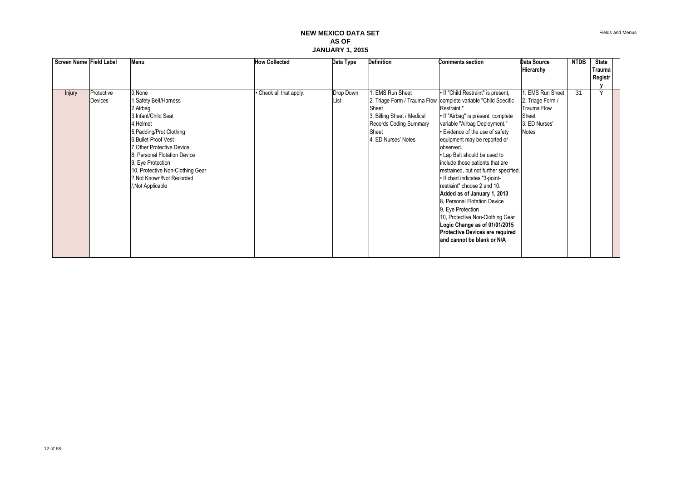| Screen Name Field Label |                       | Menu                                                                                                                                                                                                                                                                                                           | <b>How Collected</b>    | Data Type                 | Definition                                                                                                            | <b>Comments section</b>                                                                                                                                                                                                                                                                                                                                                                                                                                                                                                                                                                                                                                                                     | Data Source                                                                                       | <b>NTDB</b> | <b>State</b>      |  |
|-------------------------|-----------------------|----------------------------------------------------------------------------------------------------------------------------------------------------------------------------------------------------------------------------------------------------------------------------------------------------------------|-------------------------|---------------------------|-----------------------------------------------------------------------------------------------------------------------|---------------------------------------------------------------------------------------------------------------------------------------------------------------------------------------------------------------------------------------------------------------------------------------------------------------------------------------------------------------------------------------------------------------------------------------------------------------------------------------------------------------------------------------------------------------------------------------------------------------------------------------------------------------------------------------------|---------------------------------------------------------------------------------------------------|-------------|-------------------|--|
|                         |                       |                                                                                                                                                                                                                                                                                                                |                         |                           |                                                                                                                       |                                                                                                                                                                                                                                                                                                                                                                                                                                                                                                                                                                                                                                                                                             | Hierarchy                                                                                         |             | Trauma<br>Registr |  |
|                         |                       |                                                                                                                                                                                                                                                                                                                |                         |                           |                                                                                                                       |                                                                                                                                                                                                                                                                                                                                                                                                                                                                                                                                                                                                                                                                                             |                                                                                                   |             |                   |  |
| <b>Injury</b>           | Protective<br>Devices | 0, None<br>1, Safety Belt/Harness<br>2, Airbag<br>3.Infant/Child Seat<br>4,Helmet<br>5, Padding/Prot Clothing<br>6. Bullet-Proof Vest<br>7. Other Protective Device<br>8. Personal Flotation Device<br>9, Eye Protection<br>10, Protective Non-Clothing Gear<br>?, Not Known/Not Recorded<br>/, Not Applicable | • Check all that apply. | Drop Down<br><b>IList</b> | EMS Run Sheet<br>Sheet<br>3. Billing Sheet / Medical<br><b>Records Coding Summary</b><br>Sheet<br>4. ED Nurses' Notes | • If "Child Restraint" is present,<br>2. Triage Form / Trauma Flow   complete variable "Child Specific<br>Restraint."<br>• If "Airbag" is present, complete<br>variable "Airbag Deployment."<br>• Evidence of the use of safety<br>equipment may be reported or<br>observed.<br>• Lap Belt should be used to<br>include those patients that are<br>restrained, but not further specified.<br>• If chart indicates "3-point-<br>restraint" choose 2 and 10.<br>Added as of January 1, 2013<br>8. Personal Flotation Device<br>9, Eye Protection<br>10, Protective Non-Clothing Gear<br>Logic Change as of 01/01/2015<br><b>Protective Devices are required</b><br>and cannot be blank or N/A | <b>EMS Run Sheet</b><br>2. Triage Form /<br><b>Trauma Flow</b><br>Sheet<br>3. ED Nurses'<br>Notes | 31          | $\overline{Y}$    |  |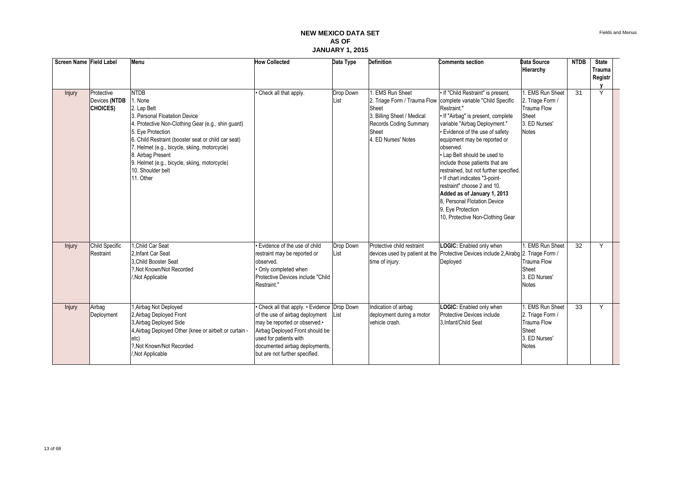| Screen Name Field Label |                                         | Menu                                                                                                                                                                                                                                                                                                                            | <b>How Collected</b>                                                                                                                                                                                                                            | Data Type         | <b>Definition</b>                                                                                                        | <b>Comments section</b>                                                                                                                                                                                                                                                                                                                       | Data Source<br>Hierarchy                                                                                 | <b>NTDB</b>     | <b>State</b><br><b>Trauma</b><br>Registr |  |
|-------------------------|-----------------------------------------|---------------------------------------------------------------------------------------------------------------------------------------------------------------------------------------------------------------------------------------------------------------------------------------------------------------------------------|-------------------------------------------------------------------------------------------------------------------------------------------------------------------------------------------------------------------------------------------------|-------------------|--------------------------------------------------------------------------------------------------------------------------|-----------------------------------------------------------------------------------------------------------------------------------------------------------------------------------------------------------------------------------------------------------------------------------------------------------------------------------------------|----------------------------------------------------------------------------------------------------------|-----------------|------------------------------------------|--|
| Injury                  | Protective<br>Devices (NTDB<br>CHOICES) | <b>NTDB</b><br>1. None<br>2. Lap Belt<br>3. Personal Floatation Device<br>4. Protective Non-Clothing Gear (e.g., shin guard)<br>5. Eye Protection<br>6. Child Restraint (booster seat or child car seat)<br>7. Helmet (e.g., bicycle, skiing, motorcycle)<br>8. Airbag Present<br>9. Helmet (e.g., bicycle, skiing, motorcycle) | Check all that apply.                                                                                                                                                                                                                           | Drop Down<br>List | 1. EMS Run Sheet<br>Sheet<br>3. Billing Sheet / Medical<br><b>Records Coding Summary</b><br>Sheet<br>4. ED Nurses' Notes | . If "Child Restraint" is present.<br>2. Triage Form / Trauma Flow complete variable "Child Specific<br>Restraint."<br>. If "Airbag" is present, complete<br>variable "Airbag Deployment."<br>• Evidence of the use of safety<br>equipment may be reported or<br>observed.<br>• Lap Belt should be used to<br>include those patients that are | 1. EMS Run Sheet<br>2. Triage Form /<br><b>Trauma Flow</b><br>Sheet<br>3. ED Nurses'<br><b>Notes</b>     | $\overline{31}$ | Y                                        |  |
|                         |                                         | 10. Shoulder belt<br>11. Other                                                                                                                                                                                                                                                                                                  |                                                                                                                                                                                                                                                 |                   |                                                                                                                          | restrained, but not further specified.<br>• If chart indicates "3-point-<br>restraint" choose 2 and 10.<br>Added as of January 1, 2013<br>8. Personal Flotation Device<br>9. Eye Protection<br>10, Protective Non-Clothing Gear                                                                                                               |                                                                                                          |                 |                                          |  |
| Injury                  | Child Specific<br>Restraint             | I.Child Car Seat<br>2. Infant Car Seat<br>3. Child Booster Seat<br>?. Not Known/Not Recorded<br>Not Applicable                                                                                                                                                                                                                  | Evidence of the use of child<br>restraint may be reported or<br>observed.<br>Only completed when<br>Protective Devices include "Child<br>Restraint."                                                                                            | Drop Down<br>List | Protective child restraint<br>time of injury.                                                                            | LOGIC: Enabled only when<br>devices used by patient at the Protective Devices include 2, Airabg 2. Triage Form /<br>Deployed                                                                                                                                                                                                                  | I. EMS Run Sheet<br><b>Trauma Flow</b><br>Sheet<br>3. ED Nurses'<br><b>Notes</b>                         | 32              | Y                                        |  |
| Injury                  | Airbag<br>Deployment                    | Airbag Not Deployed<br>2, Airbag Deployed Front<br>3, Airbag Deployed Side<br>4, Airbag Deployed Other (knee or airbelt or curtain -<br>etc)<br>?.Not Known/Not Recorded<br>Not Applicable                                                                                                                                      | Check all that apply. . Evidence Drop Down<br>of the use of airbag deployment<br>may be reported or observed.•<br>Airbag Deployed Front should be<br>used for patients with<br>documented airbag deployments,<br>but are not further specified. | List              | Indication of airbag<br>deployment during a motor<br>vehicle crash.                                                      | LOGIC: Enabled only when<br>Protective Devices include<br>3.Infant/Child Seat                                                                                                                                                                                                                                                                 | <b>EMS</b> Run Sheet<br>2. Triage Form /<br><b>Trauma Flow</b><br>Sheet<br>3. ED Nurses'<br><b>Notes</b> | $\overline{33}$ | Y                                        |  |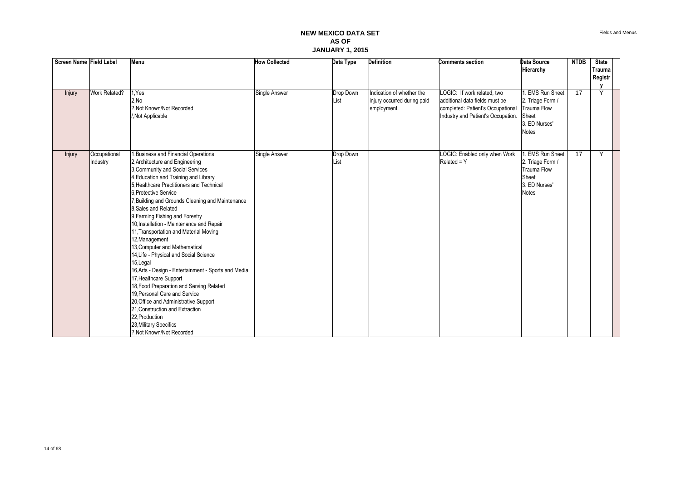| Screen Name Field Label |                          | Menu                                                                                                                                                                                                                                                                                                                                                                                                                                                                                                                                                                                                                                                                                                                                                                                                                                                             | <b>How Collected</b> | Data Type         | <b>Definition</b>                                                       | <b>Comments section</b>                                                                                                                  | Data Source<br>Hierarchy                                                                                 | <b>NTDB</b>     | <b>State</b><br><b>Trauma</b><br>Registr<br>v |  |
|-------------------------|--------------------------|------------------------------------------------------------------------------------------------------------------------------------------------------------------------------------------------------------------------------------------------------------------------------------------------------------------------------------------------------------------------------------------------------------------------------------------------------------------------------------------------------------------------------------------------------------------------------------------------------------------------------------------------------------------------------------------------------------------------------------------------------------------------------------------------------------------------------------------------------------------|----------------------|-------------------|-------------------------------------------------------------------------|------------------------------------------------------------------------------------------------------------------------------------------|----------------------------------------------------------------------------------------------------------|-----------------|-----------------------------------------------|--|
| Injury                  | Work Related?            | I.Yes<br>2.No<br>?. Not Known/Not Recorded<br>Not Applicable                                                                                                                                                                                                                                                                                                                                                                                                                                                                                                                                                                                                                                                                                                                                                                                                     | Single Answer        | Drop Down<br>List | Indication of whether the<br>injury occurred during paid<br>employment. | LOGIC: If work related, two<br>additional data fields must be<br>completed: Patient's Occupational<br>Industry and Patient's Occupation. | <b>EMS Run Sheet</b><br>2. Triage Form /<br><b>Trauma Flow</b><br>Sheet<br>3. ED Nurses'<br><b>Notes</b> | $\overline{17}$ | Y                                             |  |
| Injury                  | Occupational<br>Industry | <b>.Business and Financial Operations</b><br>2, Architecture and Engineering<br>3, Community and Social Services<br>4, Education and Training and Library<br>5. Healthcare Practitioners and Technical<br>6. Protective Service<br>Building and Grounds Cleaning and Maintenance<br>8. Sales and Related<br>9, Farming Fishing and Forestry<br>10, Installation - Maintenance and Repair<br>11, Transportation and Material Moving<br>12, Management<br>13, Computer and Mathematical<br>14, Life - Physical and Social Science<br>15, Legal<br>16, Arts - Design - Entertainment - Sports and Media<br>17, Healthcare Support<br>18, Food Preparation and Serving Related<br>19, Personal Care and Service<br>20, Office and Administrative Support<br>21. Construction and Extraction<br>22, Production<br>23, Military Specifics<br>?. Not Known/Not Recorded | Single Answer        | Drop Down<br>List |                                                                         | LOGIC: Enabled only when Work<br>$Related = Y$                                                                                           | <b>EMS Run Sheet</b><br>2. Triage Form /<br><b>Trauma Flow</b><br>Sheet<br>3. ED Nurses'<br><b>Notes</b> | 17              | Y                                             |  |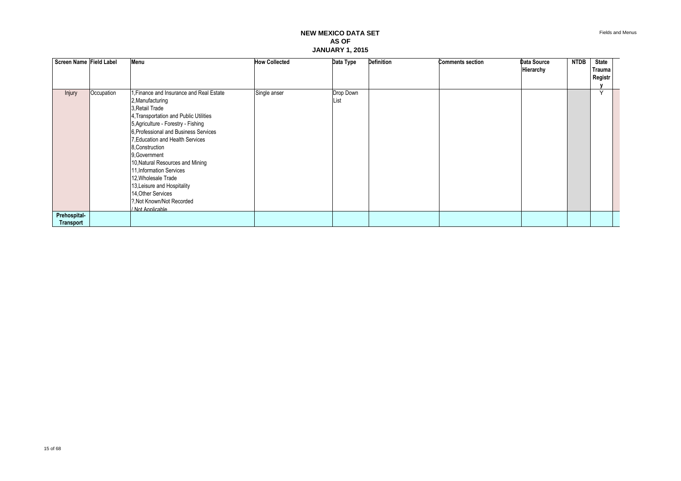| Screen Name Field Label   |            | Menu                                                                                                                                                                                                                                                                                                                                                                                                                                                                           | <b>How Collected</b> | Data Type         | <b>Definition</b> | <b>Comments section</b> | Data Source<br>Hierarchy | NTDB | State<br>Trauma<br>Registr |  |
|---------------------------|------------|--------------------------------------------------------------------------------------------------------------------------------------------------------------------------------------------------------------------------------------------------------------------------------------------------------------------------------------------------------------------------------------------------------------------------------------------------------------------------------|----------------------|-------------------|-------------------|-------------------------|--------------------------|------|----------------------------|--|
|                           |            |                                                                                                                                                                                                                                                                                                                                                                                                                                                                                |                      |                   |                   |                         |                          |      |                            |  |
| <b>Injury</b>             | Occupation | 1. Finance and Insurance and Real Estate<br>2, Manufacturing<br>3. Retail Trade<br>4, Transportation and Public Utilities<br>5, Agriculture - Forestry - Fishing<br>6. Professional and Business Services<br>7, Education and Health Services<br>8. Construction<br>9. Government<br>10, Natural Resources and Mining<br>11, Information Services<br>12, Wholesale Trade<br>13, Leisure and Hospitality<br>14, Other Services<br>?. Not Known/Not Recorded<br>/ Not Applicable | Single anser         | Drop Down<br>List |                   |                         |                          |      | $\vee$                     |  |
| Prehospital-<br>Transport |            |                                                                                                                                                                                                                                                                                                                                                                                                                                                                                |                      |                   |                   |                         |                          |      |                            |  |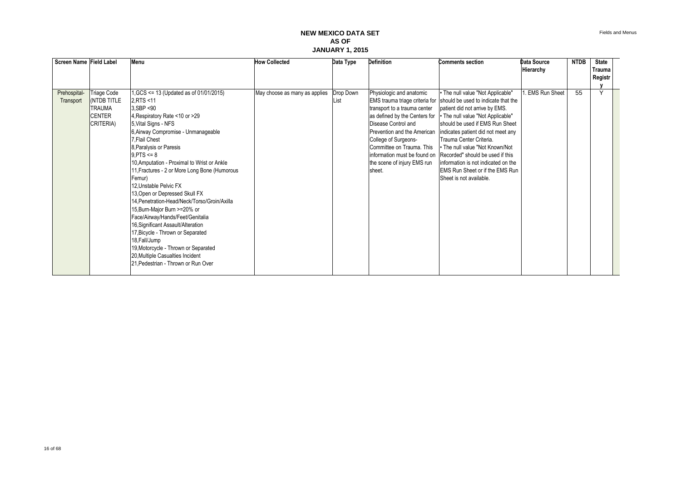| Screen Name Field Label |                 | Menu                                          | <b>How Collected</b>          | Data Type | Definition                    | <b>Comments section</b>                                            | <b>Data Source</b>   | <b>NTDB</b> | <b>State</b> |  |
|-------------------------|-----------------|-----------------------------------------------|-------------------------------|-----------|-------------------------------|--------------------------------------------------------------------|----------------------|-------------|--------------|--|
|                         |                 |                                               |                               |           |                               |                                                                    | Hierarchy            |             | Trauma       |  |
|                         |                 |                                               |                               |           |                               |                                                                    |                      |             | Registr      |  |
|                         |                 |                                               |                               |           |                               |                                                                    |                      |             | $\checkmark$ |  |
| Prehospital-            | Triage Code     | 1, GCS <= 13 (Updated as of 01/01/2015)       | May choose as many as applies | Drop Down | Physiologic and anatomic      | • The null value "Not Applicable"                                  | <b>EMS Run Sheet</b> | 55          |              |  |
| Transport               | <b>NO TITLE</b> | 2, RTS <11                                    |                               | List      |                               | EMS trauma triage criteria for should be used to indicate that the |                      |             |              |  |
|                         | <b>TRAUMA</b>   | 3.SBP <90                                     |                               |           | transport to a trauma center  | patient did not arrive by EMS.                                     |                      |             |              |  |
|                         | <b>CENTER</b>   | 4, Respiratory Rate <10 or >29                |                               |           | as defined by the Centers for | • The null value "Not Applicable"                                  |                      |             |              |  |
|                         | CRITERIA)       | 5, Vital Signs - NFS                          |                               |           | Disease Control and           | should be used if EMS Run Sheet                                    |                      |             |              |  |
|                         |                 | 6, Airway Compromise - Unmanageable           |                               |           | Prevention and the American   | indicates patient did not meet any                                 |                      |             |              |  |
|                         |                 | 7.Flail Chest                                 |                               |           | College of Surgeons-          | Trauma Center Criteria.                                            |                      |             |              |  |
|                         |                 | 8, Paralysis or Paresis                       |                               |           | Committee on Trauma. This     | . The null value "Not Known/Not                                    |                      |             |              |  |
|                         |                 | $9.$ PTS $\leq 8$                             |                               |           |                               | information must be found on Recorded" should be used if this      |                      |             |              |  |
|                         |                 | 10, Amputation - Proximal to Wrist or Ankle   |                               |           | the scene of injury EMS run   | linformation is not indicated on the                               |                      |             |              |  |
|                         |                 | 11, Fractures - 2 or More Long Bone (Humorous |                               |           | sheet.                        | <b>IEMS Run Sheet or if the EMS Run</b>                            |                      |             |              |  |
|                         |                 | Femur)                                        |                               |           |                               | Sheet is not available.                                            |                      |             |              |  |
|                         |                 | 12. Unstable Pelvic FX                        |                               |           |                               |                                                                    |                      |             |              |  |
|                         |                 | 13, Open or Depressed Skull FX                |                               |           |                               |                                                                    |                      |             |              |  |
|                         |                 | 14. Penetration-Head/Neck/Torso/Groin/Axilla  |                               |           |                               |                                                                    |                      |             |              |  |
|                         |                 | 15, Burn-Major Burn >=20% or                  |                               |           |                               |                                                                    |                      |             |              |  |
|                         |                 | Face/Airway/Hands/Feet/Genitalia              |                               |           |                               |                                                                    |                      |             |              |  |
|                         |                 | 16, Significant Assault/Alteration            |                               |           |                               |                                                                    |                      |             |              |  |
|                         |                 | 17, Bicycle - Thrown or Separated             |                               |           |                               |                                                                    |                      |             |              |  |
|                         |                 | 18, Fall/Jump                                 |                               |           |                               |                                                                    |                      |             |              |  |
|                         |                 | 19, Motorcycle - Thrown or Separated          |                               |           |                               |                                                                    |                      |             |              |  |
|                         |                 | 20, Multiple Casualties Incident              |                               |           |                               |                                                                    |                      |             |              |  |
|                         |                 | 21, Pedestrian - Thrown or Run Over           |                               |           |                               |                                                                    |                      |             |              |  |
|                         |                 |                                               |                               |           |                               |                                                                    |                      |             |              |  |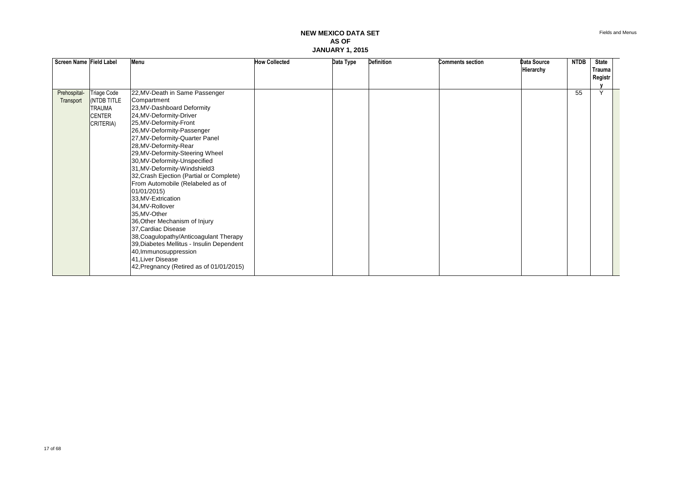| Screen Name Field Label   |                                                                                      | Menu                                                                                                                                                                                                                                                                                                                                                                                                         | <b>How Collected</b> | Data Type | <b>Definition</b> | <b>Comments section</b> | Data Source<br>Hierarchy | <b>NTDB</b> | <b>State</b><br>Trauma  |  |
|---------------------------|--------------------------------------------------------------------------------------|--------------------------------------------------------------------------------------------------------------------------------------------------------------------------------------------------------------------------------------------------------------------------------------------------------------------------------------------------------------------------------------------------------------|----------------------|-----------|-------------------|-------------------------|--------------------------|-------------|-------------------------|--|
|                           |                                                                                      |                                                                                                                                                                                                                                                                                                                                                                                                              |                      |           |                   |                         |                          |             | Registr                 |  |
|                           |                                                                                      |                                                                                                                                                                                                                                                                                                                                                                                                              |                      |           |                   |                         |                          |             |                         |  |
| Prehospital-<br>Transport | <b>Triage Code</b><br><b>NO TITLE</b><br><b>TRAUMA</b><br><b>CENTER</b><br>CRITERIA) | 22, MV-Death in Same Passenger<br>Compartment<br>23, MV-Dashboard Deformity<br>24, MV-Deformity-Driver<br>25, MV-Deformity-Front<br>26, MV-Deformity-Passenger<br>27, MV-Deformity-Quarter Panel<br>28, MV-Deformity-Rear<br>29, MV-Deformity-Steering Wheel<br>30, MV-Deformity-Unspecified<br>31, MV-Deformity-Windshield3<br>32, Crash Ejection (Partial or Complete)<br>From Automobile (Relabeled as of |                      |           |                   |                         |                          | 55          | $\overline{\mathsf{v}}$ |  |
|                           |                                                                                      | 01/01/2015)<br>33, MV-Extrication<br>34, MV-Rollover<br>35, MV-Other<br>36, Other Mechanism of Injury<br>37, Cardiac Disease<br>38, Coagulopathy/Anticoagulant Therapy<br>39, Diabetes Mellitus - Insulin Dependent<br>40, Immunosuppression<br>41, Liver Disease<br>42, Pregnancy (Retired as of 01/01/2015)                                                                                                |                      |           |                   |                         |                          |             |                         |  |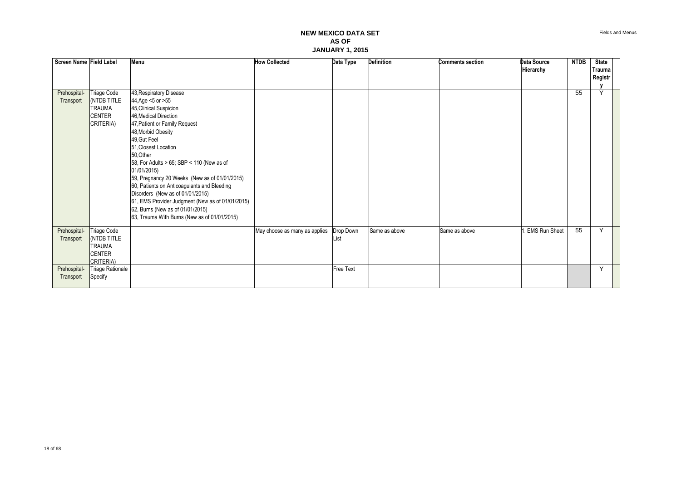| Screen Name Field Label |                         | Menu                                                                             | <b>How Collected</b>          | Data Type | <b>Definition</b> | <b>Comments section</b> | <b>Data Source</b><br>Hierarchy | <b>NTDB</b> | <b>State</b><br>Trauma<br>Registr |  |
|-------------------------|-------------------------|----------------------------------------------------------------------------------|-------------------------------|-----------|-------------------|-------------------------|---------------------------------|-------------|-----------------------------------|--|
| Prehospital-            | Triage Code             | 43, Respiratory Disease                                                          |                               |           |                   |                         |                                 | 55          | $\checkmark$                      |  |
| Transport               | (NTDB TITLE             | 44, Age <5 or >55                                                                |                               |           |                   |                         |                                 |             |                                   |  |
|                         | <b>TRAUMA</b>           | 45, Clinical Suspicion                                                           |                               |           |                   |                         |                                 |             |                                   |  |
|                         | <b>CENTER</b>           | 46, Medical Direction                                                            |                               |           |                   |                         |                                 |             |                                   |  |
|                         | CRITERIA)               | 47, Patient or Family Request                                                    |                               |           |                   |                         |                                 |             |                                   |  |
|                         |                         | 48, Morbid Obesity                                                               |                               |           |                   |                         |                                 |             |                                   |  |
|                         |                         | 49, Gut Feel                                                                     |                               |           |                   |                         |                                 |             |                                   |  |
|                         |                         | 51, Closest Location                                                             |                               |           |                   |                         |                                 |             |                                   |  |
|                         |                         | 50, Other                                                                        |                               |           |                   |                         |                                 |             |                                   |  |
|                         |                         | 58, For Adults > 65; SBP < 110 (New as of                                        |                               |           |                   |                         |                                 |             |                                   |  |
|                         |                         | 01/01/2015)                                                                      |                               |           |                   |                         |                                 |             |                                   |  |
|                         |                         | 59, Pregnancy 20 Weeks (New as of 01/01/2015)                                    |                               |           |                   |                         |                                 |             |                                   |  |
|                         |                         | 60, Patients on Anticoagulants and Bleeding                                      |                               |           |                   |                         |                                 |             |                                   |  |
|                         |                         | Disorders (New as of 01/01/2015)                                                 |                               |           |                   |                         |                                 |             |                                   |  |
|                         |                         | 61, EMS Provider Judgment (New as of 01/01/2015)                                 |                               |           |                   |                         |                                 |             |                                   |  |
|                         |                         | 62, Burns (New as of 01/01/2015)<br>63, Trauma With Burns (New as of 01/01/2015) |                               |           |                   |                         |                                 |             |                                   |  |
|                         |                         |                                                                                  |                               |           |                   |                         |                                 |             |                                   |  |
| Prehospital-            | Triage Code             |                                                                                  | May choose as many as applies | Drop Down | Same as above     | Same as above           | . EMS Run Sheet                 | 55          | $\checkmark$                      |  |
| Transport               | <b>NO TITLE</b>         |                                                                                  |                               | List      |                   |                         |                                 |             |                                   |  |
|                         | <b>TRAUMA</b>           |                                                                                  |                               |           |                   |                         |                                 |             |                                   |  |
|                         | <b>CENTER</b>           |                                                                                  |                               |           |                   |                         |                                 |             |                                   |  |
|                         | CRITERIA)               |                                                                                  |                               |           |                   |                         |                                 |             |                                   |  |
| Prehospital-            | <b>Triage Rationale</b> |                                                                                  |                               | Free Text |                   |                         |                                 |             | Y                                 |  |
| Transport               | Specify                 |                                                                                  |                               |           |                   |                         |                                 |             |                                   |  |
|                         |                         |                                                                                  |                               |           |                   |                         |                                 |             |                                   |  |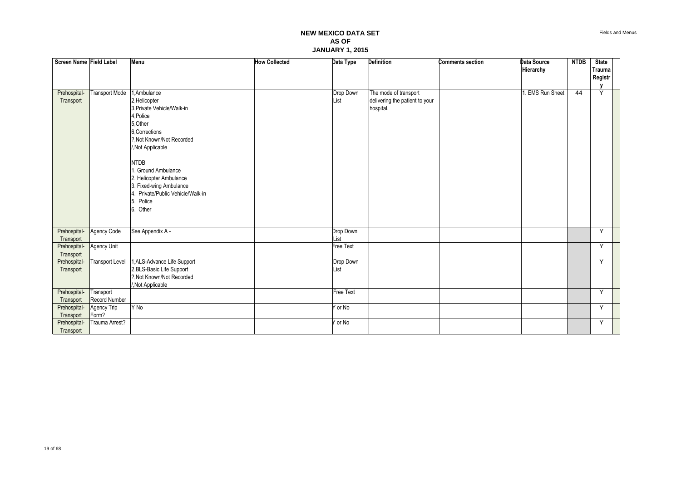| Screen Name Field Label   |                        | Menu                                                                                                                                                                                                                                                                                                              | <b>How Collected</b> | Data Type         | Definition                                                           | <b>Comments section</b> | Data Source<br>Hierarchy | <b>NTDB</b> | <b>State</b><br>Trauma |  |
|---------------------------|------------------------|-------------------------------------------------------------------------------------------------------------------------------------------------------------------------------------------------------------------------------------------------------------------------------------------------------------------|----------------------|-------------------|----------------------------------------------------------------------|-------------------------|--------------------------|-------------|------------------------|--|
|                           |                        |                                                                                                                                                                                                                                                                                                                   |                      |                   |                                                                      |                         |                          |             | Registr                |  |
|                           |                        |                                                                                                                                                                                                                                                                                                                   |                      |                   |                                                                      |                         |                          |             |                        |  |
| Prehospital-<br>Transport | <b>Transport Mode</b>  | 1,Ambulance<br>2, Helicopter<br>3, Private Vehicle/Walk-in<br>4, Police<br>5, Other<br>6, Corrections<br>?.Not Known/Not Recorded<br>/, Not Applicable<br><b>NTDB</b><br>. Ground Ambulance<br>2. Helicopter Ambulance<br>3. Fixed-wing Ambulance<br>4. Private/Public Vehicle/Walk-in<br>Police<br>5<br>6. Other |                      | Drop Down<br>List | The mode of transport<br>delivering the patient to your<br>hospital. |                         | . EMS Run Sheet          | 44          | Y                      |  |
| Prehospital-              | Agency Code            | See Appendix A -                                                                                                                                                                                                                                                                                                  |                      | Drop Down         |                                                                      |                         |                          |             | Y                      |  |
| Transport                 |                        |                                                                                                                                                                                                                                                                                                                   |                      | List              |                                                                      |                         |                          |             |                        |  |
| Prehospital-              | Agency Unit            |                                                                                                                                                                                                                                                                                                                   |                      | Free Text         |                                                                      |                         |                          |             | Y                      |  |
| Transport                 |                        |                                                                                                                                                                                                                                                                                                                   |                      |                   |                                                                      |                         |                          |             | Y                      |  |
| Prehospital-<br>Transport | <b>Transport Level</b> | 1, ALS-Advance Life Support<br>2, BLS-Basic Life Support                                                                                                                                                                                                                                                          |                      | Drop Down<br>List |                                                                      |                         |                          |             |                        |  |
|                           |                        | ?. Not Known/Not Recorded                                                                                                                                                                                                                                                                                         |                      |                   |                                                                      |                         |                          |             |                        |  |
|                           |                        | Not Applicable                                                                                                                                                                                                                                                                                                    |                      |                   |                                                                      |                         |                          |             |                        |  |
| Prehospital-              | Transport              |                                                                                                                                                                                                                                                                                                                   |                      | <b>Free Text</b>  |                                                                      |                         |                          |             | Y                      |  |
| Transport                 | Record Number          | Y No                                                                                                                                                                                                                                                                                                              |                      |                   |                                                                      |                         |                          |             | Y                      |  |
| Prehospital-<br>Transport | Agency Trip<br>Form?   |                                                                                                                                                                                                                                                                                                                   |                      | Y or No           |                                                                      |                         |                          |             |                        |  |
| Prehospital-              | Trauma Arrest?         |                                                                                                                                                                                                                                                                                                                   |                      | Y or No           |                                                                      |                         |                          |             | Y                      |  |
| Transport                 |                        |                                                                                                                                                                                                                                                                                                                   |                      |                   |                                                                      |                         |                          |             |                        |  |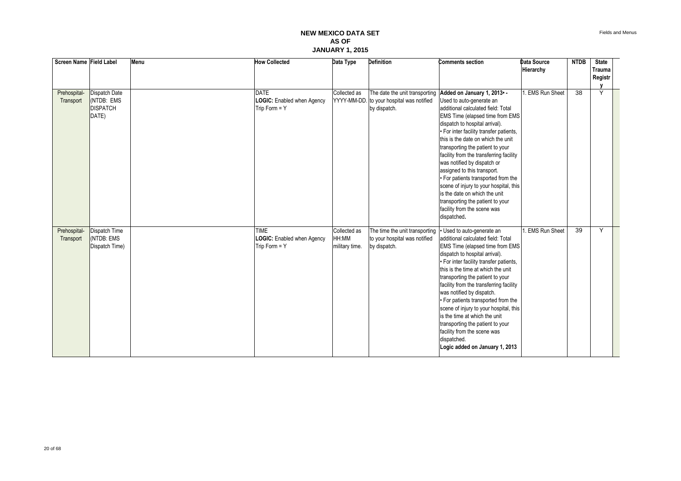| Screen Name Field Label |                 | Menu | <b>How Collected</b>       | Data Type      | <b>Definition</b>                         | <b>Comments section</b>                                    | <b>Data Source</b> | <b>NTDB</b>     | <b>State</b> |  |
|-------------------------|-----------------|------|----------------------------|----------------|-------------------------------------------|------------------------------------------------------------|--------------------|-----------------|--------------|--|
|                         |                 |      |                            |                |                                           |                                                            | Hierarchy          |                 | Trauma       |  |
|                         |                 |      |                            |                |                                           |                                                            |                    |                 | Registr      |  |
|                         |                 |      |                            |                |                                           |                                                            |                    |                 |              |  |
| Prehospital-            | Dispatch Date   |      | <b>DATE</b>                | Collected as   |                                           | The date the unit transporting Added on January 1, 2013 .- | 1. EMS Run Sheet   | $\overline{38}$ | Y            |  |
| Transport               | (NTDB: EMS      |      | LOGIC: Enabled when Agency |                | YYYY-MM-DD. to your hospital was notified | Used to auto-generate an                                   |                    |                 |              |  |
|                         | <b>DISPATCH</b> |      | Trip Form = Y              |                | by dispatch.                              | additional calculated field: Total                         |                    |                 |              |  |
|                         | DATE)           |      |                            |                |                                           | EMS Time (elapsed time from EMS                            |                    |                 |              |  |
|                         |                 |      |                            |                |                                           | dispatch to hospital arrival).                             |                    |                 |              |  |
|                         |                 |      |                            |                |                                           | • For inter facility transfer patients,                    |                    |                 |              |  |
|                         |                 |      |                            |                |                                           | this is the date on which the unit                         |                    |                 |              |  |
|                         |                 |      |                            |                |                                           | transporting the patient to your                           |                    |                 |              |  |
|                         |                 |      |                            |                |                                           | facility from the transferring facility                    |                    |                 |              |  |
|                         |                 |      |                            |                |                                           | was notified by dispatch or                                |                    |                 |              |  |
|                         |                 |      |                            |                |                                           | assigned to this transport.                                |                    |                 |              |  |
|                         |                 |      |                            |                |                                           | • For patients transported from the                        |                    |                 |              |  |
|                         |                 |      |                            |                |                                           | scene of injury to your hospital, this                     |                    |                 |              |  |
|                         |                 |      |                            |                |                                           | is the date on which the unit                              |                    |                 |              |  |
|                         |                 |      |                            |                |                                           | transporting the patient to your                           |                    |                 |              |  |
|                         |                 |      |                            |                |                                           | facility from the scene was                                |                    |                 |              |  |
|                         |                 |      |                            |                |                                           | dispatched.                                                |                    |                 |              |  |
|                         |                 |      |                            |                |                                           |                                                            |                    |                 |              |  |
| Prehospital-            | Dispatch Time   |      | <b>TIME</b>                | Collected as   | The time the unit transporting            | Used to auto-generate an                                   | 1. EMS Run Sheet   | 39              | Y            |  |
| Transport               | (NTDB: EMS      |      | LOGIC: Enabled when Agency | HH:MM          | to your hospital was notified             | additional calculated field: Total                         |                    |                 |              |  |
|                         | Dispatch Time)  |      | Trip Form = Y              | military time. | by dispatch.                              | EMS Time (elapsed time from EMS                            |                    |                 |              |  |
|                         |                 |      |                            |                |                                           | dispatch to hospital arrival).                             |                    |                 |              |  |
|                         |                 |      |                            |                |                                           | • For inter facility transfer patients,                    |                    |                 |              |  |
|                         |                 |      |                            |                |                                           | this is the time at which the unit                         |                    |                 |              |  |
|                         |                 |      |                            |                |                                           | transporting the patient to your                           |                    |                 |              |  |
|                         |                 |      |                            |                |                                           | facility from the transferring facility                    |                    |                 |              |  |
|                         |                 |      |                            |                |                                           | was notified by dispatch.                                  |                    |                 |              |  |
|                         |                 |      |                            |                |                                           | • For patients transported from the                        |                    |                 |              |  |
|                         |                 |      |                            |                |                                           | scene of injury to your hospital, this                     |                    |                 |              |  |
|                         |                 |      |                            |                |                                           | is the time at which the unit                              |                    |                 |              |  |
|                         |                 |      |                            |                |                                           | transporting the patient to your                           |                    |                 |              |  |
|                         |                 |      |                            |                |                                           | facility from the scene was                                |                    |                 |              |  |
|                         |                 |      |                            |                |                                           | dispatched.                                                |                    |                 |              |  |
|                         |                 |      |                            |                |                                           | Logic added on January 1, 2013                             |                    |                 |              |  |
|                         |                 |      |                            |                |                                           |                                                            |                    |                 |              |  |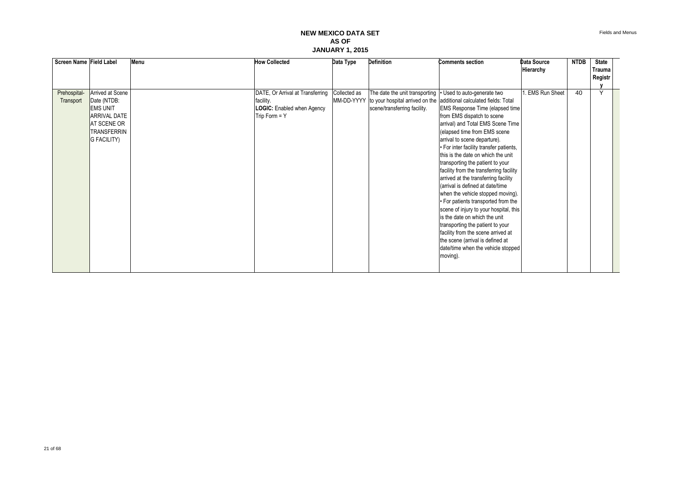Fields and Menus

| Screen Name Field Label |                     | Menu | <b>How Collected</b>             | Data Type    | <b>Definition</b>                                          | <b>Comments section</b>                                                            | Data Source     | <b>NTDB</b> | <b>State</b> |  |
|-------------------------|---------------------|------|----------------------------------|--------------|------------------------------------------------------------|------------------------------------------------------------------------------------|-----------------|-------------|--------------|--|
|                         |                     |      |                                  |              |                                                            |                                                                                    | Hierarchy       |             | Trauma       |  |
|                         |                     |      |                                  |              |                                                            |                                                                                    |                 |             | Registr      |  |
| Prehospital-            | Arrived at Scene    |      | DATE, Or Arrival at Transferring | Collected as | The date the unit transporting • Used to auto-generate two |                                                                                    | . EMS Run Sheet | 40          | $\checkmark$ |  |
| Transport               | Date (NTDB:         |      | facility.                        | MM-DD-YYYY   |                                                            | to your hospital arrived on the additional calculated fields: Total                |                 |             |              |  |
|                         | <b>EMS UNIT</b>     |      | LOGIC: Enabled when Agency       |              | scene/transferring facility.                               | <b>EMS Response Time (elapsed time)</b>                                            |                 |             |              |  |
|                         | <b>ARRIVAL DATE</b> |      | $Time Form = Y$                  |              |                                                            | from EMS dispatch to scene                                                         |                 |             |              |  |
|                         | AT SCENE OR         |      |                                  |              |                                                            | arrival) and Total EMS Scene Time                                                  |                 |             |              |  |
|                         | <b>TRANSFERRIN</b>  |      |                                  |              |                                                            | (elapsed time from EMS scene                                                       |                 |             |              |  |
|                         | <b>G FACILITY)</b>  |      |                                  |              |                                                            | arrival to scene departure).                                                       |                 |             |              |  |
|                         |                     |      |                                  |              |                                                            | · For inter facility transfer patients,                                            |                 |             |              |  |
|                         |                     |      |                                  |              |                                                            | this is the date on which the unit                                                 |                 |             |              |  |
|                         |                     |      |                                  |              |                                                            | transporting the patient to your                                                   |                 |             |              |  |
|                         |                     |      |                                  |              |                                                            | facility from the transferring facility                                            |                 |             |              |  |
|                         |                     |      |                                  |              |                                                            | arrived at the transferring facility                                               |                 |             |              |  |
|                         |                     |      |                                  |              |                                                            | (arrival is defined at date/time                                                   |                 |             |              |  |
|                         |                     |      |                                  |              |                                                            | when the vehicle stopped moving).                                                  |                 |             |              |  |
|                         |                     |      |                                  |              |                                                            | • For patients transported from the                                                |                 |             |              |  |
|                         |                     |      |                                  |              |                                                            | scene of injury to your hospital, this                                             |                 |             |              |  |
|                         |                     |      |                                  |              |                                                            | is the date on which the unit                                                      |                 |             |              |  |
|                         |                     |      |                                  |              |                                                            | transporting the patient to your                                                   |                 |             |              |  |
|                         |                     |      |                                  |              |                                                            | facility from the scene arrived at                                                 |                 |             |              |  |
|                         |                     |      |                                  |              |                                                            |                                                                                    |                 |             |              |  |
|                         |                     |      |                                  |              |                                                            |                                                                                    |                 |             |              |  |
|                         |                     |      |                                  |              |                                                            |                                                                                    |                 |             |              |  |
|                         |                     |      |                                  |              |                                                            |                                                                                    |                 |             |              |  |
|                         |                     |      |                                  |              |                                                            | the scene (arrival is defined at<br>date/time when the vehicle stopped<br>moving). |                 |             |              |  |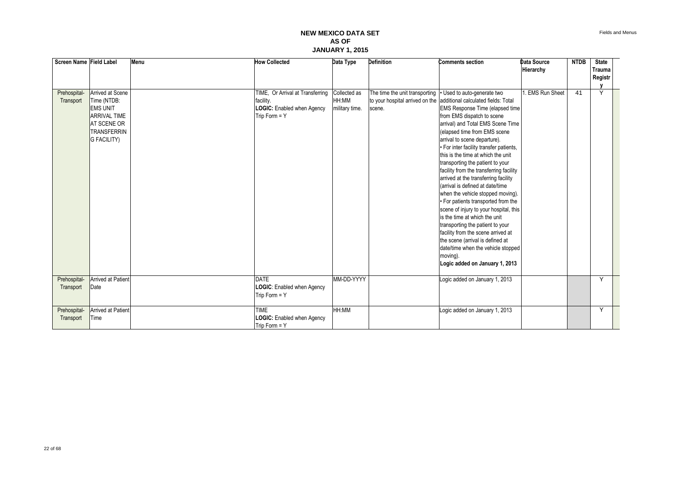| Screen Name Field Label   |                                                                                                                                             | Menu | <b>How Collected</b>                                                                           | Data Type                               | <b>Definition</b>                        | <b>Comments section</b>                                                                                                                                                                                                                                                                                                                                                                                                                                                                                                                                                                                                                                                                                                                                                                                                                                                            | Data Source          | <b>NTDB</b> | <b>State</b> |  |
|---------------------------|---------------------------------------------------------------------------------------------------------------------------------------------|------|------------------------------------------------------------------------------------------------|-----------------------------------------|------------------------------------------|------------------------------------------------------------------------------------------------------------------------------------------------------------------------------------------------------------------------------------------------------------------------------------------------------------------------------------------------------------------------------------------------------------------------------------------------------------------------------------------------------------------------------------------------------------------------------------------------------------------------------------------------------------------------------------------------------------------------------------------------------------------------------------------------------------------------------------------------------------------------------------|----------------------|-------------|--------------|--|
|                           |                                                                                                                                             |      |                                                                                                |                                         |                                          |                                                                                                                                                                                                                                                                                                                                                                                                                                                                                                                                                                                                                                                                                                                                                                                                                                                                                    | Hierarchy            |             | Trauma       |  |
|                           |                                                                                                                                             |      |                                                                                                |                                         |                                          |                                                                                                                                                                                                                                                                                                                                                                                                                                                                                                                                                                                                                                                                                                                                                                                                                                                                                    |                      |             | Registr      |  |
|                           |                                                                                                                                             |      |                                                                                                |                                         |                                          |                                                                                                                                                                                                                                                                                                                                                                                                                                                                                                                                                                                                                                                                                                                                                                                                                                                                                    |                      |             |              |  |
| Prehospital-<br>Transport | Arrived at Scene<br>Time (NTDB:<br><b>EMS UNIT</b><br><b>ARRIVAL TIME</b><br><b>AT SCENE OR</b><br><b>TRANSFERRIN</b><br><b>G FACILITY)</b> |      | TIME, Or Arrival at Transferring<br>facility.<br>LOGIC: Enabled when Agency<br>Trip Form $=$ Y | Collected as<br>HH:MM<br>military time. | The time the unit transporting<br>scene. | Used to auto-generate two<br>to your hospital arrived on the additional calculated fields: Total<br><b>EMS Response Time (elapsed time</b><br>from EMS dispatch to scene<br>arrival) and Total EMS Scene Time<br>(elapsed time from EMS scene<br>arrival to scene departure).<br>• For inter facility transfer patients,<br>this is the time at which the unit<br>transporting the patient to your<br>facility from the transferring facility<br>arrived at the transferring facility<br>(arrival is defined at date/time<br>when the vehicle stopped moving).<br>. For patients transported from the<br>scene of injury to your hospital, this<br>is the time at which the unit<br>transporting the patient to your<br>facility from the scene arrived at<br>the scene (arrival is defined at<br>date/time when the vehicle stopped<br>moving).<br>Logic added on January 1, 2013 | <b>EMS Run Sheet</b> | 41          | Y            |  |
|                           |                                                                                                                                             |      |                                                                                                |                                         |                                          |                                                                                                                                                                                                                                                                                                                                                                                                                                                                                                                                                                                                                                                                                                                                                                                                                                                                                    |                      |             |              |  |
| Prehospital-<br>Transport | <b>Arrived at Patient</b><br>Date                                                                                                           |      | <b>DATE</b><br>LOGIC: Enabled when Agency<br>Trip Form $=$ Y                                   | MM-DD-YYYY                              |                                          | Logic added on January 1, 2013                                                                                                                                                                                                                                                                                                                                                                                                                                                                                                                                                                                                                                                                                                                                                                                                                                                     |                      |             | Y            |  |
| Prehospital-<br>Transport | <b>Arrived at Patient</b><br>Time                                                                                                           |      | <b>TIME</b><br>LOGIC: Enabled when Agency<br>Trip Form = Y                                     | HH:MM                                   |                                          | Logic added on January 1, 2013                                                                                                                                                                                                                                                                                                                                                                                                                                                                                                                                                                                                                                                                                                                                                                                                                                                     |                      |             | Y            |  |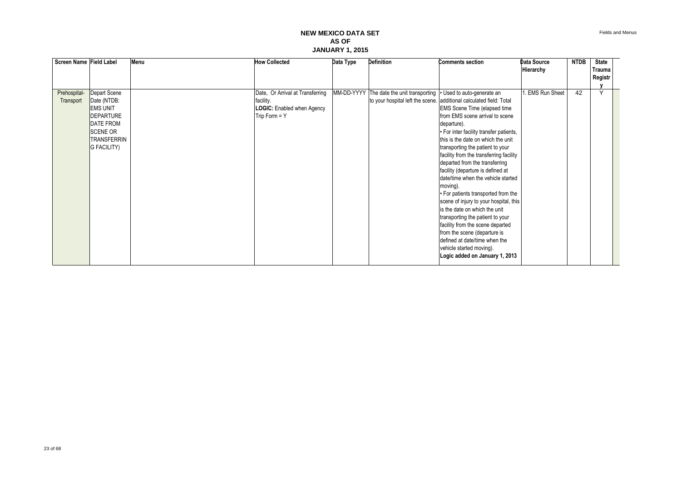Fields and Menus

| Screen Name Field Label |                               | Menu | <b>How Collected</b>              | Data Type | <b>Definition</b>                         | <b>Comments section</b>                                                       | <b>Data Source</b> | <b>NTDB</b> | <b>State</b> |  |
|-------------------------|-------------------------------|------|-----------------------------------|-----------|-------------------------------------------|-------------------------------------------------------------------------------|--------------------|-------------|--------------|--|
|                         |                               |      |                                   |           |                                           |                                                                               | Hierarchy          |             | Trauma       |  |
|                         |                               |      |                                   |           |                                           |                                                                               |                    |             | Registr      |  |
|                         |                               |      |                                   |           |                                           |                                                                               |                    |             | Y            |  |
| Prehospital-            | Depart Scene                  |      | Date, Or Arrival at Transferring  |           | MM-DD-YYYY The date the unit transporting | • Used to auto-generate an                                                    | EMS Run Sheet      | 42          |              |  |
| Transport               | Date (NTDB:                   |      | facility.                         |           |                                           | to your hospital left the scene. additional calculated field: Total           |                    |             |              |  |
|                         | <b>EMS UNIT</b>               |      | <b>LOGIC:</b> Enabled when Agency |           |                                           | <b>EMS</b> Scene Time (elapsed time                                           |                    |             |              |  |
|                         | DEPARTURE<br><b>DATE FROM</b> |      | Trip Form $=$ Y                   |           |                                           | from EMS scene arrival to scene                                               |                    |             |              |  |
|                         | <b>SCENE OR</b>               |      |                                   |           |                                           | departure).                                                                   |                    |             |              |  |
|                         | <b>TRANSFERRIN</b>            |      |                                   |           |                                           | • For inter facility transfer patients,<br>this is the date on which the unit |                    |             |              |  |
|                         | <b>G FACILITY)</b>            |      |                                   |           |                                           |                                                                               |                    |             |              |  |
|                         |                               |      |                                   |           |                                           | transporting the patient to your                                              |                    |             |              |  |
|                         |                               |      |                                   |           |                                           | facility from the transferring facility<br>departed from the transferring     |                    |             |              |  |
|                         |                               |      |                                   |           |                                           | facility (departure is defined at                                             |                    |             |              |  |
|                         |                               |      |                                   |           |                                           | date/time when the vehicle started                                            |                    |             |              |  |
|                         |                               |      |                                   |           |                                           | moving).                                                                      |                    |             |              |  |
|                         |                               |      |                                   |           |                                           | • For patients transported from the                                           |                    |             |              |  |
|                         |                               |      |                                   |           |                                           | scene of injury to your hospital, this                                        |                    |             |              |  |
|                         |                               |      |                                   |           |                                           | is the date on which the unit                                                 |                    |             |              |  |
|                         |                               |      |                                   |           |                                           | transporting the patient to your                                              |                    |             |              |  |
|                         |                               |      |                                   |           |                                           | facility from the scene departed                                              |                    |             |              |  |
|                         |                               |      |                                   |           |                                           | from the scene (departure is                                                  |                    |             |              |  |
|                         |                               |      |                                   |           |                                           | defined at date/time when the                                                 |                    |             |              |  |
|                         |                               |      |                                   |           |                                           | vehicle started moving).                                                      |                    |             |              |  |
|                         |                               |      |                                   |           |                                           | Logic added on January 1, 2013                                                |                    |             |              |  |
|                         |                               |      |                                   |           |                                           |                                                                               |                    |             |              |  |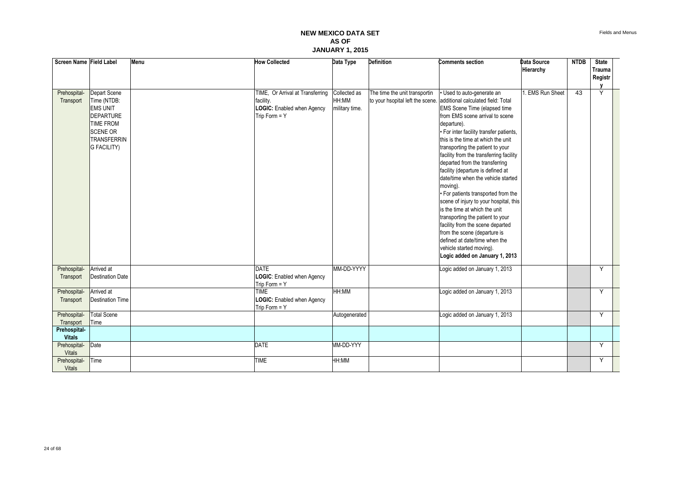| Screen Name Field Label                        |                                                                                                                                                       | Menu | <b>How Collected</b>                                                                           | Data Type                               | <b>Definition</b>                                                 | <b>Comments section</b>                                                                                                                                                                                                                                                                                                                                                                                                                                                                                                                                                                                                                                                                                                                                            | Data Source<br>Hierarchy | <b>NTDB</b>     | <b>State</b><br>Trauma<br>Registr |  |
|------------------------------------------------|-------------------------------------------------------------------------------------------------------------------------------------------------------|------|------------------------------------------------------------------------------------------------|-----------------------------------------|-------------------------------------------------------------------|--------------------------------------------------------------------------------------------------------------------------------------------------------------------------------------------------------------------------------------------------------------------------------------------------------------------------------------------------------------------------------------------------------------------------------------------------------------------------------------------------------------------------------------------------------------------------------------------------------------------------------------------------------------------------------------------------------------------------------------------------------------------|--------------------------|-----------------|-----------------------------------|--|
| Prehospital-<br>Transport                      | Depart Scene<br>Time (NTDB:<br><b>EMS UNIT</b><br><b>DEPARTURE</b><br><b>TIME FROM</b><br><b>SCENE OR</b><br><b>TRANSFERRIN</b><br><b>G FACILITY)</b> |      | TIME, Or Arrival at Transferring<br>facility.<br>LOGIC: Enabled when Agency<br>Trip Form $=$ Y | Collected as<br>HH:MM<br>military time. | The time the unit transportin<br>to your hsopital left the scene. | Used to auto-generate an<br>additional calculated field: Total<br>EMS Scene Time (elapsed time<br>from EMS scene arrival to scene<br>departure).<br>· For inter facility transfer patients,<br>this is the time at which the unit<br>transporting the patient to your<br>facility from the transferring facility<br>departed from the transferring<br>facility (departure is defined at<br>date/time when the vehicle started<br>moving).<br>. For patients transported from the<br>scene of injury to your hospital, this<br>is the time at which the unit<br>transporting the patient to your<br>facility from the scene departed<br>from the scene (departure is<br>defined at date/time when the<br>vehicle started moving).<br>Logic added on January 1, 2013 | 1. EMS Run Sheet         | $\overline{43}$ | Y                                 |  |
| Prehospital-<br>Transport                      | Arrived at<br><b>Destination Date</b>                                                                                                                 |      | <b>DATE</b><br>LOGIC: Enabled when Agency<br>Trip Form = Y                                     | MM-DD-YYYY                              |                                                                   | Logic added on January 1, 2013                                                                                                                                                                                                                                                                                                                                                                                                                                                                                                                                                                                                                                                                                                                                     |                          |                 | Y                                 |  |
| Prehospital-<br>Transport                      | Arrived at<br><b>Destination Time</b>                                                                                                                 |      | <b>TIME</b><br>LOGIC: Enabled when Agency<br>Trip Form $=$ Y                                   | HH:MM                                   |                                                                   | Logic added on January 1, 2013                                                                                                                                                                                                                                                                                                                                                                                                                                                                                                                                                                                                                                                                                                                                     |                          |                 | Y                                 |  |
| Prehospital-<br>Transport<br>Prehospital-      | <b>Total Scene</b><br>Time                                                                                                                            |      |                                                                                                | Autogenerated                           |                                                                   | Logic added on January 1, 2013                                                                                                                                                                                                                                                                                                                                                                                                                                                                                                                                                                                                                                                                                                                                     |                          |                 | Υ                                 |  |
| <b>Vitals</b><br>Prehospital-<br><b>Vitals</b> | Date                                                                                                                                                  |      | <b>DATE</b>                                                                                    | MM-DD-YYY                               |                                                                   |                                                                                                                                                                                                                                                                                                                                                                                                                                                                                                                                                                                                                                                                                                                                                                    |                          |                 | Y                                 |  |
| Prehospital-<br><b>Vitals</b>                  | Time                                                                                                                                                  |      | <b>TIME</b>                                                                                    | HH:MM                                   |                                                                   |                                                                                                                                                                                                                                                                                                                                                                                                                                                                                                                                                                                                                                                                                                                                                                    |                          |                 | Y                                 |  |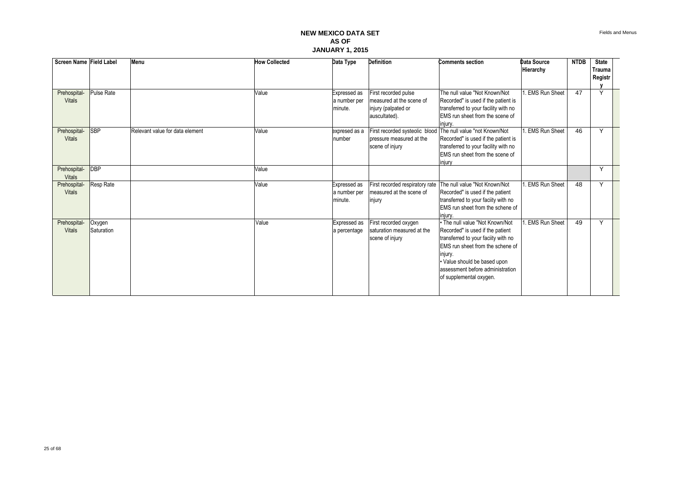| Screen Name Field Label             |                      | Menu                            | <b>How Collected</b> | Data Type                               | <b>Definition</b>                                                                        | <b>Comments section</b>                                                                                                                                                                                                                                  | <b>Data Source</b><br>Hierarchy | <b>NTDB</b> | <b>State</b><br>Trauma<br>Registr |  |
|-------------------------------------|----------------------|---------------------------------|----------------------|-----------------------------------------|------------------------------------------------------------------------------------------|----------------------------------------------------------------------------------------------------------------------------------------------------------------------------------------------------------------------------------------------------------|---------------------------------|-------------|-----------------------------------|--|
| Prehospital-<br><b>Vitals</b>       | <b>Pulse Rate</b>    |                                 | Value                | Expressed as<br>a number per<br>minute. | First recorded pulse<br>measured at the scene of<br>injury (palpated or<br>auscultated). | The null value "Not Known/Not<br>Recorded" is used if the patient is<br>transferred to your facility with no<br>EMS run sheet from the scene of<br>iniurv.                                                                                               | . EMS Run Sheet                 | 47          | $\checkmark$                      |  |
| Prehospital-<br><b>Vitals</b>       | <b>SBP</b>           | Relevant value for data element | Value                | expresed as a<br>number                 | First recorded systeolic blood<br>pressure measured at the<br>scene of injury            | The null value "not Known/Not<br>Recorded" is used if the patient is<br>transferred to your facility with no<br>EMS run sheet from the scene of<br>injury                                                                                                | <b>EMS Run Sheet</b>            | 46          | $\checkmark$                      |  |
| Prehospital-<br><b>Vitals</b>       | DBP                  |                                 | Value                |                                         |                                                                                          |                                                                                                                                                                                                                                                          |                                 |             | Y                                 |  |
| <b>Prehospital</b><br><b>Vitals</b> | Resp Rate            |                                 | Value                | Expressed as<br>a number per<br>minute. | First recorded respiratory rate<br>measured at the scene of<br>injury                    | The null value "Not Known/Not<br>Recorded" is used if the patient<br>transferred to your faciity with no<br><b>EMS</b> run sheet from the schene of<br>iniurv.                                                                                           | . EMS Run Sheet                 | 48          | $\vee$                            |  |
| Prehospital-<br><b>Vitals</b>       | Oxygen<br>Saturation |                                 | Value                | Expressed as<br>a percentage            | First recorded oxygen<br>saturation measured at the<br>scene of injury                   | • The null value "Not Known/Not<br>Recorded" is used if the patient<br>transferred to your faciity with no<br>EMS run sheet from the schene of<br>injury.<br>· Value should be based upon<br>assessment before administration<br>of supplemental oxygen. | <b>EMS Run Sheet</b>            | 49          |                                   |  |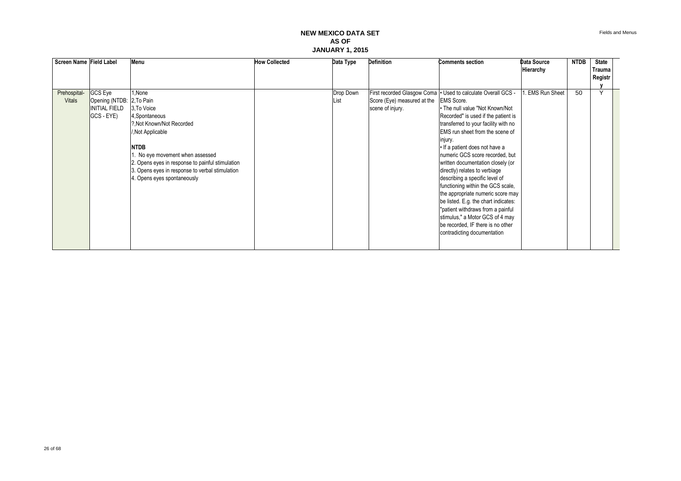Fields and Menus

| GCS Eye<br>First recorded Glasgow Coma   · Used to calculate Overall GCS -<br>Prehospital-<br>Drop Down<br>1,None<br>Opening (NTDB: 2, To Pain<br>Score (Eye) measured at the<br><b>EMS Score.</b><br><b>Vitals</b><br>List<br><b>INITIAL FIELD</b><br>3. To Voice<br>. The null value "Not Known/Not<br>scene of injury.<br>GCS - EYE)<br>Recorded" is used if the patient is<br>4, Spontaneous<br>?, Not Known/Not Recorded<br>transferred to your facility with no<br>EMS run sheet from the scene of<br>, Not Applicable<br>injury.<br><b>NTDB</b><br>. If a patient does not have a<br>No eye movement when assessed<br>numeric GCS score recorded, but<br>2. Opens eyes in response to painful stimulation<br>written documentation closely (or | <b>NTDB</b><br>Data Source | <b>State</b>            |
|-------------------------------------------------------------------------------------------------------------------------------------------------------------------------------------------------------------------------------------------------------------------------------------------------------------------------------------------------------------------------------------------------------------------------------------------------------------------------------------------------------------------------------------------------------------------------------------------------------------------------------------------------------------------------------------------------------------------------------------------------------|----------------------------|-------------------------|
|                                                                                                                                                                                                                                                                                                                                                                                                                                                                                                                                                                                                                                                                                                                                                       | Hierarchy                  | Trauma                  |
|                                                                                                                                                                                                                                                                                                                                                                                                                                                                                                                                                                                                                                                                                                                                                       |                            | Registr                 |
| 3. Opens eyes in response to verbal stimulation<br>directly) relates to verbiage<br>describing a specific level of<br>4. Opens eyes spontaneously<br>functioning within the GCS scale,<br>the appropriate numeric score may<br>be listed. E.g. the chart indicates:<br>"patient withdraws from a painful<br>stimulus," a Motor GCS of 4 may<br>be recorded, IF there is no other<br>contradicting documentation                                                                                                                                                                                                                                                                                                                                       | 50<br>. EMS Run Sheet      | $\overline{\mathsf{v}}$ |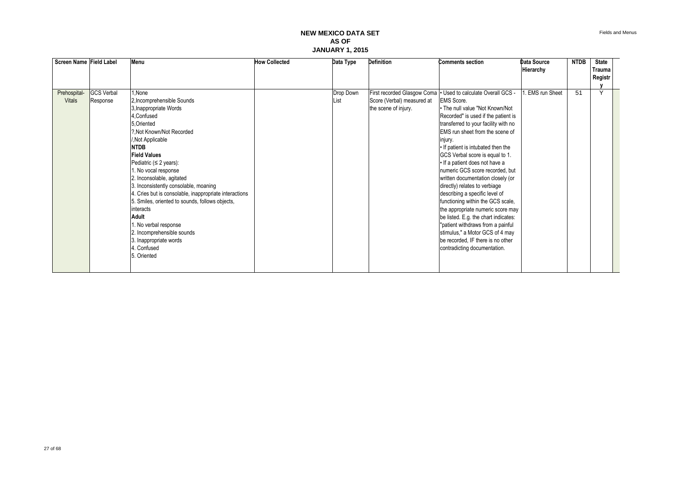| Screen Name Field Label |                   | Menu                                                   | <b>How Collected</b> | Data Type | <b>Definition</b>           | <b>Comments section</b>              | <b>Data Source</b>   | <b>NTDB</b> | <b>State</b> |  |
|-------------------------|-------------------|--------------------------------------------------------|----------------------|-----------|-----------------------------|--------------------------------------|----------------------|-------------|--------------|--|
|                         |                   |                                                        |                      |           |                             |                                      | Hierarchy            |             | Trauma       |  |
|                         |                   |                                                        |                      |           |                             |                                      |                      |             | Registr      |  |
|                         |                   |                                                        |                      |           |                             |                                      |                      |             |              |  |
| Prehospital-            | <b>GCS</b> Verbal | 1.None                                                 |                      | Drop Down | First recorded Glasgow Coma | • Used to calculate Overall GCS -    | <b>EMS</b> run Sheet | 51          | $\checkmark$ |  |
| <b>Vitals</b>           | Response          | 2, Incomprehensible Sounds                             |                      | List      | Score (Verbal) measured at  | <b>EMS</b> Score.                    |                      |             |              |  |
|                         |                   | 3, Inappropriate Words                                 |                      |           | the scene of injury.        | • The null value "Not Known/Not      |                      |             |              |  |
|                         |                   | 4, Confused                                            |                      |           |                             | Recorded" is used if the patient is  |                      |             |              |  |
|                         |                   | 5, Oriented                                            |                      |           |                             | transferred to your facility with no |                      |             |              |  |
|                         |                   | ?. Not Known/Not Recorded                              |                      |           |                             | EMS run sheet from the scene of      |                      |             |              |  |
|                         |                   | ,Not Applicable                                        |                      |           |                             | injury.                              |                      |             |              |  |
|                         |                   | <b>NTDB</b>                                            |                      |           |                             | . If patient is intubated then the   |                      |             |              |  |
|                         |                   | <b>Field Values</b>                                    |                      |           |                             | GCS Verbal score is equal to 1.      |                      |             |              |  |
|                         |                   | Pediatric ( $\leq$ 2 years):                           |                      |           |                             | • If a patient does not have a       |                      |             |              |  |
|                         |                   | 1. No vocal response                                   |                      |           |                             | numeric GCS score recorded, but      |                      |             |              |  |
|                         |                   | 2. Inconsolable, agitated                              |                      |           |                             | written documentation closely (or    |                      |             |              |  |
|                         |                   | 3. Inconsistently consolable, moaning                  |                      |           |                             | directly) relates to verbiage        |                      |             |              |  |
|                         |                   | 4. Cries but is consolable, inappropriate interactions |                      |           |                             | describing a specific level of       |                      |             |              |  |
|                         |                   | 5. Smiles, oriented to sounds, follows objects,        |                      |           |                             | functioning within the GCS scale,    |                      |             |              |  |
|                         |                   | interacts                                              |                      |           |                             | the appropriate numeric score may    |                      |             |              |  |
|                         |                   | <b>Adult</b>                                           |                      |           |                             | be listed. E.g. the chart indicates: |                      |             |              |  |
|                         |                   | 1. No verbal response                                  |                      |           |                             | "patient withdraws from a painful    |                      |             |              |  |
|                         |                   | 2. Incomprehensible sounds                             |                      |           |                             | stimulus," a Motor GCS of 4 may      |                      |             |              |  |
|                         |                   | 3. Inappropriate words                                 |                      |           |                             | be recorded, IF there is no other    |                      |             |              |  |
|                         |                   | 4. Confused                                            |                      |           |                             | contradicting documentation.         |                      |             |              |  |
|                         |                   | 5. Oriented                                            |                      |           |                             |                                      |                      |             |              |  |
|                         |                   |                                                        |                      |           |                             |                                      |                      |             |              |  |
|                         |                   |                                                        |                      |           |                             |                                      |                      |             |              |  |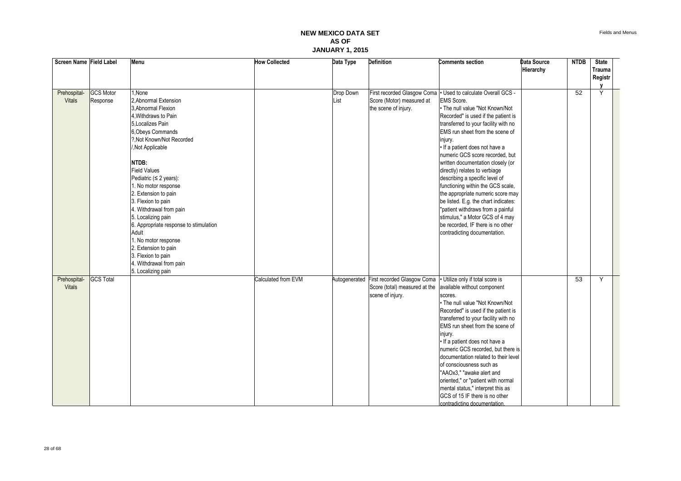Fields and Menus

| Screen Name Field Label |                  | Menu                                   | <b>How Collected</b> | Data Type     | <b>Definition</b>             | <b>Comments section</b>                                         | Data Source | <b>NTDB</b> | <b>State</b>  |  |
|-------------------------|------------------|----------------------------------------|----------------------|---------------|-------------------------------|-----------------------------------------------------------------|-------------|-------------|---------------|--|
|                         |                  |                                        |                      |               |                               |                                                                 | Hierarchy   |             | <b>Trauma</b> |  |
|                         |                  |                                        |                      |               |                               |                                                                 |             |             | Registr       |  |
|                         |                  |                                        |                      |               |                               |                                                                 |             |             | $\mathbf v$   |  |
| Prehospital-            | <b>GCS Motor</b> | 1.None                                 |                      | Drop Down     |                               | First recorded Glasgow Coma   · Used to calculate Overall GCS - |             | 52          | Y             |  |
| <b>Vitals</b>           | Response         | 2. Abnormal Extension                  |                      | List          | Score (Motor) measured at     | EMS Score.                                                      |             |             |               |  |
|                         |                  | 3. Abnormal Flexion                    |                      |               | the scene of injury.          | • The null value "Not Known/Not                                 |             |             |               |  |
|                         |                  | 4. Withdraws to Pain                   |                      |               |                               | Recorded" is used if the patient is                             |             |             |               |  |
|                         |                  | 5. Localizes Pain                      |                      |               |                               | transferred to your facility with no                            |             |             |               |  |
|                         |                  | 6, Obeys Commands                      |                      |               |                               | EMS run sheet from the scene of                                 |             |             |               |  |
|                         |                  | ?, Not Known/Not Recorded              |                      |               |                               | injury.                                                         |             |             |               |  |
|                         |                  | /, Not Applicable                      |                      |               |                               | · If a patient does not have a                                  |             |             |               |  |
|                         |                  |                                        |                      |               |                               | numeric GCS score recorded, but                                 |             |             |               |  |
|                         |                  | NTDB:                                  |                      |               |                               | written documentation closely (or                               |             |             |               |  |
|                         |                  | <b>Field Values</b>                    |                      |               |                               | directly) relates to verbiage                                   |             |             |               |  |
|                         |                  | Pediatric $( \leq 2 \text{ years})$ :  |                      |               |                               | describing a specific level of                                  |             |             |               |  |
|                         |                  | 1. No motor response                   |                      |               |                               | functioning within the GCS scale,                               |             |             |               |  |
|                         |                  | 2. Extension to pain                   |                      |               |                               | the appropriate numeric score may                               |             |             |               |  |
|                         |                  | 3. Flexion to pain                     |                      |               |                               | be listed. E.g. the chart indicates:                            |             |             |               |  |
|                         |                  | 4. Withdrawal from pain                |                      |               |                               | "patient withdraws from a painful                               |             |             |               |  |
|                         |                  | 5. Localizing pain                     |                      |               |                               | stimulus," a Motor GCS of 4 may                                 |             |             |               |  |
|                         |                  | 6. Appropriate response to stimulation |                      |               |                               | be recorded. IF there is no other                               |             |             |               |  |
|                         |                  | Adult                                  |                      |               |                               | contradicting documentation.                                    |             |             |               |  |
|                         |                  | 1. No motor response                   |                      |               |                               |                                                                 |             |             |               |  |
|                         |                  | 2. Extension to pain                   |                      |               |                               |                                                                 |             |             |               |  |
|                         |                  | 3. Flexion to pain                     |                      |               |                               |                                                                 |             |             |               |  |
|                         |                  | 4. Withdrawal from pain                |                      |               |                               |                                                                 |             |             |               |  |
|                         |                  | 5. Localizing pain                     |                      |               |                               |                                                                 |             |             |               |  |
| Prehospital-            | <b>GCS Total</b> |                                        | Calculated from EVM  | Autogenerated | First recorded Glasgow Coma   | Utilize only if total score is                                  |             | 53          | Y             |  |
| <b>Vitals</b>           |                  |                                        |                      |               | Score (total) measured at the | available without component                                     |             |             |               |  |
|                         |                  |                                        |                      |               | scene of injury.              | scores.                                                         |             |             |               |  |
|                         |                  |                                        |                      |               |                               | . The null value "Not Known/Not                                 |             |             |               |  |
|                         |                  |                                        |                      |               |                               | Recorded" is used if the patient is                             |             |             |               |  |
|                         |                  |                                        |                      |               |                               | transferred to your facility with no                            |             |             |               |  |
|                         |                  |                                        |                      |               |                               | EMS run sheet from the scene of                                 |             |             |               |  |
|                         |                  |                                        |                      |               |                               | injury.                                                         |             |             |               |  |
|                         |                  |                                        |                      |               |                               | · If a patient does not have a                                  |             |             |               |  |
|                         |                  |                                        |                      |               |                               | numeric GCS recorded, but there is                              |             |             |               |  |
|                         |                  |                                        |                      |               |                               | documentation related to their level                            |             |             |               |  |
|                         |                  |                                        |                      |               |                               | of consciousness such as                                        |             |             |               |  |
|                         |                  |                                        |                      |               |                               | "AAOx3," "awake alert and                                       |             |             |               |  |
|                         |                  |                                        |                      |               |                               | oriented," or "patient with normal                              |             |             |               |  |
|                         |                  |                                        |                      |               |                               | mental status," interpret this as                               |             |             |               |  |
|                         |                  |                                        |                      |               |                               | GCS of 15 IF there is no other                                  |             |             |               |  |
|                         |                  |                                        |                      |               |                               | contradicting documentation.                                    |             |             |               |  |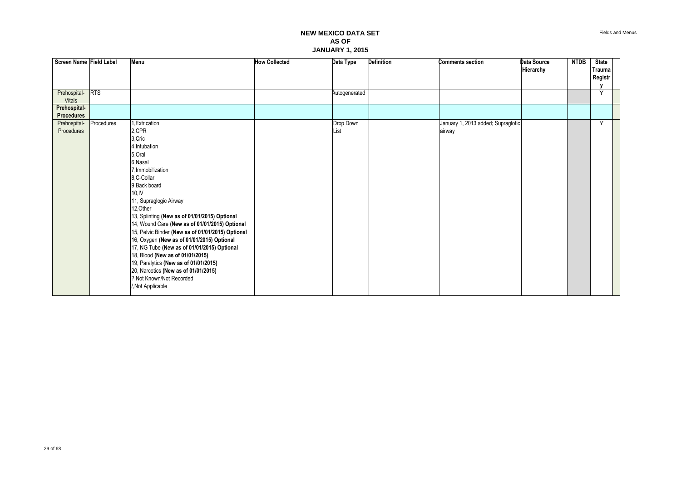| Screen Name Field Label |            | Menu                                              | <b>How Collected</b> | Data Type     | Definition | <b>Comments section</b>            | Data Source<br>Hierarchy | <b>NTDB</b> | <b>State</b><br>Trauma<br>Registr |  |
|-------------------------|------------|---------------------------------------------------|----------------------|---------------|------------|------------------------------------|--------------------------|-------------|-----------------------------------|--|
| Prehospital-RTS         |            |                                                   |                      | Autogenerated |            |                                    |                          |             | Y                                 |  |
| <b>Vitals</b>           |            |                                                   |                      |               |            |                                    |                          |             |                                   |  |
| Prehospital-            |            |                                                   |                      |               |            |                                    |                          |             |                                   |  |
| Procedures              |            |                                                   |                      |               |            |                                    |                          |             |                                   |  |
| Prehospital-            | Procedures | ,Extrication                                      |                      | Drop Down     |            | January 1, 2013 added; Supraglotic |                          |             | Y                                 |  |
| Procedures              |            | 2,CPR                                             |                      | List          |            | airway                             |                          |             |                                   |  |
|                         |            | 3, Cric                                           |                      |               |            |                                    |                          |             |                                   |  |
|                         |            | 4, Intubation                                     |                      |               |            |                                    |                          |             |                                   |  |
|                         |            | 5, Oral                                           |                      |               |            |                                    |                          |             |                                   |  |
|                         |            | 6, Nasal                                          |                      |               |            |                                    |                          |             |                                   |  |
|                         |            | 7. Immobilization                                 |                      |               |            |                                    |                          |             |                                   |  |
|                         |            | 8,C-Collar                                        |                      |               |            |                                    |                          |             |                                   |  |
|                         |            | 9, Back board<br>$10,$ IV                         |                      |               |            |                                    |                          |             |                                   |  |
|                         |            | 11, Supraglogic Airway                            |                      |               |            |                                    |                          |             |                                   |  |
|                         |            | 12, Other                                         |                      |               |            |                                    |                          |             |                                   |  |
|                         |            | 13, Splinting (New as of 01/01/2015) Optional     |                      |               |            |                                    |                          |             |                                   |  |
|                         |            | 14, Wound Care (New as of 01/01/2015) Optional    |                      |               |            |                                    |                          |             |                                   |  |
|                         |            | 15, Pelvic Binder (New as of 01/01/2015) Optional |                      |               |            |                                    |                          |             |                                   |  |
|                         |            | 16, Oxygen (New as of 01/01/2015) Optional        |                      |               |            |                                    |                          |             |                                   |  |
|                         |            | 17, NG Tube (New as of 01/01/2015) Optional       |                      |               |            |                                    |                          |             |                                   |  |
|                         |            | 18, Blood (New as of 01/01/2015)                  |                      |               |            |                                    |                          |             |                                   |  |
|                         |            | 19, Paralytics (New as of 01/01/2015)             |                      |               |            |                                    |                          |             |                                   |  |
|                         |            | 20, Narcotics (New as of 01/01/2015)              |                      |               |            |                                    |                          |             |                                   |  |
|                         |            | ?, Not Known/Not Recorded                         |                      |               |            |                                    |                          |             |                                   |  |
|                         |            | /, Not Applicable                                 |                      |               |            |                                    |                          |             |                                   |  |
|                         |            |                                                   |                      |               |            |                                    |                          |             |                                   |  |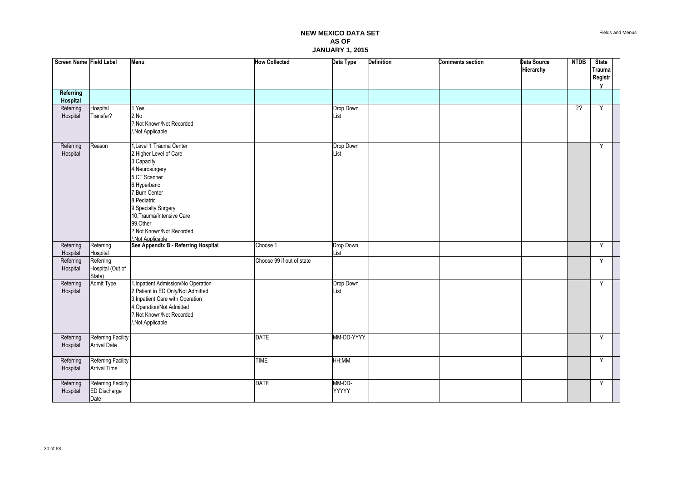| Screen Name Field Label |                                                   | <b>Menu</b>                                                                                                                                                                                                                                                                 | <b>How Collected</b>      | Data Type              | <b>Definition</b> | <b>Comments section</b> | Data Source<br>Hierarchy | <b>NTDB</b>    | <b>State</b><br>Trauma<br>Registr<br>$\mathbf{v}$ |  |
|-------------------------|---------------------------------------------------|-----------------------------------------------------------------------------------------------------------------------------------------------------------------------------------------------------------------------------------------------------------------------------|---------------------------|------------------------|-------------------|-------------------------|--------------------------|----------------|---------------------------------------------------|--|
| Referring<br>Hospital   |                                                   |                                                                                                                                                                                                                                                                             |                           |                        |                   |                         |                          |                |                                                   |  |
| Referring<br>Hospital   | Hospital<br>Transfer?                             | 1.Yes<br>2,No<br>?, Not Known/Not Recorded<br>/, Not Applicable                                                                                                                                                                                                             |                           | Drop Down<br>List      |                   |                         |                          | $\overline{?}$ | Y                                                 |  |
| Referring<br>Hospital   | Reason                                            | 1, Level 1 Trauma Center<br>2, Higher Level of Care<br>3, Capacity<br>4, Neurosurgery<br>5,CT Scanner<br>6, Hyperbaric<br>7, Burn Center<br>8, Pediatric<br>9, Specialty Surgery<br>10, Trauma/Intensive Care<br>99, Other<br>?. Not Known/Not Recorded<br>/.Not Applicable |                           | Drop Down<br>List      |                   |                         |                          |                | Y                                                 |  |
| Referring<br>Hospital   | Referring<br>Hospital                             | See Appendix B - Referring Hospital                                                                                                                                                                                                                                         | Choose 1                  | Drop Down<br>List      |                   |                         |                          |                | Y                                                 |  |
| Referring<br>Hospital   | Referring<br>Hospital (Out of<br>State)           |                                                                                                                                                                                                                                                                             | Choose 99 if out of state |                        |                   |                         |                          |                | Y                                                 |  |
| Referring<br>Hospital   | <b>Admit Type</b>                                 | 1, Inpatient Admission/No Operation<br>2, Patient in ED Only/Not Admitted<br>3, Inpatient Care with Operation<br>4, Operation/Not Admitted<br>?, Not Known/Not Recorded<br>/, Not Applicable                                                                                |                           | Drop Down<br>List      |                   |                         |                          |                | Y                                                 |  |
| Referring<br>Hospital   | Referring Facility<br><b>Arrival Date</b>         |                                                                                                                                                                                                                                                                             | <b>DATE</b>               | MM-DD-YYYY             |                   |                         |                          |                | Y                                                 |  |
| Referring<br>Hospital   | Referring Facility<br><b>Arrival Time</b>         |                                                                                                                                                                                                                                                                             | <b>TIME</b>               | HH:MM                  |                   |                         |                          |                | Y                                                 |  |
| Referring<br>Hospital   | Referring Facility<br><b>ED Discharge</b><br>Date |                                                                                                                                                                                                                                                                             | <b>DATE</b>               | MM-DD-<br><b>YYYYY</b> |                   |                         |                          |                | Y                                                 |  |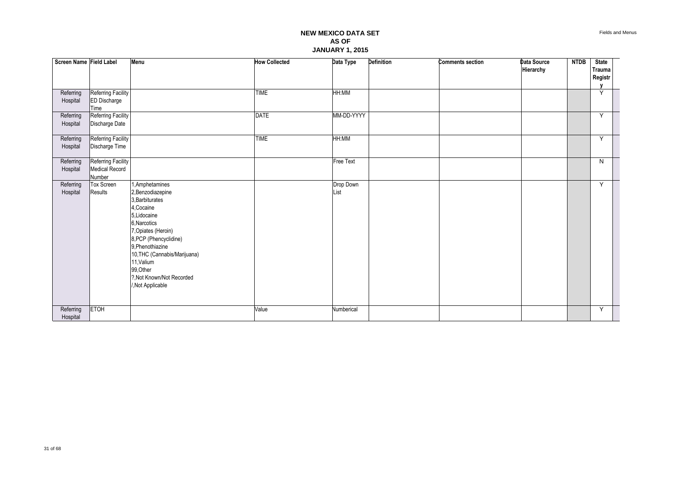| Screen Name Field Label |                                                   | Menu                                                                                                                                                                                                                                                                                    | <b>How Collected</b> | Data Type         | Definition | <b>Comments section</b> | Data Source<br>Hierarchy | <b>NTDB</b> | <b>State</b><br>Trauma<br>Registr |
|-------------------------|---------------------------------------------------|-----------------------------------------------------------------------------------------------------------------------------------------------------------------------------------------------------------------------------------------------------------------------------------------|----------------------|-------------------|------------|-------------------------|--------------------------|-------------|-----------------------------------|
| Referring<br>Hospital   | Referring Facility<br><b>ED Discharge</b><br>Time |                                                                                                                                                                                                                                                                                         | <b>TIME</b>          | HH:MM             |            |                         |                          |             | Y                                 |
| Referring<br>Hospital   | Referring Facility<br>Discharge Date              |                                                                                                                                                                                                                                                                                         | <b>DATE</b>          | MM-DD-YYYY        |            |                         |                          |             | Y                                 |
| Referring<br>Hospital   | Referring Facility<br>Discharge Time              |                                                                                                                                                                                                                                                                                         | <b>TIME</b>          | HH:MM             |            |                         |                          |             | Y                                 |
| Referring<br>Hospital   | Referring Facility<br>Medical Record<br>Number    |                                                                                                                                                                                                                                                                                         |                      | <b>Free Text</b>  |            |                         |                          |             | $\mathsf{N}$                      |
| Referring<br>Hospital   | <b>Tox Screen</b><br>Results                      | 1, Amphetamines<br>2, Benzodiazepine<br>3, Barbiturates<br>4, Cocaine<br>5, Lidocaine<br>6, Narcotics<br>7, Opiates (Heroin)<br>8, PCP (Phencyclidine)<br>9, Phenothiazine<br>10, THC (Cannabis/Marijuana)<br>11, Valium<br>99, Other<br>?, Not Known/Not Recorded<br>/, Not Applicable |                      | Drop Down<br>List |            |                         |                          |             | Y                                 |
| Referring<br>Hospital   | ETOH                                              |                                                                                                                                                                                                                                                                                         | Value                | Numberical        |            |                         |                          |             | Y                                 |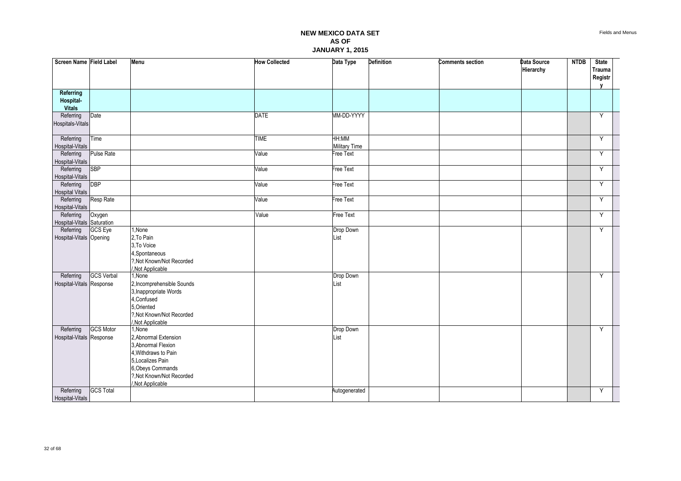| Screen Name Field Label                 |                   | Menu                                           | <b>How Collected</b> | Data Type              | <b>Definition</b> | <b>Comments section</b> | Data Source<br>Hierarchy | <b>NTDB</b> | <b>State</b><br>Trauma<br>Registr<br>$\mathbf v$ |  |
|-----------------------------------------|-------------------|------------------------------------------------|----------------------|------------------------|-------------------|-------------------------|--------------------------|-------------|--------------------------------------------------|--|
| Referring<br>Hospital-<br><b>Vitals</b> |                   |                                                |                      |                        |                   |                         |                          |             |                                                  |  |
| Referring                               | Date              |                                                | <b>DATE</b>          | MM-DD-YYYY             |                   |                         |                          |             | Y                                                |  |
| Hospitals-Vitals                        |                   |                                                |                      |                        |                   |                         |                          |             |                                                  |  |
| Referring<br>Hospital-Vitals            | Time              |                                                | <b>TIME</b>          | HH:MM<br>Military Time |                   |                         |                          |             | Y                                                |  |
| Referring<br>Hospital-Vitals            | Pulse Rate        |                                                | Value                | Free Text              |                   |                         |                          |             | Y                                                |  |
| Referring<br>Hospital-Vitals            | <b>SBP</b>        |                                                | Value                | Free Text              |                   |                         |                          |             | Y                                                |  |
| Referring<br><b>Hospital Vitals</b>     | DBP               |                                                | Value                | Free Text              |                   |                         |                          |             | Y                                                |  |
| Referring<br>Hospital-Vitals            | Resp Rate         |                                                | Value                | Free Text              |                   |                         |                          |             | Y                                                |  |
| Referring                               | Oxygen            |                                                | Value                | Free Text              |                   |                         |                          |             | Y                                                |  |
| Hospital-Vitals Saturation              |                   |                                                |                      |                        |                   |                         |                          |             |                                                  |  |
| Referring                               | GCS Eye           | 1, None                                        |                      | Drop Down              |                   |                         |                          |             | Y                                                |  |
| Hospital-Vitals Opening                 |                   | 2, To Pain                                     |                      | List                   |                   |                         |                          |             |                                                  |  |
|                                         |                   | 3, To Voice                                    |                      |                        |                   |                         |                          |             |                                                  |  |
|                                         |                   | 4, Spontaneous                                 |                      |                        |                   |                         |                          |             |                                                  |  |
|                                         |                   | ?, Not Known/Not Recorded                      |                      |                        |                   |                         |                          |             |                                                  |  |
| Referring                               | <b>GCS Verbal</b> | Not Applicable<br>1.None                       |                      | Drop Down              |                   |                         |                          |             | Y                                                |  |
| Hospital-Vitals Response                |                   | 2, Incomprehensible Sounds                     |                      | List                   |                   |                         |                          |             |                                                  |  |
|                                         |                   | 3, Inappropriate Words                         |                      |                        |                   |                         |                          |             |                                                  |  |
|                                         |                   | 4, Confused                                    |                      |                        |                   |                         |                          |             |                                                  |  |
|                                         |                   | 5, Oriented                                    |                      |                        |                   |                         |                          |             |                                                  |  |
|                                         |                   | ?, Not Known/Not Recorded                      |                      |                        |                   |                         |                          |             |                                                  |  |
|                                         |                   | Not Applicable                                 |                      |                        |                   |                         |                          |             |                                                  |  |
| Referring                               | GCS Motor         | 1.None                                         |                      | Drop Down              |                   |                         |                          |             | Y                                                |  |
| Hospital-Vitals Response                |                   | 2. Abnormal Extension                          |                      | List                   |                   |                         |                          |             |                                                  |  |
|                                         |                   | 3, Abnormal Flexion                            |                      |                        |                   |                         |                          |             |                                                  |  |
|                                         |                   | 4, Withdraws to Pain                           |                      |                        |                   |                         |                          |             |                                                  |  |
|                                         |                   | 5, Localizes Pain                              |                      |                        |                   |                         |                          |             |                                                  |  |
|                                         |                   | 6, Obeys Commands<br>?, Not Known/Not Recorded |                      |                        |                   |                         |                          |             |                                                  |  |
|                                         |                   | Not Applicable                                 |                      |                        |                   |                         |                          |             |                                                  |  |
| Referring                               | <b>GCS Total</b>  |                                                |                      | Autogenerated          |                   |                         |                          |             | Y                                                |  |
| Hospital-Vitals                         |                   |                                                |                      |                        |                   |                         |                          |             |                                                  |  |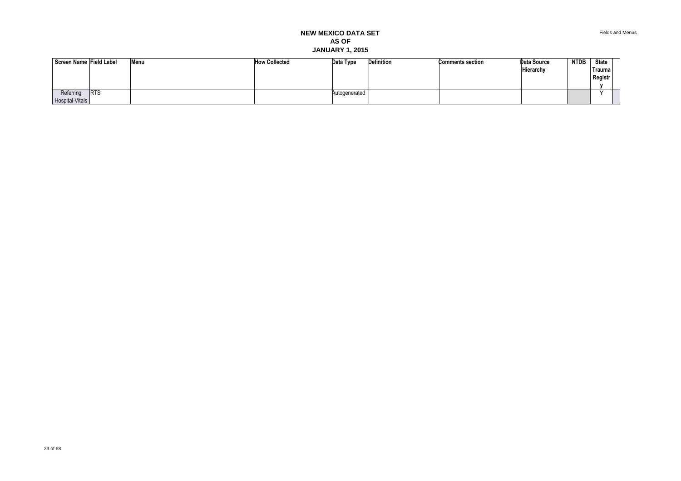Fields and Menus

| Screen Name Field Label      |            | Menu | <b>How Collected</b> | Data Type     | Definition | <b>Comments section</b> | Data Source<br>Hierarchy | <b>NTDB</b> | <b>State</b><br><b>Trauma</b><br>Registr |  |
|------------------------------|------------|------|----------------------|---------------|------------|-------------------------|--------------------------|-------------|------------------------------------------|--|
| Referring<br>Hospital-Vitals | <b>RTS</b> |      |                      | Autogenerated |            |                         |                          |             |                                          |  |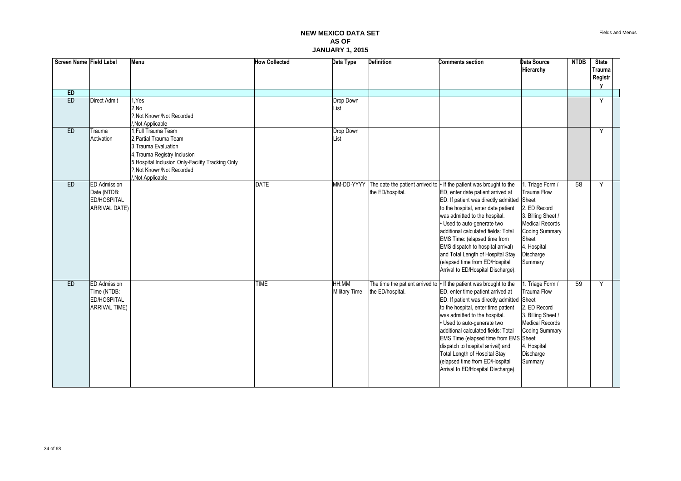| Screen Name Field Label |                                                                                  | Menu                                                                                                                                                                                                      | <b>How Collected</b> | Data Type                     | <b>Definition</b> | Comments section                                                                                                                                                                                                                                                                                                                                                                                                                                                                                  | Data Source<br>Hierarchy                                                                                                                                                        | <b>NTDB</b> | <b>State</b><br>Trauma<br>Registr |
|-------------------------|----------------------------------------------------------------------------------|-----------------------------------------------------------------------------------------------------------------------------------------------------------------------------------------------------------|----------------------|-------------------------------|-------------------|---------------------------------------------------------------------------------------------------------------------------------------------------------------------------------------------------------------------------------------------------------------------------------------------------------------------------------------------------------------------------------------------------------------------------------------------------------------------------------------------------|---------------------------------------------------------------------------------------------------------------------------------------------------------------------------------|-------------|-----------------------------------|
| ED                      |                                                                                  |                                                                                                                                                                                                           |                      |                               |                   |                                                                                                                                                                                                                                                                                                                                                                                                                                                                                                   |                                                                                                                                                                                 |             |                                   |
| ED                      | Direct Admit                                                                     | I.Yes<br>2.No<br>?. Not Known/Not Recorded<br>Not Applicable                                                                                                                                              |                      | Drop Down<br>List             |                   |                                                                                                                                                                                                                                                                                                                                                                                                                                                                                                   |                                                                                                                                                                                 |             | Y                                 |
| ED                      | Trauma<br>Activation                                                             | 1. Full Trauma Team<br>2. Partial Trauma Team<br>3. Trauma Evaluation<br>4, Trauma Registry Inclusion<br>5, Hospital Inclusion Only-Facility Tracking Only<br>?. Not Known/Not Recorded<br>Not Applicable |                      | Drop Down<br>List             |                   |                                                                                                                                                                                                                                                                                                                                                                                                                                                                                                   |                                                                                                                                                                                 |             | Y                                 |
| ED                      | <b>ED</b> Admission<br>Date (NTDB:<br><b>ED/HOSPITAL</b><br><b>ARRIVAL DATE)</b> |                                                                                                                                                                                                           | <b>DATE</b>          |                               | the ED/hospital.  | MM-DD-YYYY The date the patient arrived to   If the patient was brought to the<br>ED, enter date patient arrived at<br>ED. If patient was directly admitted Sheet<br>to the hospital, enter date patient<br>was admitted to the hospital.<br>· Used to auto-generate two<br>additional calculated fields: Total<br>EMS Time: (elapsed time from<br>EMS dispatch to hospital arrival)<br>and Total Length of Hospital Stay<br>(elapsed time from ED/Hospital<br>Arrival to ED/Hospital Discharge). | I. Triage Form /<br><b>Trauma Flow</b><br>2. ED Record<br>3. Billing Sheet /<br><b>Medical Records</b><br><b>Coding Summary</b><br>Sheet<br>4. Hospital<br>Discharge<br>Summary | 58          | Y                                 |
| ED                      | <b>ED</b> Admission<br>Time (NTDB:<br><b>ED/HOSPITAL</b><br><b>ARRIVAL TIME)</b> |                                                                                                                                                                                                           | <b>TIME</b>          | HH:MM<br><b>Military Time</b> | the ED/hospital.  | The time the patient arrived to $\cdot$ If the patient was brought to the<br>ED, enter time patient arrived at<br>ED. If patient was directly admitted Sheet<br>to the hospital, enter time patient<br>was admitted to the hospital.<br>• Used to auto-generate two<br>additional calculated fields: Total<br>EMS Time (elapsed time from EMS Sheet<br>dispatch to hospital arrival) and<br>Total Length of Hospital Stay<br>(elapsed time from ED/Hospital<br>Arrival to ED/Hospital Discharge). | . Triage Form /<br>Trauma Flow<br>2. ED Record<br>3. Billing Sheet /<br><b>Medical Records</b><br><b>Coding Summary</b><br>4. Hospital<br>Discharge<br>Summary                  | 59          | Y                                 |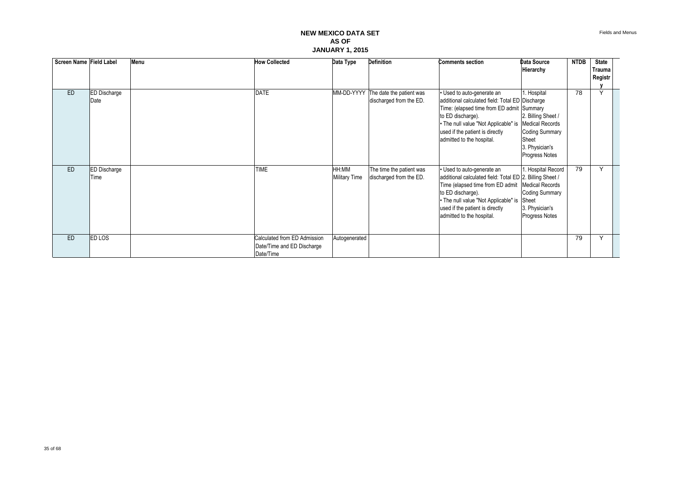| Screen Name Field Label |                     | Menu | <b>How Collected</b>         | Data Type            | <b>Definition</b>        | <b>Comments section</b>                                  | Data Source            | <b>NTDB</b> | <b>State</b>  |  |
|-------------------------|---------------------|------|------------------------------|----------------------|--------------------------|----------------------------------------------------------|------------------------|-------------|---------------|--|
|                         |                     |      |                              |                      |                          |                                                          | Hierarchy              |             | <b>Trauma</b> |  |
|                         |                     |      |                              |                      |                          |                                                          |                        |             | Registr       |  |
|                         |                     |      |                              |                      |                          |                                                          |                        |             |               |  |
| <b>ED</b>               | <b>ED Discharge</b> |      | <b>DATE</b>                  | MM-DD-YYYY           | The date the patient was | Used to auto-generate an                                 | 1. Hospital            | 78          | $\checkmark$  |  |
|                         | Date                |      |                              |                      | discharged from the ED.  | additional calculated field: Total ED Discharge          |                        |             |               |  |
|                         |                     |      |                              |                      |                          | Time: (elapsed time from ED admit Summary                |                        |             |               |  |
|                         |                     |      |                              |                      |                          | to ED discharge).                                        | 2. Billing Sheet /     |             |               |  |
|                         |                     |      |                              |                      |                          | . The null value "Not Applicable" is                     | <b>Medical Records</b> |             |               |  |
|                         |                     |      |                              |                      |                          | used if the patient is directly                          | <b>Coding Summary</b>  |             |               |  |
|                         |                     |      |                              |                      |                          | admitted to the hospital.                                | Sheet                  |             |               |  |
|                         |                     |      |                              |                      |                          |                                                          | 3. Physician's         |             |               |  |
|                         |                     |      |                              |                      |                          |                                                          | Progress Notes         |             |               |  |
| ED                      | <b>ED Discharge</b> |      | <b>TIME</b>                  | HH:MM                | The time the patient was | • Used to auto-generate an                               | 1. Hospital Record     | 79          | Y             |  |
|                         | Time                |      |                              | <b>Military Time</b> | discharged from the ED.  | additional calculated field: Total ED 2. Billing Sheet / |                        |             |               |  |
|                         |                     |      |                              |                      |                          | Time (elapsed time from ED admit                         | <b>Medical Records</b> |             |               |  |
|                         |                     |      |                              |                      |                          | to ED discharge).                                        | <b>Coding Summary</b>  |             |               |  |
|                         |                     |      |                              |                      |                          | • The null value "Not Applicable" is                     | Sheet                  |             |               |  |
|                         |                     |      |                              |                      |                          | used if the patient is directly                          | 3. Physician's         |             |               |  |
|                         |                     |      |                              |                      |                          | admitted to the hospital.                                | Progress Notes         |             |               |  |
|                         |                     |      |                              |                      |                          |                                                          |                        |             |               |  |
|                         |                     |      |                              |                      |                          |                                                          |                        |             |               |  |
| ED                      | <b>ED LOS</b>       |      | Calculated from ED Admission | Autogenerated        |                          |                                                          |                        | 79          | Y             |  |
|                         |                     |      | Date/Time and ED Discharge   |                      |                          |                                                          |                        |             |               |  |
|                         |                     |      | Date/Time                    |                      |                          |                                                          |                        |             |               |  |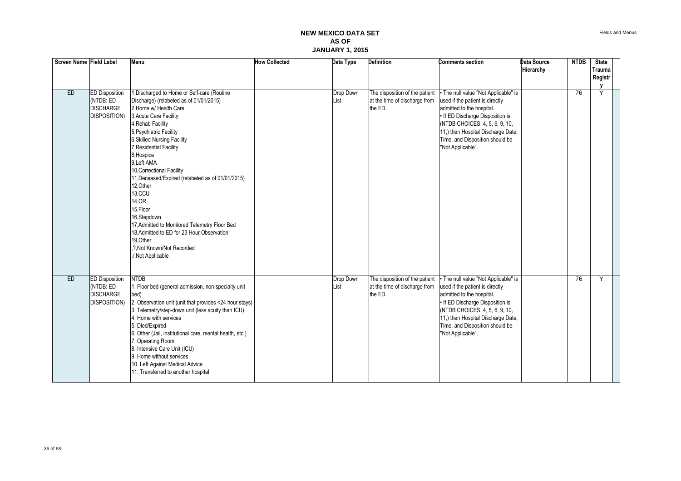| Screen Name Field Label |                                                                                | Menu                                                                                                                                                                                                                                                                                                                                                                                                                                                                                                                                                                                          | <b>How Collected</b> | Data Type         | <b>Definition</b>                                                          | Comments section                                                                                                                                                                                                                                                        | Data Source<br>Hierarchy | <b>NTDB</b> | <b>State</b><br><b>Trauma</b><br>Registr |
|-------------------------|--------------------------------------------------------------------------------|-----------------------------------------------------------------------------------------------------------------------------------------------------------------------------------------------------------------------------------------------------------------------------------------------------------------------------------------------------------------------------------------------------------------------------------------------------------------------------------------------------------------------------------------------------------------------------------------------|----------------------|-------------------|----------------------------------------------------------------------------|-------------------------------------------------------------------------------------------------------------------------------------------------------------------------------------------------------------------------------------------------------------------------|--------------------------|-------------|------------------------------------------|
| ED                      | <b>ED Disposition</b><br>(NTDB: ED<br><b>DISCHARGE</b><br><b>DISPOSITION</b> ) | 1, Discharged to Home or Self-care (Routine<br>Discharge) (relabeled as of 01/01/2015)<br>2, Home w/ Health Care<br>3, Acute Care Facility<br>4, Rehab Facility<br>5, Psychiatric Facility<br>6, Skilled Nursing Facility<br>7. Residential Facility<br>8, Hospice<br>9.Left AMA<br>10, Correctional Facility<br>11, Deceased/Expired (relabeled as of 01/01/2015)<br>12.Other<br>13,CCU<br>14, OR<br>15, Floor<br>16,Stepdown<br>17, Admitted to Monitored Telemetry Floor Bed<br>18, Admitted to ED for 23 Hour Observation<br>19.Other<br>,?, Not Known/Not Recorded<br>./, Not Applicable |                      | Drop Down<br>List | The disposition of the patient<br>at the time of discharge from<br>the ED. | • The null value "Not Applicable" is<br>used if the patient is directly<br>admitted to the hospital.<br>• If ED Discharge Disposition is<br>(NTDB CHOICES 4, 5, 6, 9, 10,<br>11,) then Hospital Discharge Date,<br>Time, and Disposition should be<br>"Not Applicable". |                          | 76          | Ÿ                                        |
| ED                      | <b>ED Disposition</b><br>(NTDB: ED<br><b>DISCHARGE</b><br><b>DISPOSITION</b> ) | <b>NTDB</b><br>1. Floor bed (general admission, non-specialty unit<br>bed)<br>2. Observation unit (unit that provides <24 hour stays)<br>3. Telemetry/step-down unit (less acuity than ICU)<br>4. Home with services<br>5. Died/Expired<br>6. Other (Jail, institutional care, mental health, etc.)<br>7. Operating Room<br>8. Intensive Care Unit (ICU)<br>9. Home without services<br>10. Left Against Medical Advice<br>11. Transferred to another hospital                                                                                                                                |                      | Drop Down<br>List | The disposition of the patient<br>at the time of discharge from<br>the ED. | • The null value "Not Applicable" is<br>used if the patient is directly<br>admitted to the hospital.<br>• If ED Discharge Disposition is<br>(NTDB CHOICES 4, 5, 6, 9, 10,<br>11,) then Hospital Discharge Date,<br>Time, and Disposition should be<br>"Not Applicable". |                          | 76          | Y                                        |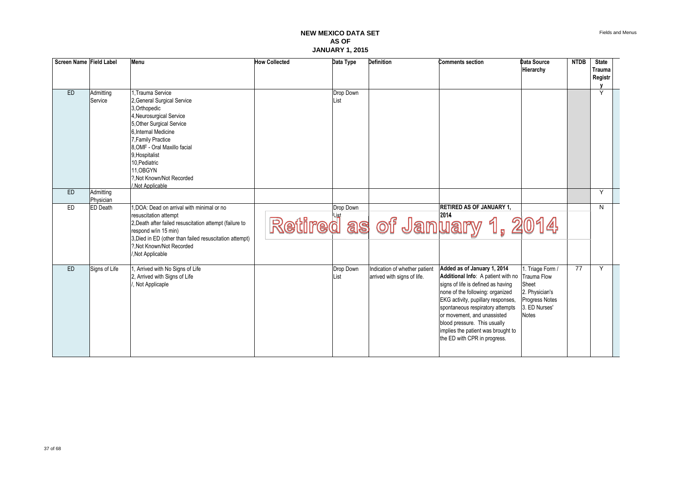| Screen Name Field Label |                        | Menu                                                                                                                                                                                                                                                                                                   | <b>How Collected</b> | Data Type         | <b>Definition</b>                                            | <b>Comments section</b>                                                                                                                                                                                                                                                                                                                                                | Data Source<br>Hierarchy                                                                              | <b>NTDB</b> | <b>State</b><br><b>Trauma</b><br>Registr |  |
|-------------------------|------------------------|--------------------------------------------------------------------------------------------------------------------------------------------------------------------------------------------------------------------------------------------------------------------------------------------------------|----------------------|-------------------|--------------------------------------------------------------|------------------------------------------------------------------------------------------------------------------------------------------------------------------------------------------------------------------------------------------------------------------------------------------------------------------------------------------------------------------------|-------------------------------------------------------------------------------------------------------|-------------|------------------------------------------|--|
| ED                      | Admitting<br>Service   | 1. Trauma Service<br>2, General Surgical Service<br>3.Orthopedic<br>4, Neurosurgical Service<br>5. Other Surgical Service<br>6. Internal Medicine<br>7, Family Practice<br>8.OMF - Oral Maxillo facial<br>9. Hospitalist<br>10. Pediatric<br>11.OBGYN<br>?. Not Known/Not Recorded<br>/.Not Applicable |                      | Drop Down<br>List |                                                              |                                                                                                                                                                                                                                                                                                                                                                        |                                                                                                       |             | Ÿ                                        |  |
| ED                      | Admitting<br>Physician |                                                                                                                                                                                                                                                                                                        |                      |                   |                                                              |                                                                                                                                                                                                                                                                                                                                                                        |                                                                                                       |             | Y                                        |  |
| ED                      | <b>ED</b> Death        | 1.DOA: Dead on arrival with minimal or no<br>resuscitation attempt<br>2, Death after failed resuscitation attempt (failure to<br>respond w/in 15 min)<br>3, Died in ED (other than failed resuscitation attempt)<br>?. Not Known/Not Recorded<br>Not Applicable                                        |                      | Drop Down         |                                                              | <b>RETIRED AS OF JANUARY 1,</b><br>Retired as of January 1, 2014                                                                                                                                                                                                                                                                                                       |                                                                                                       |             | N                                        |  |
| <b>ED</b>               | Signs of Life          | , Arrived with No Signs of Life<br>2. Arrived with Signs of Life<br>, Not Applicaple                                                                                                                                                                                                                   |                      | Drop Down<br>List | Indication of whether patient<br>arrived with signs of life. | Added as of January 1, 2014<br>Additional Info: A patient with no Trauma Flow<br>signs of life is defined as having<br>none of the following: organized<br>EKG activity, pupillary responses,<br>spontaneous respiratory attempts<br>or movement, and unassisted<br>blood pressure. This usually<br>implies the patient was brought to<br>the ED with CPR in progress. | 1. Triage Form /<br>Sheet<br>2. Physician's<br><b>Progress Notes</b><br>3. ED Nurses'<br><b>Notes</b> | 77          | $\overline{Y}$                           |  |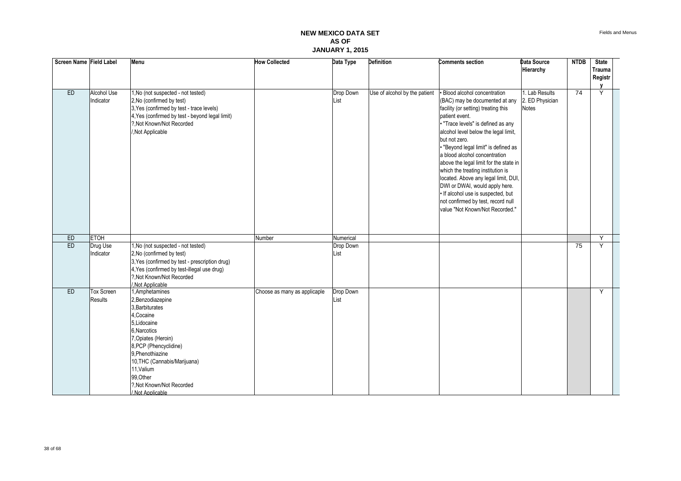| Screen Name Field Label |                                 | Menu                                                                                                                                                                                                                                                                                   | <b>How Collected</b>         | Data Type         | <b>Definition</b>             | <b>Comments section</b>                                                                                                                                                                                                                                                                                                                                                                                                                                                                                                                                                       | Data Source<br>Hierarchy                          | <b>NTDB</b>     | <b>State</b><br>Trauma<br>Registr |  |
|-------------------------|---------------------------------|----------------------------------------------------------------------------------------------------------------------------------------------------------------------------------------------------------------------------------------------------------------------------------------|------------------------------|-------------------|-------------------------------|-------------------------------------------------------------------------------------------------------------------------------------------------------------------------------------------------------------------------------------------------------------------------------------------------------------------------------------------------------------------------------------------------------------------------------------------------------------------------------------------------------------------------------------------------------------------------------|---------------------------------------------------|-----------------|-----------------------------------|--|
| <b>ED</b>               | <b>Alcohol Use</b><br>Indicator | 1, No (not suspected - not tested)<br>2, No (confirmed by test)<br>3, Yes (confirmed by test - trace levels)<br>4, Yes (confirmed by test - beyond legal limit)<br>?, Not Known/Not Recorded<br>/, Not Applicable                                                                      |                              | Drop Down<br>List | Use of alcohol by the patient | <b>Blood alcohol concentration</b><br>(BAC) may be documented at any<br>facility (or setting) treating this<br>patient event.<br>. "Trace levels" is defined as any<br>alcohol level below the legal limit,<br>but not zero.<br>. "Beyond legal limit" is defined as<br>a blood alcohol concentration<br>above the legal limit for the state in<br>which the treating institution is<br>located. Above any legal limit, DUI,<br>DWI or DWAI, would apply here.<br>· If alcohol use is suspected, but<br>not confirmed by test, record null<br>value "Not Known/Not Recorded." | 1. Lab Results<br>2. ED Physician<br><b>Notes</b> | $\overline{74}$ | Y                                 |  |
| ED                      | <b>ETOH</b>                     |                                                                                                                                                                                                                                                                                        | Number                       | Numerical         |                               |                                                                                                                                                                                                                                                                                                                                                                                                                                                                                                                                                                               |                                                   |                 | Y                                 |  |
| ED                      | Drug Use<br>Indicator           | 1, No (not suspected - not tested)<br>2, No (confirmed by test)<br>3, Yes (confirmed by test - prescription drug)<br>4, Yes (confirmed by test-illegal use drug)<br>?, Not Known/Not Recorded<br>Not Applicable                                                                        |                              | Drop Down<br>List |                               |                                                                                                                                                                                                                                                                                                                                                                                                                                                                                                                                                                               |                                                   | 75              | Y                                 |  |
| ED                      | Tox Screen<br><b>Results</b>    | 1, Amphetamines<br>2, Benzodiazepine<br>3, Barbiturates<br>4, Cocaine<br>5, Lidocaine<br>6, Narcotics<br>7, Opiates (Heroin)<br>8, PCP (Phencyclidine)<br>9. Phenothiazine<br>10, THC (Cannabis/Marijuana)<br>11, Valium<br>99, Other<br>?, Not Known/Not Recorded<br>/.Not Applicable | Choose as many as applicaple | Drop Down<br>List |                               |                                                                                                                                                                                                                                                                                                                                                                                                                                                                                                                                                                               |                                                   |                 | Y                                 |  |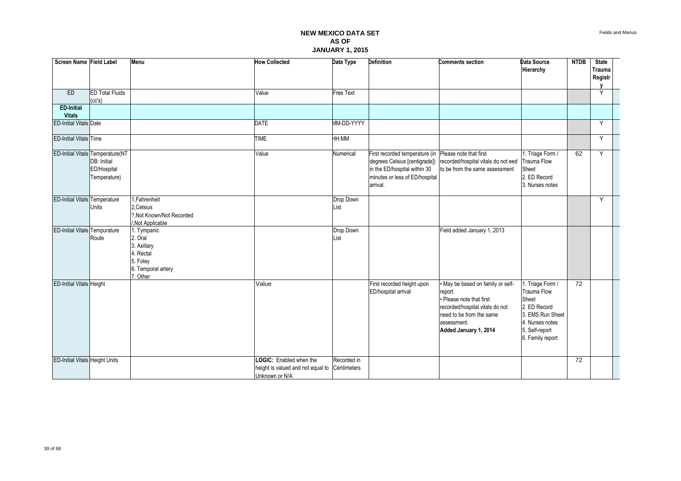| Screen Name Field Label               |                                                                                | Menu                                                                                            | <b>How Collected</b>                                                                       | Data Type         | <b>Definition</b>                                                                                                                             | <b>Comments section</b>                                                                                                                                                       | <b>Data Source</b><br>Hierarchy                                                                                                              | <b>NTDB</b> | <b>State</b><br><b>Trauma</b><br>Registr<br>V |  |
|---------------------------------------|--------------------------------------------------------------------------------|-------------------------------------------------------------------------------------------------|--------------------------------------------------------------------------------------------|-------------------|-----------------------------------------------------------------------------------------------------------------------------------------------|-------------------------------------------------------------------------------------------------------------------------------------------------------------------------------|----------------------------------------------------------------------------------------------------------------------------------------------|-------------|-----------------------------------------------|--|
| ED                                    | <b>ED Total Fluids</b><br>(cc's)                                               |                                                                                                 | Value                                                                                      | <b>Free Text</b>  |                                                                                                                                               |                                                                                                                                                                               |                                                                                                                                              |             | Y                                             |  |
| <b>ED-Initial</b><br><b>Vitals</b>    |                                                                                |                                                                                                 |                                                                                            |                   |                                                                                                                                               |                                                                                                                                                                               |                                                                                                                                              |             |                                               |  |
| <b>ED-Initial Vitals Date</b>         |                                                                                |                                                                                                 | <b>DATE</b>                                                                                | MM-DD-YYYY        |                                                                                                                                               |                                                                                                                                                                               |                                                                                                                                              |             | Y                                             |  |
| <b>ED-Initial Vitals Time</b>         |                                                                                |                                                                                                 | <b>TIME</b>                                                                                | HH:MM             |                                                                                                                                               |                                                                                                                                                                               |                                                                                                                                              |             | Y                                             |  |
|                                       | ED-Initial Vitals Temperature(NT<br>DB: Initial<br>ED/Hospital<br>Temperature) |                                                                                                 | Value                                                                                      | Numerical         | First recorded temperature (in<br>degrees Celsius [centigrade])<br>in the ED/hospital within 30<br>minutes or less of ED/hospital<br>arrival. | Please note that first<br>recorded/hospital vitals do not eed<br>to be from the same assessment                                                                               | 1. Triage Form /<br><b>Trauma Flow</b><br>Sheet<br>2. ED Record<br>3. Nurses notes                                                           | 62          | Y                                             |  |
| <b>ED-Initial Vitals Temperature</b>  | Units                                                                          | I, Fahrenheit<br>2, Celsius<br>?.Not Known/Not Recorded<br>/, Not Applicable                    |                                                                                            | Drop Down<br>List |                                                                                                                                               |                                                                                                                                                                               |                                                                                                                                              |             | Y                                             |  |
| <b>ED-Initial Vitals Tempurature</b>  | Route                                                                          | . Tympanic<br>2. Oral<br>3. Axillary<br>4. Rectal<br>5. Foley<br>6. Temporal artery<br>7. Other |                                                                                            | Drop Down<br>List |                                                                                                                                               | Field added January 1, 2013                                                                                                                                                   |                                                                                                                                              |             |                                               |  |
| <b>ED-Initial Vitals Height</b>       |                                                                                |                                                                                                 | Value                                                                                      |                   | First recorded height upon<br>ED/hospital arrival                                                                                             | May be based on family or self-<br>report.<br>• Please note that first<br>recorded/hospital vitals do not<br>need to be from the same<br>assessment.<br>Added January 1, 2014 | 1. Triage Form /<br><b>Trauma Flow</b><br>Sheet<br>2. ED Record<br>3. EMS Run Sheet<br>4. Nurses notes<br>5. Self-report<br>6. Family report | 72          |                                               |  |
| <b>ED-Initial Vitals Height Units</b> |                                                                                |                                                                                                 | LOGIC: Enabled when the<br>height is valued and not equal to Centimeters<br>Unknown or N/A | Recorded in       |                                                                                                                                               |                                                                                                                                                                               |                                                                                                                                              | 72          |                                               |  |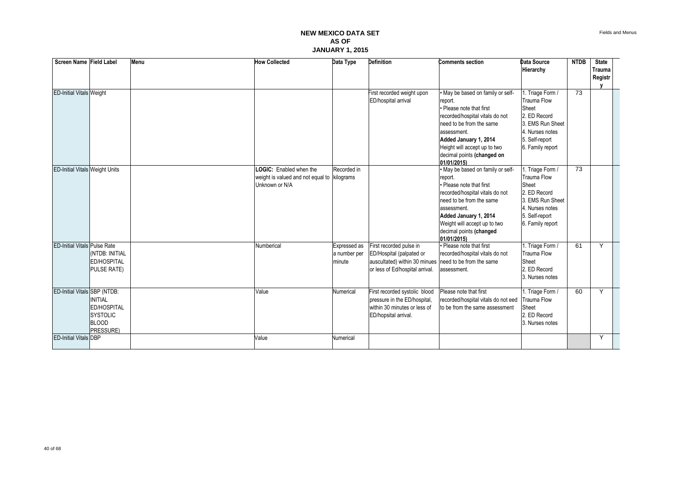| Screen Name Field Label             |                                                                                              | Menu | <b>How Collected</b>                                                                     | Data Type                              | <b>Definition</b>                                                                                                       | <b>Comments section</b>                                                                                                                                                                                                                                      | Data Source<br>Hierarchy                                                                                                                     | <b>NTDB</b> | <b>State</b><br><b>Trauma</b><br>Registr |  |
|-------------------------------------|----------------------------------------------------------------------------------------------|------|------------------------------------------------------------------------------------------|----------------------------------------|-------------------------------------------------------------------------------------------------------------------------|--------------------------------------------------------------------------------------------------------------------------------------------------------------------------------------------------------------------------------------------------------------|----------------------------------------------------------------------------------------------------------------------------------------------|-------------|------------------------------------------|--|
|                                     |                                                                                              |      |                                                                                          |                                        |                                                                                                                         |                                                                                                                                                                                                                                                              |                                                                                                                                              |             |                                          |  |
| <b>ED-Initial Vitals Weight</b>     |                                                                                              |      |                                                                                          |                                        | First recorded weight upon<br>ED/hospital arrival                                                                       | . May be based on family or self-<br>report.<br>• Please note that first<br>recorded/hospital vitals do not<br>need to be from the same<br>assessment.<br>Added January 1, 2014<br>Height will accept up to two<br>decimal points (changed on<br>01/01/2015) | 1. Triage Form /<br>Trauma Flow<br>Sheet<br>2. ED Record<br>3. EMS Run Sheet<br>4. Nurses notes<br>5. Self-report<br>6. Family report        | 73          |                                          |  |
| ED-Initial Vitals Weight Units      |                                                                                              |      | LOGIC: Enabled when the<br>weight is valued and not equal to kilograms<br>Unknown or N/A | Recorded in                            |                                                                                                                         | • May be based on family or self-<br>report.<br>· Please note that first<br>recorded/hospital vitals do not<br>need to be from the same<br>assessment.<br>Added January 1, 2014<br>Weight will accept up to two<br>decimal points (changed<br>01/01/2015)    | 1. Triage Form /<br><b>Trauma Flow</b><br>Sheet<br>2. ED Record<br>3. EMS Run Sheet<br>4. Nurses notes<br>5. Self-report<br>6. Family report | 73          |                                          |  |
| <b>ED-Initial Vitals Pulse Rate</b> | INTDB: INITIAL<br><b>ED/HOSPITAL</b><br><b>PULSE RATE)</b>                                   |      | Numberical                                                                               | Expressed as<br>a number per<br>minute | First recorded pulse in<br>ED/Hospital (palpated or<br>auscultated) within 30 minues<br>or less of Ed/hospital arrival. | · Please note that first<br>recorded/hospital vitals do not<br>need to be from the same<br>assessment.                                                                                                                                                       | 1. Triage Form /<br>Trauma Flow<br>Sheet<br>2. ED Record<br>3. Nurses notes                                                                  | 61          | Y                                        |  |
| ED-Initial Vitals SBP (NTDB:        | <b>INITIAL</b><br><b>ED/HOSPITAL</b><br><b>SYSTOLIC</b><br><b>BLOOD</b><br><b>PRESSURE</b> ) |      | Value                                                                                    | Numerical                              | First recorded systolic blood<br>pressure in the ED/hospital,<br>within 30 minutes or less of<br>ED/hopsital arrival.   | Please note that first<br>recorded/hospital vitals do not eed<br>to be from the same assessment                                                                                                                                                              | 1. Triage Form /<br><b>Trauma Flow</b><br>Sheet<br>2. ED Record<br>3. Nurses notes                                                           | 60          | Y                                        |  |
| <b>ED-Initial Vitals DBP</b>        |                                                                                              |      | Value                                                                                    | <b>Numerical</b>                       |                                                                                                                         |                                                                                                                                                                                                                                                              |                                                                                                                                              |             | Y                                        |  |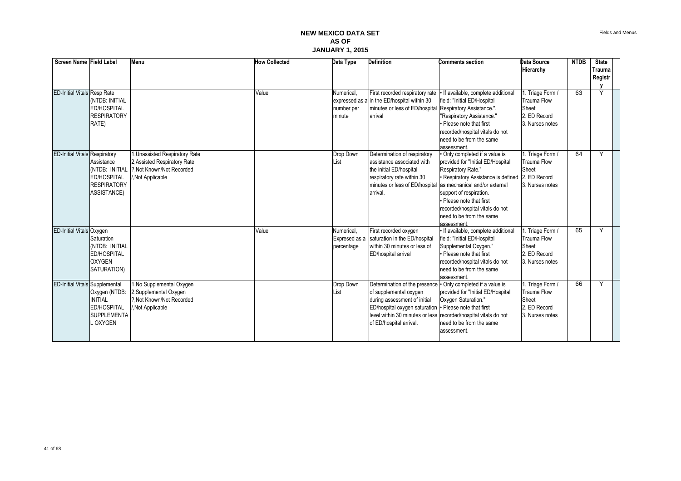| Screen Name Field Label               |                                                                                                | Menu                                                                                                          | <b>How Collected</b> | Data Type                          | <b>Definition</b>                                                                                                                                                                                                                                | <b>Comments section</b>                                                                                                                                                                                                                                                                                                                            | Data Source<br>Hierarchy                                                           | <b>NTDB</b> | <b>State</b><br>Trauma<br>Registr |  |
|---------------------------------------|------------------------------------------------------------------------------------------------|---------------------------------------------------------------------------------------------------------------|----------------------|------------------------------------|--------------------------------------------------------------------------------------------------------------------------------------------------------------------------------------------------------------------------------------------------|----------------------------------------------------------------------------------------------------------------------------------------------------------------------------------------------------------------------------------------------------------------------------------------------------------------------------------------------------|------------------------------------------------------------------------------------|-------------|-----------------------------------|--|
| <b>ED-Initial Vitals Resp Rate</b>    | (NTDB: INITIAL<br><b>ED/HOSPITAL</b><br><b>RESPIRATORY</b><br>RATE)                            |                                                                                                               | Value                | Numerical.<br>number per<br>minute | First recorded respiratory rate<br>expressed as a in the ED/hospital within 30<br>minutes or less of ED/hospital<br>arrival                                                                                                                      | If available, complete additional<br>field: "Initial ED/Hospital<br>Respiratory Assistance.",<br>"Respiratory Assistance."<br>• Please note that first<br>recorded/hospital vitals do not<br>need to be from the same<br>assessment.                                                                                                               | 1. Triage Form /<br><b>Trauma Flow</b><br>Sheet<br>2. ED Record<br>3. Nurses notes | 63          | Υ                                 |  |
| <b>ED-Initial Vitals Respiratory</b>  | Assistance<br>(NTDB: INITIAL<br><b>ED/HOSPITAL</b><br><b>RESPIRATORY</b><br><b>ASSISTANCE)</b> | 1, Unassisted Respiratory Rate<br>2. Assisted Respiratory Rate<br>?. Not Known/Not Recorded<br>Not Applicable |                      | Drop Down<br>List                  | Determination of respiratory<br>assistance associated with<br>the initial ED/hospital<br>respiratory rate within 30<br>arrival.                                                                                                                  | · Only completed if a value is<br>provided for "Initial ED/Hospital<br>Respiratory Rate."<br>• Respiratory Assistance is defined 2. ED Record<br>minutes or less of ED/hospital as mechanical and/or external<br>support of respiration.<br>• Please note that first<br>recorded/hospital vitals do not<br>need to be from the same<br>assessment. | 1. Triage Form /<br>Trauma Flow<br>Sheet<br>3. Nurses notes                        | 64          | Y                                 |  |
| ED-Initial Vitals Oxygen              | Saturation<br>(NTDB: INITIAL<br>ED/HOSPITAL<br><b>OXYGEN</b><br>SATURATION)                    |                                                                                                               | Value                | Numerical.<br>percentage           | First recorded oxygen<br>Expresed as a saturation in the ED/hospital<br>within 30 minutes or less of<br>ED/hospital arrival                                                                                                                      | · If available, complete additional<br>field: "Initial ED/Hospital<br>Supplemental Oxygen."<br>• Please note that first<br>recorded/hospital vitals do not<br>need to be from the same<br>assessment.                                                                                                                                              | 1. Triage Form /<br><b>Trauma Flow</b><br>Sheet<br>2. ED Record<br>3. Nurses notes | 65          | Y                                 |  |
| <b>ED-Initial Vitals Supplemental</b> | Oxygen (NTDB:<br><b>INITIAL</b><br><b>ED/HOSPITAL</b><br><b>SUPPLEMENTA</b><br>L OXYGEN        | 1, No Supplemental Oxygen<br>2.Supplemental Oxygen<br>?. Not Known/Not Recorded<br>,Not Applicable            |                      | Drop Down<br>List                  | Determination of the presence • Only completed if a value is<br>of supplemental oxygen<br>during assessment of initial<br>ED/hospital oxygen saturation   · Please note that first<br>level within 30 minutes or less<br>of ED/hospital arrival. | provided for "Initial ED/Hospital<br>Oxygen Saturation."<br>recorded/hospital vitals do not<br>need to be from the same<br>assessment.                                                                                                                                                                                                             | 1. Triage Form /<br><b>Trauma Flow</b><br>Sheet<br>2. ED Record<br>3. Nurses notes | 66          | Y                                 |  |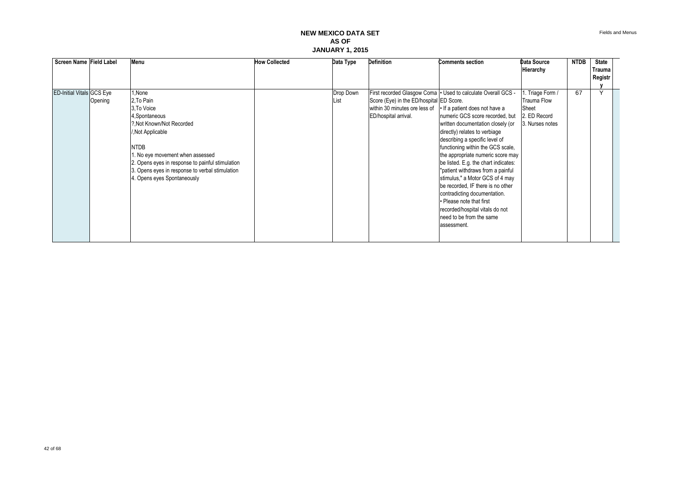| Screen Name Field Label          |         | Menu                                                                                                                                                                                                                                                                                           | <b>How Collected</b> | Data Type         | <b>Definition</b>                                                                                                                | <b>Comments section</b>                                                                                                                                                                                                                                                                                                                                                                                                                                                                                                                                                             | Data Source                                                                 | <b>NTDB</b> | State             |  |
|----------------------------------|---------|------------------------------------------------------------------------------------------------------------------------------------------------------------------------------------------------------------------------------------------------------------------------------------------------|----------------------|-------------------|----------------------------------------------------------------------------------------------------------------------------------|-------------------------------------------------------------------------------------------------------------------------------------------------------------------------------------------------------------------------------------------------------------------------------------------------------------------------------------------------------------------------------------------------------------------------------------------------------------------------------------------------------------------------------------------------------------------------------------|-----------------------------------------------------------------------------|-------------|-------------------|--|
|                                  |         |                                                                                                                                                                                                                                                                                                |                      |                   |                                                                                                                                  |                                                                                                                                                                                                                                                                                                                                                                                                                                                                                                                                                                                     | Hierarchy                                                                   |             | Trauma<br>Registr |  |
|                                  |         |                                                                                                                                                                                                                                                                                                |                      |                   |                                                                                                                                  |                                                                                                                                                                                                                                                                                                                                                                                                                                                                                                                                                                                     |                                                                             |             |                   |  |
| <b>ED-Initial Vitals GCS Eye</b> | Opening | None,<br>2. To Pain<br>3. To Voice<br>4, Spontaneous<br>?. Not Known/Not Recorded<br>/, Not Applicable<br><b>NTDB</b><br>. No eye movement when assessed<br>2. Opens eyes in response to painful stimulation<br>3. Opens eyes in response to verbal stimulation<br>4. Opens eyes Spontaneously |                      | Drop Down<br>List | Score (Eye) in the ED/hospital ED Score.<br>within 30 minutes ore less of • If a patient does not have a<br>ED/hospital arrival. | First recorded Glasgow Coma   · Used to calculate Overall GCS -<br>numeric GCS score recorded, but<br>written documentation closely (or<br>directly) relates to verbiage<br>describing a specific level of<br>functioning within the GCS scale,<br>the appropriate numeric score may<br>be listed. E.g. the chart indicates:<br>"patient withdraws from a painful<br>stimulus," a Motor GCS of 4 may<br>be recorded, IF there is no other<br>contradicting documentation.<br>• Please note that first<br>recorded/hospital vitals do not<br>need to be from the same<br>assessment. | 1. Triage Form /<br>Trauma Flow<br>Sheet<br>2. ED Record<br>3. Nurses notes | 67          |                   |  |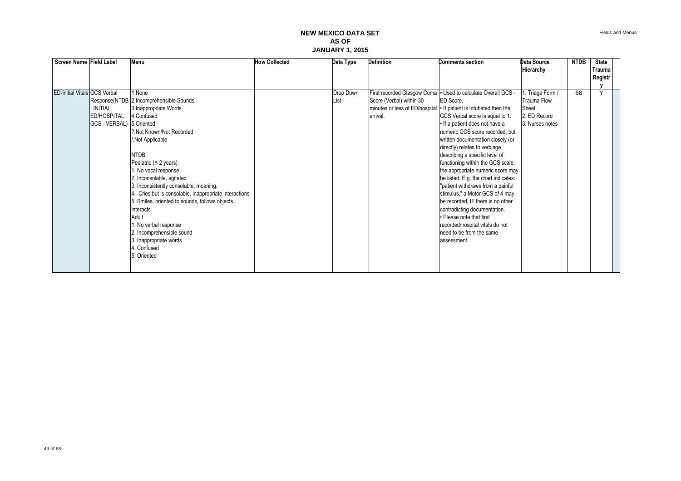| Screen Name Field Label             |                           | Menu                                                   | <b>How Collected</b> | Data Type | <b>Definition</b>           | <b>Comments section</b>                                           | Data Source        | <b>NTDB</b> | <b>State</b> |  |
|-------------------------------------|---------------------------|--------------------------------------------------------|----------------------|-----------|-----------------------------|-------------------------------------------------------------------|--------------------|-------------|--------------|--|
|                                     |                           |                                                        |                      |           |                             |                                                                   | Hierarchy          |             | Trauma       |  |
|                                     |                           |                                                        |                      |           |                             |                                                                   |                    |             | Registr      |  |
|                                     |                           |                                                        |                      |           |                             |                                                                   |                    |             |              |  |
| <b>ED-Initial Vitals GCS Verbal</b> |                           | I.None                                                 |                      | Drop Down | First recorded Glasgow Coma | • Used to calculate Overall GCS -                                 | 1. Triage Form /   | 68          |              |  |
|                                     |                           | Response(NTDB 2, Incomprehensible Sounds               |                      | List      | Score (Verbal) within 30    | ED Score.                                                         | <b>Trauma Flow</b> |             |              |  |
|                                     | <b>INITIAL</b>            | 3, Inappropriate Words                                 |                      |           |                             | minutes or less of ED/hospital • If patient is intubated then the | Sheet              |             |              |  |
|                                     | <b>ED/HOSPITAL</b>        | 4.Confused                                             |                      |           | arrival.                    | GCS Verbal score is equal to 1.                                   | 2. ED Record       |             |              |  |
|                                     | GCS - VERBAL) 5. Oriented |                                                        |                      |           |                             | • If a patient does not have a                                    | 3. Nurses notes    |             |              |  |
|                                     |                           | ?. Not Known/Not Recorded                              |                      |           |                             | numeric GCS score recorded, but                                   |                    |             |              |  |
|                                     |                           | , Not Applicable                                       |                      |           |                             | written documentation closely (or                                 |                    |             |              |  |
|                                     |                           |                                                        |                      |           |                             | directly) relates to verbiage                                     |                    |             |              |  |
|                                     |                           | <b>NTDB</b>                                            |                      |           |                             | describing a specific level of                                    |                    |             |              |  |
|                                     |                           | Pediatric ( $\leq$ 2 years):                           |                      |           |                             | functioning within the GCS scale,                                 |                    |             |              |  |
|                                     |                           | I. No vocal response                                   |                      |           |                             | the appropriate numeric score may                                 |                    |             |              |  |
|                                     |                           | 2. Inconsolable, agitated                              |                      |           |                             | be listed. E.g. the chart indicates:                              |                    |             |              |  |
|                                     |                           | 3. Inconsistently consolable, moaning.                 |                      |           |                             | "patient withdraws from a painful                                 |                    |             |              |  |
|                                     |                           | 4. Cries but is consolable, inappropriate interactions |                      |           |                             | stimulus," a Motor GCS of 4 may                                   |                    |             |              |  |
|                                     |                           | 5. Smiles, oriented to sounds, follows objects,        |                      |           |                             | be recorded. IF there is no other                                 |                    |             |              |  |
|                                     |                           | interacts                                              |                      |           |                             | contradicting documentation.                                      |                    |             |              |  |
|                                     |                           | Adult                                                  |                      |           |                             | • Please note that first                                          |                    |             |              |  |
|                                     |                           | I. No verbal response                                  |                      |           |                             | recorded/hospital vitals do not                                   |                    |             |              |  |
|                                     |                           | 2. Incomprehensible sound                              |                      |           |                             | need to be from the same                                          |                    |             |              |  |
|                                     |                           | 3. Inappropriate words                                 |                      |           |                             | assessment.                                                       |                    |             |              |  |
|                                     |                           | 4. Confused                                            |                      |           |                             |                                                                   |                    |             |              |  |
|                                     |                           | 5. Oriented                                            |                      |           |                             |                                                                   |                    |             |              |  |
|                                     |                           |                                                        |                      |           |                             |                                                                   |                    |             |              |  |
|                                     |                           |                                                        |                      |           |                             |                                                                   |                    |             |              |  |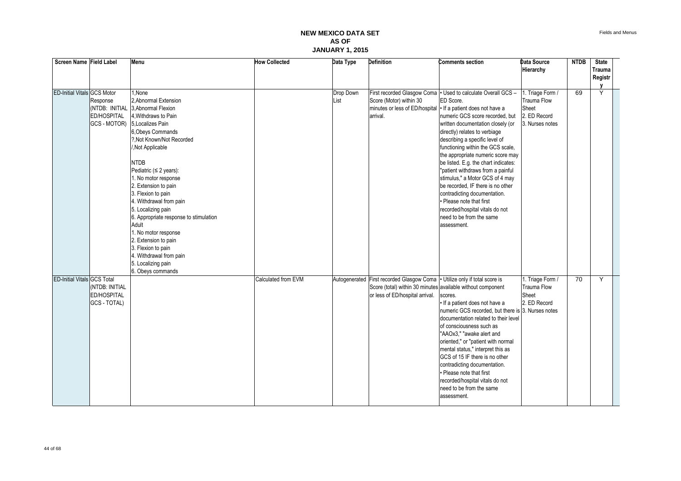| Screen Name Field Label            |                | Menu                                   | <b>How Collected</b> | Data Type | <b>Definition</b>                                                          | <b>Comments section</b>                            | <b>Data Source</b> | <b>NTDB</b> | <b>State</b>  |  |
|------------------------------------|----------------|----------------------------------------|----------------------|-----------|----------------------------------------------------------------------------|----------------------------------------------------|--------------------|-------------|---------------|--|
|                                    |                |                                        |                      |           |                                                                            |                                                    | Hierarchy          |             | <b>Trauma</b> |  |
|                                    |                |                                        |                      |           |                                                                            |                                                    |                    |             | Registr       |  |
|                                    |                |                                        |                      |           |                                                                            |                                                    |                    |             |               |  |
| <b>ED-Initial Vitals GCS Motor</b> |                | None                                   |                      | Drop Down | First recorded Glasgow Coma                                                | • Used to calculate Overall GCS -                  | 1. Triage Form /   | 69          | Υ             |  |
|                                    | Response       | 2, Abnormal Extension                  |                      | List      | Score (Motor) within 30                                                    | ED Score.                                          | Trauma Flow        |             |               |  |
|                                    |                | (NTDB: INITIAL 3.Abnormal Flexion      |                      |           | minutes or less of ED/hospital   If a patient does not have a              |                                                    | Sheet              |             |               |  |
|                                    | ED/HOSPITAL    | 4. Withdraws to Pain                   |                      |           | arrival.                                                                   | numeric GCS score recorded, but                    | 2. ED Record       |             |               |  |
|                                    | GCS - MOTOR)   | 5. Localizes Pain                      |                      |           |                                                                            | written documentation closely (or                  | 3. Nurses notes    |             |               |  |
|                                    |                | 6, Obeys Commands                      |                      |           |                                                                            | directly) relates to verbiage                      |                    |             |               |  |
|                                    |                | ?. Not Known/Not Recorded              |                      |           |                                                                            | describing a specific level of                     |                    |             |               |  |
|                                    |                | ,Not Applicable                        |                      |           |                                                                            | functioning within the GCS scale,                  |                    |             |               |  |
|                                    |                |                                        |                      |           |                                                                            | the appropriate numeric score may                  |                    |             |               |  |
|                                    |                | <b>NTDB</b>                            |                      |           |                                                                            | be listed. E.g. the chart indicates:               |                    |             |               |  |
|                                    |                | Pediatric ( $\leq$ 2 years):           |                      |           |                                                                            | "patient withdraws from a painful                  |                    |             |               |  |
|                                    |                | . No motor response                    |                      |           |                                                                            | stimulus," a Motor GCS of 4 may                    |                    |             |               |  |
|                                    |                | 2. Extension to pain                   |                      |           |                                                                            | be recorded, IF there is no other                  |                    |             |               |  |
|                                    |                | 3. Flexion to pain                     |                      |           |                                                                            | contradicting documentation.                       |                    |             |               |  |
|                                    |                | 4. Withdrawal from pain                |                      |           |                                                                            | · Please note that first                           |                    |             |               |  |
|                                    |                | 5. Localizing pain                     |                      |           |                                                                            | recorded/hospital vitals do not                    |                    |             |               |  |
|                                    |                | 6. Appropriate response to stimulation |                      |           |                                                                            | need to be from the same                           |                    |             |               |  |
|                                    |                | Adult                                  |                      |           |                                                                            | assessment.                                        |                    |             |               |  |
|                                    |                | . No motor response                    |                      |           |                                                                            |                                                    |                    |             |               |  |
|                                    |                | 2. Extension to pain                   |                      |           |                                                                            |                                                    |                    |             |               |  |
|                                    |                | 3. Flexion to pain                     |                      |           |                                                                            |                                                    |                    |             |               |  |
|                                    |                | 4. Withdrawal from pain                |                      |           |                                                                            |                                                    |                    |             |               |  |
|                                    |                | 5. Localizing pain                     |                      |           |                                                                            |                                                    |                    |             |               |  |
|                                    |                | 6. Obeys commands                      |                      |           |                                                                            |                                                    |                    |             |               |  |
| ED-Initial Vitals GCS Total        |                |                                        | Calculated from EVM  |           | Autogenerated First recorded Glasgow Coma . Utilize only if total score is |                                                    | 1. Triage Form /   | 70          | Y             |  |
|                                    | (NTDB: INITIAL |                                        |                      |           | Score (total) within 30 minutes available without component                |                                                    | Trauma Flow        |             |               |  |
|                                    | ED/HOSPITAL    |                                        |                      |           | or less of ED/hospital arrival.                                            | scores.                                            | Sheet              |             |               |  |
|                                    | GCS - TOTAL)   |                                        |                      |           |                                                                            | If a patient does not have a                       | 2. ED Record       |             |               |  |
|                                    |                |                                        |                      |           |                                                                            | numeric GCS recorded, but there is 3. Nurses notes |                    |             |               |  |
|                                    |                |                                        |                      |           |                                                                            | documentation related to their level               |                    |             |               |  |
|                                    |                |                                        |                      |           |                                                                            | of consciousness such as                           |                    |             |               |  |
|                                    |                |                                        |                      |           |                                                                            | "AAOx3," "awake alert and                          |                    |             |               |  |
|                                    |                |                                        |                      |           |                                                                            | oriented," or "patient with normal                 |                    |             |               |  |
|                                    |                |                                        |                      |           |                                                                            | mental status," interpret this as                  |                    |             |               |  |
|                                    |                |                                        |                      |           |                                                                            | GCS of 15 IF there is no other                     |                    |             |               |  |
|                                    |                |                                        |                      |           |                                                                            | contradicting documentation.                       |                    |             |               |  |
|                                    |                |                                        |                      |           |                                                                            | • Please note that first                           |                    |             |               |  |
|                                    |                |                                        |                      |           |                                                                            | recorded/hospital vitals do not                    |                    |             |               |  |
|                                    |                |                                        |                      |           |                                                                            | need to be from the same                           |                    |             |               |  |
|                                    |                |                                        |                      |           |                                                                            |                                                    |                    |             |               |  |
|                                    |                |                                        |                      |           |                                                                            | assessment.                                        |                    |             |               |  |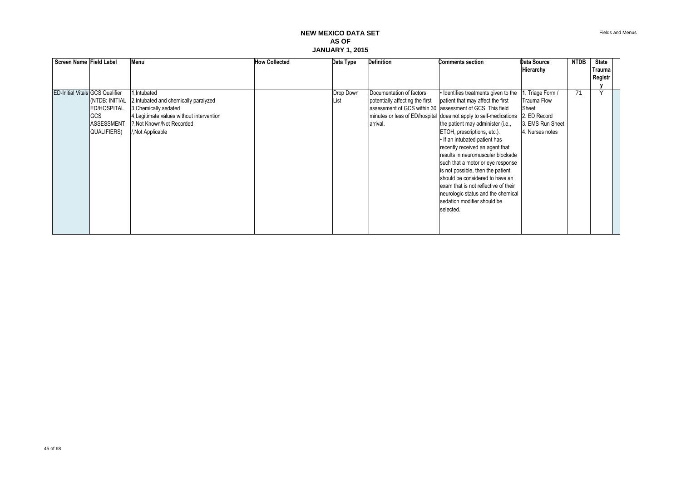|  | Screen Name Field Label                                                                                            | Menu                                                                                                                                                                         | <b>How Collected</b> | Data Type         | <b>Definition</b>                                                       | <b>Comments section</b>                                                                                                                                                                                                                                                                                                                                                                                                                                                                                                                                                                                                         | Data Source<br>Hierarchy                                                                              | <b>NTDB</b> | State<br>Trauma |  |
|--|--------------------------------------------------------------------------------------------------------------------|------------------------------------------------------------------------------------------------------------------------------------------------------------------------------|----------------------|-------------------|-------------------------------------------------------------------------|---------------------------------------------------------------------------------------------------------------------------------------------------------------------------------------------------------------------------------------------------------------------------------------------------------------------------------------------------------------------------------------------------------------------------------------------------------------------------------------------------------------------------------------------------------------------------------------------------------------------------------|-------------------------------------------------------------------------------------------------------|-------------|-----------------|--|
|  |                                                                                                                    |                                                                                                                                                                              |                      |                   |                                                                         |                                                                                                                                                                                                                                                                                                                                                                                                                                                                                                                                                                                                                                 |                                                                                                       |             | Registr         |  |
|  | <b>ED-Initial Vitals GCS Qualifier</b><br>(NTDB: INITIAL<br>ED/HOSPITAL<br>GCS<br><b>ASSESSMENT</b><br>QUALIFIERS) | 1.Intubated<br>2, Intubated and chemically paralyzed<br>3, Chemically sedated<br>4, Legitimate values without intervention<br>?, Not Known/Not Recorded<br>/, Not Applicable |                      | Drop Down<br>List | Documentation of factors<br>potentially affecting the first<br>arrival. | · Identifies treatments given to the<br>patient that may affect the first<br>assessment of GCS within 30 assessment of GCS. This field<br>minutes or less of ED/hospital does not apply to self-medications<br>the patient may administer (i.e.,<br>ETOH, prescriptions, etc.).<br>. If an intubated patient has<br>recently received an agent that<br>results in neuromuscular blockade<br>such that a motor or eye response<br>is not possible, then the patient<br>should be considered to have an<br>exam that is not reflective of their<br>neurologic status and the chemical<br>sedation modifier should be<br>selected. | . Triage Form /<br><b>Trauma Flow</b><br>Sheet<br>2. ED Record<br>3. EMS Run Sheet<br>4. Nurses notes | 71          | $\lambda$       |  |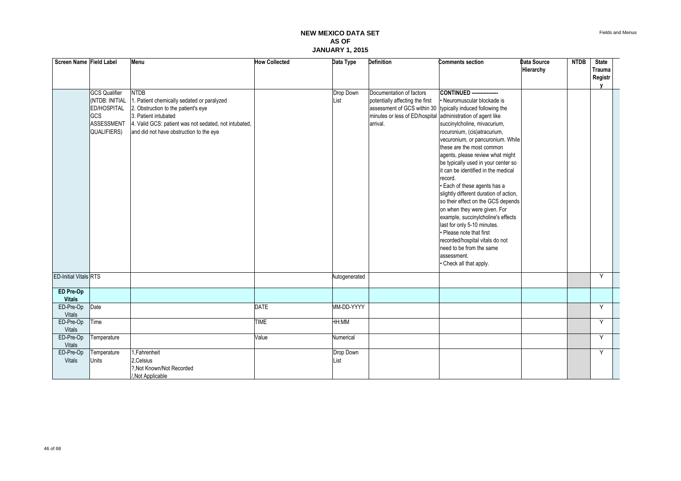| Screen Name Field Label      |                      | Menu                                                  | <b>How Collected</b> | Data Type     | <b>Definition</b>                                           | <b>Comments section</b>                | Data Source | <b>NTDB</b> | <b>State</b> |  |
|------------------------------|----------------------|-------------------------------------------------------|----------------------|---------------|-------------------------------------------------------------|----------------------------------------|-------------|-------------|--------------|--|
|                              |                      |                                                       |                      |               |                                                             |                                        | Hierarchy   |             | Trauma       |  |
|                              |                      |                                                       |                      |               |                                                             |                                        |             |             | Registr      |  |
|                              | <b>GCS Qualifier</b> | <b>NTDB</b>                                           |                      | Drop Down     | Documentation of factors                                    | <b>CONTINUED</b> ----------------      |             |             |              |  |
|                              | (NTDB: INITIAL       | 1. Patient chemically sedated or paralyzed            |                      | List          | potentially affecting the first                             | • Neuromuscular blockade is            |             |             |              |  |
|                              | ED/HOSPITAL          | 2. Obstruction to the patient's eye                   |                      |               | assessment of GCS within 30 typically induced following the |                                        |             |             |              |  |
|                              | GCS                  | 3. Patient intubated                                  |                      |               | minutes or less of ED/hospital administration of agent like |                                        |             |             |              |  |
|                              | ASSESSMENT           | 4. Valid GCS: patient was not sedated, not intubated, |                      |               | arrival.                                                    | succinylcholine, mivacurium,           |             |             |              |  |
|                              | QUALIFIERS)          | and did not have obstruction to the eye               |                      |               |                                                             | rocuronium, (cis)atracurium,           |             |             |              |  |
|                              |                      |                                                       |                      |               |                                                             | vecuronium, or pancuronium. While      |             |             |              |  |
|                              |                      |                                                       |                      |               |                                                             | these are the most common              |             |             |              |  |
|                              |                      |                                                       |                      |               |                                                             | agents, please review what might       |             |             |              |  |
|                              |                      |                                                       |                      |               |                                                             | be typically used in your center so    |             |             |              |  |
|                              |                      |                                                       |                      |               |                                                             | it can be identified in the medical    |             |             |              |  |
|                              |                      |                                                       |                      |               |                                                             | record.                                |             |             |              |  |
|                              |                      |                                                       |                      |               |                                                             | · Each of these agents has a           |             |             |              |  |
|                              |                      |                                                       |                      |               |                                                             | slightly different duration of action, |             |             |              |  |
|                              |                      |                                                       |                      |               |                                                             | so their effect on the GCS depends     |             |             |              |  |
|                              |                      |                                                       |                      |               |                                                             | on when they were given. For           |             |             |              |  |
|                              |                      |                                                       |                      |               |                                                             | example, succinylcholine's effects     |             |             |              |  |
|                              |                      |                                                       |                      |               |                                                             | last for only 5-10 minutes.            |             |             |              |  |
|                              |                      |                                                       |                      |               |                                                             | • Please note that first               |             |             |              |  |
|                              |                      |                                                       |                      |               |                                                             | recorded/hospital vitals do not        |             |             |              |  |
|                              |                      |                                                       |                      |               |                                                             | need to be from the same               |             |             |              |  |
|                              |                      |                                                       |                      |               |                                                             | assessment.                            |             |             |              |  |
|                              |                      |                                                       |                      |               |                                                             | • Check all that apply.                |             |             |              |  |
| <b>ED-Initial Vitals RTS</b> |                      |                                                       |                      | Autogenerated |                                                             |                                        |             |             | Y            |  |
| ED Pre-Op                    |                      |                                                       |                      |               |                                                             |                                        |             |             |              |  |
| <b>Vitals</b>                |                      |                                                       |                      |               |                                                             |                                        |             |             |              |  |
| ED-Pre-Op                    | Date                 |                                                       | <b>DATE</b>          | MM-DD-YYYY    |                                                             |                                        |             |             | Y            |  |
| Vitals<br>ED-Pre-Op          | Time                 |                                                       | <b>TIME</b>          | <b>MM:HH</b>  |                                                             |                                        |             |             | Y            |  |
| Vitals                       |                      |                                                       |                      |               |                                                             |                                        |             |             |              |  |
| ED-Pre-Op                    | Temperature          |                                                       | Value                | Numerical     |                                                             |                                        |             |             | Y            |  |
| Vitals                       |                      |                                                       |                      |               |                                                             |                                        |             |             |              |  |
| ED-Pre-Op                    | Temperature          | 1, Fahrenheit                                         |                      | Drop Down     |                                                             |                                        |             |             | Y            |  |
| Vitals                       | Units                | 2, Celsius                                            |                      | List          |                                                             |                                        |             |             |              |  |
|                              |                      | ?. Not Known/Not Recorded                             |                      |               |                                                             |                                        |             |             |              |  |
|                              |                      | /,Not Applicable                                      |                      |               |                                                             |                                        |             |             |              |  |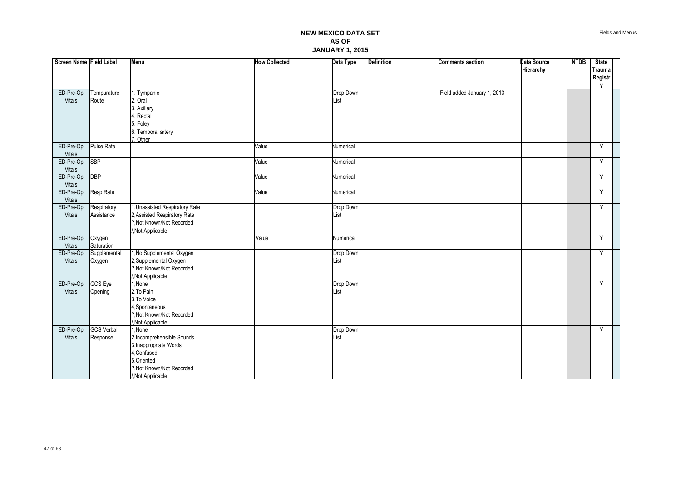| Screen Name Field Label |                   | <b>Menu</b>                                         | <b>How Collected</b> | Data Type | Definition | <b>Comments section</b>     | Data Source | <b>NTDB</b> | <b>State</b>      |  |
|-------------------------|-------------------|-----------------------------------------------------|----------------------|-----------|------------|-----------------------------|-------------|-------------|-------------------|--|
|                         |                   |                                                     |                      |           |            |                             | Hierarchy   |             | Trauma<br>Registr |  |
|                         |                   |                                                     |                      |           |            |                             |             |             | $\mathbf{v}$      |  |
| ED-Pre-Op               | Tempurature       | 1. Tympanic                                         |                      | Drop Down |            | Field added January 1, 2013 |             |             |                   |  |
| Vitals                  | Route             | 2. Oral                                             |                      | List      |            |                             |             |             |                   |  |
|                         |                   | 3. Axillary                                         |                      |           |            |                             |             |             |                   |  |
|                         |                   | Rectal                                              |                      |           |            |                             |             |             |                   |  |
|                         |                   | 5. Foley                                            |                      |           |            |                             |             |             |                   |  |
|                         |                   | 6. Temporal artery                                  |                      |           |            |                             |             |             |                   |  |
|                         |                   | 7. Other                                            |                      |           |            |                             |             |             |                   |  |
| ED-Pre-Op               | Pulse Rate        |                                                     | Value                | Numerical |            |                             |             |             | Y                 |  |
| Vitals                  | <b>SBP</b>        |                                                     |                      |           |            |                             |             |             | Y                 |  |
| ED-Pre-Op<br>Vitals     |                   |                                                     | Value                | Numerical |            |                             |             |             |                   |  |
| ED-Pre-Op               | <b>DBP</b>        |                                                     | Value                | Numerical |            |                             |             |             | Y                 |  |
| Vitals                  |                   |                                                     |                      |           |            |                             |             |             |                   |  |
| ED-Pre-Op               | Resp Rate         |                                                     | Value                | Numerical |            |                             |             |             | Y                 |  |
| Vitals                  |                   |                                                     |                      |           |            |                             |             |             |                   |  |
| ED-Pre-Op               | Respiratory       | 1, Unassisted Respiratory Rate                      |                      | Drop Down |            |                             |             |             | Y                 |  |
| Vitals                  | Assistance        | 2, Assisted Respiratory Rate                        |                      | List      |            |                             |             |             |                   |  |
|                         |                   | ?, Not Known/Not Recorded                           |                      |           |            |                             |             |             |                   |  |
|                         |                   | /, Not Applicable                                   |                      |           |            |                             |             |             |                   |  |
| ED-Pre-Op               | Oxygen            |                                                     | Value                | Numerical |            |                             |             |             | Y                 |  |
| Vitals                  | Saturation        |                                                     |                      |           |            |                             |             |             |                   |  |
| ED-Pre-Op               | Supplemental      | 1, No Supplemental Oxygen                           |                      | Drop Down |            |                             |             |             | Υ                 |  |
| Vitals                  | Oxygen            | 2, Supplemental Oxygen<br>?, Not Known/Not Recorded |                      | List      |            |                             |             |             |                   |  |
|                         |                   | Not Applicable                                      |                      |           |            |                             |             |             |                   |  |
| ED-Pre-Op               | <b>GCS Eye</b>    | 1, None                                             |                      | Drop Down |            |                             |             |             | Y                 |  |
| Vitals                  | Opening           | 2, To Pain                                          |                      | List      |            |                             |             |             |                   |  |
|                         |                   | 3, To Voice                                         |                      |           |            |                             |             |             |                   |  |
|                         |                   | 4, Spontaneous                                      |                      |           |            |                             |             |             |                   |  |
|                         |                   | ?, Not Known/Not Recorded                           |                      |           |            |                             |             |             |                   |  |
|                         |                   | Not Applicable                                      |                      |           |            |                             |             |             |                   |  |
| ED-Pre-Op               | <b>GCS Verbal</b> | 1, None                                             |                      | Drop Down |            |                             |             |             | Y                 |  |
| Vitals                  | Response          | 2, Incomprehensible Sounds                          |                      | List      |            |                             |             |             |                   |  |
|                         |                   | 3, Inappropriate Words                              |                      |           |            |                             |             |             |                   |  |
|                         |                   | 4, Confused                                         |                      |           |            |                             |             |             |                   |  |
|                         |                   | 5, Oriented                                         |                      |           |            |                             |             |             |                   |  |
|                         |                   | ?. Not Known/Not Recorded                           |                      |           |            |                             |             |             |                   |  |
|                         |                   | /, Not Applicable                                   |                      |           |            |                             |             |             |                   |  |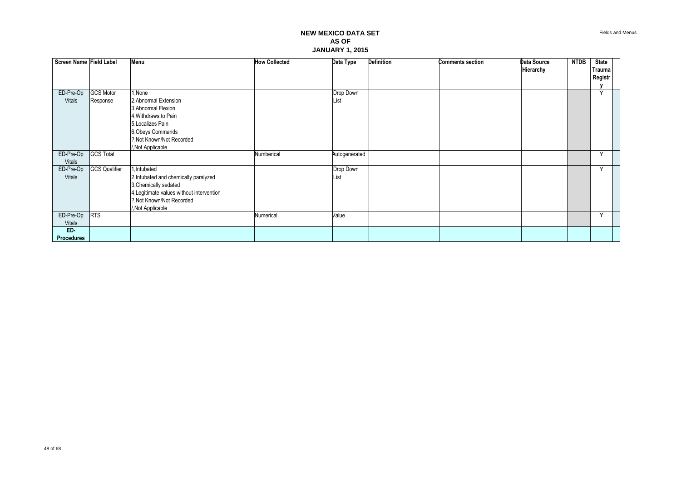| Screen Name Field Label |                      | Menu                                      | <b>How Collected</b> | Data Type     | <b>Definition</b> | <b>Comments section</b> | Data Source | <b>NTDB</b> | <b>State</b> |  |
|-------------------------|----------------------|-------------------------------------------|----------------------|---------------|-------------------|-------------------------|-------------|-------------|--------------|--|
|                         |                      |                                           |                      |               |                   |                         | Hierarchy   |             | Trauma       |  |
|                         |                      |                                           |                      |               |                   |                         |             |             | Registr      |  |
| ED-Pre-Op               | <b>GCS Motor</b>     | 1, None                                   |                      | Drop Down     |                   |                         |             |             | $\checkmark$ |  |
| <b>Vitals</b>           | Response             | 2, Abnormal Extension                     |                      | List          |                   |                         |             |             |              |  |
|                         |                      | 3, Abnormal Flexion                       |                      |               |                   |                         |             |             |              |  |
|                         |                      | 4. Withdraws to Pain                      |                      |               |                   |                         |             |             |              |  |
|                         |                      | 5, Localizes Pain                         |                      |               |                   |                         |             |             |              |  |
|                         |                      | 6, Obeys Commands                         |                      |               |                   |                         |             |             |              |  |
|                         |                      | ?. Not Known/Not Recorded                 |                      |               |                   |                         |             |             |              |  |
|                         |                      | /, Not Applicable                         |                      |               |                   |                         |             |             |              |  |
| ED-Pre-Op               | <b>GCS Total</b>     |                                           | Numberical           | Autogenerated |                   |                         |             |             | $\checkmark$ |  |
| Vitals                  |                      |                                           |                      |               |                   |                         |             |             |              |  |
| ED-Pre-Op               | <b>GCS Qualifier</b> | 1, Intubated                              |                      | Drop Down     |                   |                         |             |             | $\checkmark$ |  |
| <b>Vitals</b>           |                      | 2, Intubated and chemically paralyzed     |                      | List          |                   |                         |             |             |              |  |
|                         |                      | 3, Chemically sedated                     |                      |               |                   |                         |             |             |              |  |
|                         |                      | 4, Legitimate values without intervention |                      |               |                   |                         |             |             |              |  |
|                         |                      | ?, Not Known/Not Recorded                 |                      |               |                   |                         |             |             |              |  |
| ED-Pre-Op               | <b>RTS</b>           | ,Not Applicable                           | Numerical            | Value         |                   |                         |             |             | $\checkmark$ |  |
| <b>Vitals</b>           |                      |                                           |                      |               |                   |                         |             |             |              |  |
| ED-                     |                      |                                           |                      |               |                   |                         |             |             |              |  |
| <b>Procedures</b>       |                      |                                           |                      |               |                   |                         |             |             |              |  |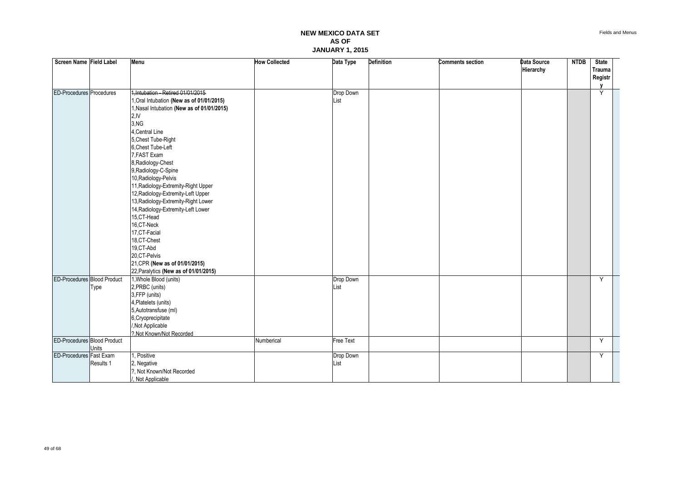| Screen Name Field Label            |           | Menu                                       | <b>How Collected</b> | Data Type        | Definition | <b>Comments section</b> | Data Source | <b>NTDB</b> | <b>State</b>  |  |
|------------------------------------|-----------|--------------------------------------------|----------------------|------------------|------------|-------------------------|-------------|-------------|---------------|--|
|                                    |           |                                            |                      |                  |            |                         | Hierarchy   |             | <b>Trauma</b> |  |
|                                    |           |                                            |                      |                  |            |                         |             |             | Registr       |  |
|                                    |           |                                            |                      |                  |            |                         |             |             | V             |  |
| ED-Procedures Procedures           |           | 1, Intubation - Retired 01/01/2015         |                      | Drop Down        |            |                         |             |             | Ÿ             |  |
|                                    |           | 1, Oral Intubation (New as of 01/01/2015)  |                      | List             |            |                         |             |             |               |  |
|                                    |           | 1, Nasal Intubation (New as of 01/01/2015) |                      |                  |            |                         |             |             |               |  |
|                                    |           | 2,IV                                       |                      |                  |            |                         |             |             |               |  |
|                                    |           | 3,NG                                       |                      |                  |            |                         |             |             |               |  |
|                                    |           | 4, Central Line                            |                      |                  |            |                         |             |             |               |  |
|                                    |           | 5, Chest Tube-Right                        |                      |                  |            |                         |             |             |               |  |
|                                    |           | 6, Chest Tube-Left                         |                      |                  |            |                         |             |             |               |  |
|                                    |           | 7.FAST Exam                                |                      |                  |            |                         |             |             |               |  |
|                                    |           | 8, Radiology-Chest                         |                      |                  |            |                         |             |             |               |  |
|                                    |           | 9, Radiology-C-Spine                       |                      |                  |            |                         |             |             |               |  |
|                                    |           | 10, Radiology-Pelvis                       |                      |                  |            |                         |             |             |               |  |
|                                    |           | 11, Radiology-Extremity-Right Upper        |                      |                  |            |                         |             |             |               |  |
|                                    |           | 12, Radiology-Extremity-Left Upper         |                      |                  |            |                         |             |             |               |  |
|                                    |           | 13, Radiology-Extremity-Right Lower        |                      |                  |            |                         |             |             |               |  |
|                                    |           | 14, Radiology-Extremity-Left Lower         |                      |                  |            |                         |             |             |               |  |
|                                    |           | 15,CT-Head                                 |                      |                  |            |                         |             |             |               |  |
|                                    |           | 16,CT-Neck                                 |                      |                  |            |                         |             |             |               |  |
|                                    |           | 17, CT-Facial                              |                      |                  |            |                         |             |             |               |  |
|                                    |           | 18,CT-Chest                                |                      |                  |            |                         |             |             |               |  |
|                                    |           | 19,CT-Abd                                  |                      |                  |            |                         |             |             |               |  |
|                                    |           | 20, CT-Pelvis                              |                      |                  |            |                         |             |             |               |  |
|                                    |           | 21, CPR (New as of 01/01/2015)             |                      |                  |            |                         |             |             |               |  |
|                                    |           | 22, Paralytics (New as of 01/01/2015)      |                      |                  |            |                         |             |             |               |  |
| <b>ED-Procedures Blood Product</b> |           | 1, Whole Blood (units)                     |                      | Drop Down        |            |                         |             |             | Y             |  |
|                                    | Type      | 2, PRBC (units)                            |                      | List             |            |                         |             |             |               |  |
|                                    |           | 3,FFP (units)                              |                      |                  |            |                         |             |             |               |  |
|                                    |           | 4, Platelets (units)                       |                      |                  |            |                         |             |             |               |  |
|                                    |           | 5, Autotransfuse (ml)                      |                      |                  |            |                         |             |             |               |  |
|                                    |           | 6, Cryoprecipitate                         |                      |                  |            |                         |             |             |               |  |
|                                    |           | /, Not Applicable                          |                      |                  |            |                         |             |             |               |  |
|                                    |           | ?, Not Known/Not Recorded                  |                      |                  |            |                         |             |             |               |  |
| <b>ED-Procedures Blood Product</b> |           |                                            | Numberical           | <b>Free Text</b> |            |                         |             |             | Y             |  |
|                                    | Units     |                                            |                      |                  |            |                         |             |             |               |  |
| ED-Procedures Fast Exam            |           | , Positive                                 |                      | Drop Down        |            |                         |             |             | Y             |  |
|                                    | Results 1 | 2, Negative                                |                      | List             |            |                         |             |             |               |  |
|                                    |           | ?, Not Known/Not Recorded                  |                      |                  |            |                         |             |             |               |  |
|                                    |           | , Not Applicable                           |                      |                  |            |                         |             |             |               |  |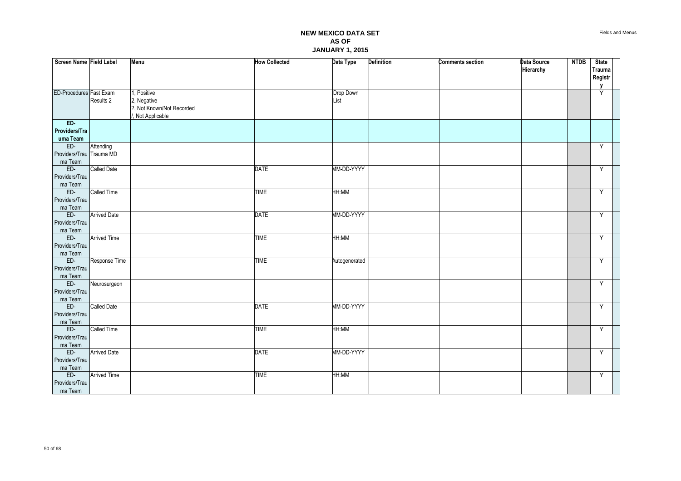| Screen Name Field Label   |                     | <b>Menu</b>               | <b>How Collected</b> | Data Type     | <b>Definition</b> | <b>Comments section</b> | Data Source | <b>NTDB</b> | <b>State</b> |  |
|---------------------------|---------------------|---------------------------|----------------------|---------------|-------------------|-------------------------|-------------|-------------|--------------|--|
|                           |                     |                           |                      |               |                   |                         | Hierarchy   |             | Trauma       |  |
|                           |                     |                           |                      |               |                   |                         |             |             | Registr<br>V |  |
| ED-Procedures Fast Exam   |                     | , Positive                |                      | Drop Down     |                   |                         |             |             | Y            |  |
|                           | Results 2           | 2, Negative               |                      | List          |                   |                         |             |             |              |  |
|                           |                     | ?, Not Known/Not Recorded |                      |               |                   |                         |             |             |              |  |
|                           |                     | Not Applicable            |                      |               |                   |                         |             |             |              |  |
| ED-                       |                     |                           |                      |               |                   |                         |             |             |              |  |
| Providers/Tra             |                     |                           |                      |               |                   |                         |             |             |              |  |
| uma Team                  |                     |                           |                      |               |                   |                         |             |             |              |  |
| ED-                       | Attending           |                           |                      |               |                   |                         |             |             | Y            |  |
| Providers/Trau Trauma MD  |                     |                           |                      |               |                   |                         |             |             |              |  |
| ma Team                   |                     |                           |                      |               |                   |                         |             |             |              |  |
| $ED-$                     | <b>Called Date</b>  |                           | <b>DATE</b>          | MM-DD-YYYY    |                   |                         |             |             | Y            |  |
| Providers/Trau<br>ma Team |                     |                           |                      |               |                   |                         |             |             |              |  |
| ED-                       | Called Time         |                           | <b>TIME</b>          | HH:MM         |                   |                         |             |             | Y            |  |
| Providers/Trau            |                     |                           |                      |               |                   |                         |             |             |              |  |
| ma Team                   |                     |                           |                      |               |                   |                         |             |             |              |  |
| ED-                       | <b>Arrived Date</b> |                           | <b>DATE</b>          | MM-DD-YYYY    |                   |                         |             |             | Y            |  |
| Providers/Trau            |                     |                           |                      |               |                   |                         |             |             |              |  |
| ma Team                   |                     |                           |                      |               |                   |                         |             |             |              |  |
| ED-                       | <b>Arrived Time</b> |                           | <b>TIME</b>          | HH:MM         |                   |                         |             |             | Y            |  |
| Providers/Trau            |                     |                           |                      |               |                   |                         |             |             |              |  |
| ma Team                   |                     |                           |                      |               |                   |                         |             |             |              |  |
| ED-                       | Response Time       |                           | <b>TIME</b>          | Autogenerated |                   |                         |             |             | Y            |  |
| Providers/Trau            |                     |                           |                      |               |                   |                         |             |             |              |  |
| ma Team                   |                     |                           |                      |               |                   |                         |             |             |              |  |
| ED-                       | Neurosurgeon        |                           |                      |               |                   |                         |             |             | Y            |  |
| Providers/Trau<br>ma Team |                     |                           |                      |               |                   |                         |             |             |              |  |
| ED-                       | <b>Called Date</b>  |                           | <b>DATE</b>          | MM-DD-YYYY    |                   |                         |             |             | Y            |  |
| Providers/Trau            |                     |                           |                      |               |                   |                         |             |             |              |  |
| ma Team                   |                     |                           |                      |               |                   |                         |             |             |              |  |
| ED-                       | Called Time         |                           | <b>TIME</b>          | HH:MM         |                   |                         |             |             | Y            |  |
| Providers/Trau            |                     |                           |                      |               |                   |                         |             |             |              |  |
| ma Team                   |                     |                           |                      |               |                   |                         |             |             |              |  |
| E                         | <b>Arrived Date</b> |                           | <b>DATE</b>          | MM-DD-YYYY    |                   |                         |             |             | Y            |  |
| Providers/Trau            |                     |                           |                      |               |                   |                         |             |             |              |  |
| ma Team                   |                     |                           |                      |               |                   |                         |             |             |              |  |
| ED-                       | <b>Arrived Time</b> |                           | <b>TIME</b>          | HH:MM         |                   |                         |             |             | Y            |  |
| Providers/Trau            |                     |                           |                      |               |                   |                         |             |             |              |  |
| ma Team                   |                     |                           |                      |               |                   |                         |             |             |              |  |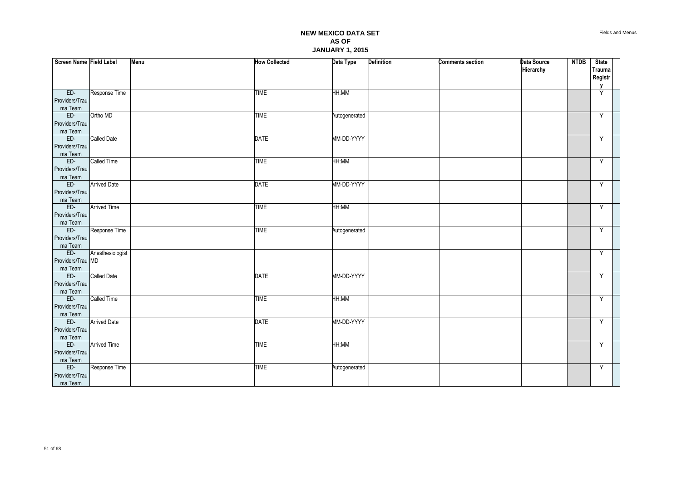| Screen Name Field Label   |                     | Menu | <b>How Collected</b> | Data Type     | Definition | <b>Comments section</b> | <b>Data Source</b><br>Hierarchy | <b>NTDB</b> | <b>State</b><br>Trauma |  |
|---------------------------|---------------------|------|----------------------|---------------|------------|-------------------------|---------------------------------|-------------|------------------------|--|
|                           |                     |      |                      |               |            |                         |                                 |             | <b>Registr</b><br>V    |  |
| $ED-$                     | Response Time       |      | <b>TIME</b>          | HH:MM         |            |                         |                                 |             | Y                      |  |
| Providers/Trau            |                     |      |                      |               |            |                         |                                 |             |                        |  |
| ma Team                   |                     |      |                      |               |            |                         |                                 |             |                        |  |
| ED-                       | Ortho MD            |      | <b>TIME</b>          | Autogenerated |            |                         |                                 |             | Y                      |  |
| Providers/Trau            |                     |      |                      |               |            |                         |                                 |             |                        |  |
| ma Team                   |                     |      |                      |               |            |                         |                                 |             |                        |  |
| ED-                       | Called Date         |      | <b>DATE</b>          | MM-DD-YYYY    |            |                         |                                 |             | Υ                      |  |
| Providers/Trau<br>ma Team |                     |      |                      |               |            |                         |                                 |             |                        |  |
| ED-                       | Called Time         |      | <b>TIME</b>          | HH:MM         |            |                         |                                 |             | Y                      |  |
| Providers/Trau            |                     |      |                      |               |            |                         |                                 |             |                        |  |
| ma Team                   |                     |      |                      |               |            |                         |                                 |             |                        |  |
| ED-                       | <b>Arrived Date</b> |      | <b>DATE</b>          | MM-DD-YYYY    |            |                         |                                 |             | Y                      |  |
| Providers/Trau            |                     |      |                      |               |            |                         |                                 |             |                        |  |
| ma Team                   |                     |      |                      |               |            |                         |                                 |             |                        |  |
| ED-                       | <b>Arrived Time</b> |      | <b>TIME</b>          | HH:MM         |            |                         |                                 |             | Y                      |  |
| Providers/Trau            |                     |      |                      |               |            |                         |                                 |             |                        |  |
| ma Team                   |                     |      |                      |               |            |                         |                                 |             |                        |  |
| $ED-$<br>Providers/Trau   | Response Time       |      | <b>TIME</b>          | Autogenerated |            |                         |                                 |             | Y                      |  |
| ma Team                   |                     |      |                      |               |            |                         |                                 |             |                        |  |
| ED-                       | Anesthesiologist    |      |                      |               |            |                         |                                 |             | Y                      |  |
| Providers/Trau MD         |                     |      |                      |               |            |                         |                                 |             |                        |  |
| ma Team                   |                     |      |                      |               |            |                         |                                 |             |                        |  |
| ED-                       | Called Date         |      | <b>DATE</b>          | MM-DD-YYYY    |            |                         |                                 |             | Y                      |  |
| Providers/Trau            |                     |      |                      |               |            |                         |                                 |             |                        |  |
| ma Team                   |                     |      |                      |               |            |                         |                                 |             |                        |  |
| ED-                       | Called Time         |      | <b>TIME</b>          | HH:MM         |            |                         |                                 |             | Y                      |  |
| Providers/Trau            |                     |      |                      |               |            |                         |                                 |             |                        |  |
| ma Team                   |                     |      |                      |               |            |                         |                                 |             |                        |  |
| ED-                       | <b>Arrived Date</b> |      | <b>DATE</b>          | MM-DD-YYYY    |            |                         |                                 |             | Y                      |  |
| Providers/Trau<br>ma Team |                     |      |                      |               |            |                         |                                 |             |                        |  |
| ED-                       | <b>Arrived Time</b> |      | <b>TIME</b>          | HH:MM         |            |                         |                                 |             | Y                      |  |
| Providers/Trau            |                     |      |                      |               |            |                         |                                 |             |                        |  |
| ma Team                   |                     |      |                      |               |            |                         |                                 |             |                        |  |
| $ED-$                     | Response Time       |      | <b>TIME</b>          | Autogenerated |            |                         |                                 |             | Υ                      |  |
| Providers/Trau            |                     |      |                      |               |            |                         |                                 |             |                        |  |
| ma Team                   |                     |      |                      |               |            |                         |                                 |             |                        |  |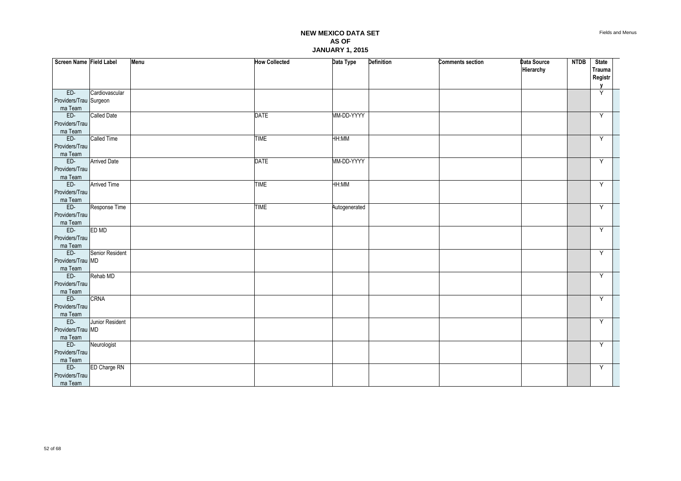| Screen Name Field Label |                     | Menu | <b>How Collected</b> | Data Type     | <b>Definition</b> | <b>Comments section</b> | Data Source | <b>NTDB</b> | <b>State</b>     |  |
|-------------------------|---------------------|------|----------------------|---------------|-------------------|-------------------------|-------------|-------------|------------------|--|
|                         |                     |      |                      |               |                   |                         | Hierarchy   |             | Trauma           |  |
|                         |                     |      |                      |               |                   |                         |             |             | Registr          |  |
| $ED-$                   | Cardiovascular      |      |                      |               |                   |                         |             |             | $\mathbf v$<br>Ÿ |  |
| Providers/Trau Surgeon  |                     |      |                      |               |                   |                         |             |             |                  |  |
| ma Team                 |                     |      |                      |               |                   |                         |             |             |                  |  |
| ED-                     | <b>Called Date</b>  |      | <b>DATE</b>          | MM-DD-YYYY    |                   |                         |             |             | Y                |  |
| Providers/Trau          |                     |      |                      |               |                   |                         |             |             |                  |  |
| ma Team                 |                     |      |                      |               |                   |                         |             |             |                  |  |
| ED-                     | Called Time         |      | <b>TIME</b>          | HH:MM         |                   |                         |             |             | Y                |  |
| Providers/Trau          |                     |      |                      |               |                   |                         |             |             |                  |  |
| ma Team                 |                     |      |                      |               |                   |                         |             |             |                  |  |
| ED-                     | <b>Arrived Date</b> |      | <b>DATE</b>          | MM-DD-YYYY    |                   |                         |             |             | Y                |  |
| Providers/Trau          |                     |      |                      |               |                   |                         |             |             |                  |  |
| ma Team                 |                     |      |                      |               |                   |                         |             |             |                  |  |
| ED-                     | <b>Arrived Time</b> |      | <b>TIME</b>          | HH:MM         |                   |                         |             |             | Y                |  |
| Providers/Trau          |                     |      |                      |               |                   |                         |             |             |                  |  |
| ma Team<br>ED-          |                     |      |                      |               |                   |                         |             |             |                  |  |
| Providers/Trau          | Response Time       |      | <b>TIME</b>          | Autogenerated |                   |                         |             |             | Y                |  |
|                         |                     |      |                      |               |                   |                         |             |             |                  |  |
| ma Team<br>ED-          | <b>ED MD</b>        |      |                      |               |                   |                         |             |             | Υ                |  |
| Providers/Trau          |                     |      |                      |               |                   |                         |             |             |                  |  |
| ma Team                 |                     |      |                      |               |                   |                         |             |             |                  |  |
| ED-                     | Senior Resident     |      |                      |               |                   |                         |             |             | Y                |  |
| Providers/Trau MD       |                     |      |                      |               |                   |                         |             |             |                  |  |
| ma Team                 |                     |      |                      |               |                   |                         |             |             |                  |  |
| ED-                     | Rehab MD            |      |                      |               |                   |                         |             |             | Y                |  |
| Providers/Trau          |                     |      |                      |               |                   |                         |             |             |                  |  |
| ma Team                 |                     |      |                      |               |                   |                         |             |             |                  |  |
| ED-                     | <b>CRNA</b>         |      |                      |               |                   |                         |             |             | Y                |  |
| Providers/Trau          |                     |      |                      |               |                   |                         |             |             |                  |  |
| ma Team                 |                     |      |                      |               |                   |                         |             |             |                  |  |
| E                       | Junior Resident     |      |                      |               |                   |                         |             |             | Y                |  |
| Providers/Trau MD       |                     |      |                      |               |                   |                         |             |             |                  |  |
| ma Team                 |                     |      |                      |               |                   |                         |             |             |                  |  |
| ED-                     | Neurologist         |      |                      |               |                   |                         |             |             | Y                |  |
| Providers/Trau          |                     |      |                      |               |                   |                         |             |             |                  |  |
| ma Team                 |                     |      |                      |               |                   |                         |             |             |                  |  |
| ED-                     | <b>ED Charge RN</b> |      |                      |               |                   |                         |             |             | Y                |  |
| Providers/Trau          |                     |      |                      |               |                   |                         |             |             |                  |  |
| ma Team                 |                     |      |                      |               |                   |                         |             |             |                  |  |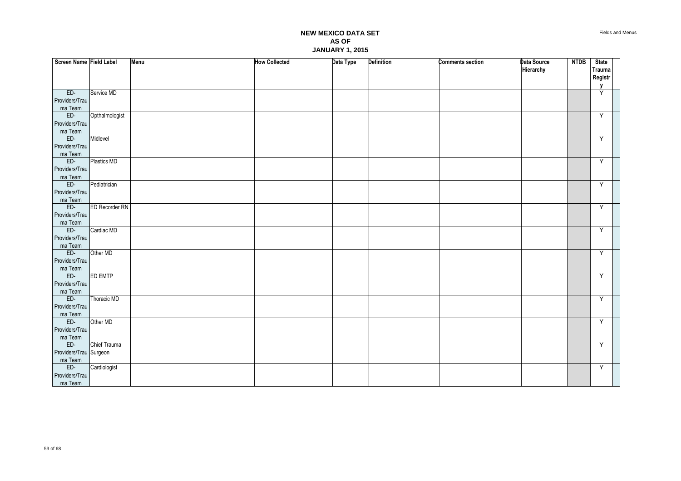| Screen Name Field Label   |                       | Menu | <b>How Collected</b> | Data Type | <b>Definition</b> | <b>Comments section</b> | Data Source | <b>NTDB</b> | <b>State</b>            |  |
|---------------------------|-----------------------|------|----------------------|-----------|-------------------|-------------------------|-------------|-------------|-------------------------|--|
|                           |                       |      |                      |           |                   |                         | Hierarchy   |             | Trauma                  |  |
|                           |                       |      |                      |           |                   |                         |             |             | Registr<br>$\mathbf{v}$ |  |
| $ED-$                     | Service MD            |      |                      |           |                   |                         |             |             | Ÿ                       |  |
| Providers/Trau            |                       |      |                      |           |                   |                         |             |             |                         |  |
| ma Team                   |                       |      |                      |           |                   |                         |             |             |                         |  |
| $ED-$                     | Opthalmologist        |      |                      |           |                   |                         |             |             | Y                       |  |
| Providers/Trau            |                       |      |                      |           |                   |                         |             |             |                         |  |
| ma Team<br>ED-            | Midlevel              |      |                      |           |                   |                         |             |             | Y                       |  |
| Providers/Trau            |                       |      |                      |           |                   |                         |             |             |                         |  |
| ma Team                   |                       |      |                      |           |                   |                         |             |             |                         |  |
| ED-                       | Plastics MD           |      |                      |           |                   |                         |             |             | Y                       |  |
| Providers/Trau            |                       |      |                      |           |                   |                         |             |             |                         |  |
| ma Team                   |                       |      |                      |           |                   |                         |             |             |                         |  |
| ED-                       | Pediatrician          |      |                      |           |                   |                         |             |             | Y                       |  |
| Providers/Trau<br>ma Team |                       |      |                      |           |                   |                         |             |             |                         |  |
| ED-                       | <b>ED Recorder RN</b> |      |                      |           |                   |                         |             |             | Y                       |  |
| Providers/Trau            |                       |      |                      |           |                   |                         |             |             |                         |  |
| ma Team                   |                       |      |                      |           |                   |                         |             |             |                         |  |
| ED-                       | Cardiac MD            |      |                      |           |                   |                         |             |             | Y                       |  |
| Providers/Trau            |                       |      |                      |           |                   |                         |             |             |                         |  |
| ma Team<br>ED-            |                       |      |                      |           |                   |                         |             |             |                         |  |
| Providers/Trau            | Other MD              |      |                      |           |                   |                         |             |             | Y                       |  |
| ma Team                   |                       |      |                      |           |                   |                         |             |             |                         |  |
| $ED-$                     | <b>ED EMTP</b>        |      |                      |           |                   |                         |             |             | Y                       |  |
| Providers/Trau            |                       |      |                      |           |                   |                         |             |             |                         |  |
| ma Team                   |                       |      |                      |           |                   |                         |             |             |                         |  |
| ED-                       | Thoracic MD           |      |                      |           |                   |                         |             |             | Y                       |  |
| Providers/Trau            |                       |      |                      |           |                   |                         |             |             |                         |  |
| ma Team<br>ED-            | Other MD              |      |                      |           |                   |                         |             |             | Υ                       |  |
| Providers/Trau            |                       |      |                      |           |                   |                         |             |             |                         |  |
| ma Team                   |                       |      |                      |           |                   |                         |             |             |                         |  |
| $ED-$                     | Chief Trauma          |      |                      |           |                   |                         |             |             | Y                       |  |
| Providers/Trau Surgeon    |                       |      |                      |           |                   |                         |             |             |                         |  |
| ma Team                   |                       |      |                      |           |                   |                         |             |             |                         |  |
| ED-                       | Cardiologist          |      |                      |           |                   |                         |             |             | Y                       |  |
| Providers/Trau            |                       |      |                      |           |                   |                         |             |             |                         |  |
| ma Team                   |                       |      |                      |           |                   |                         |             |             |                         |  |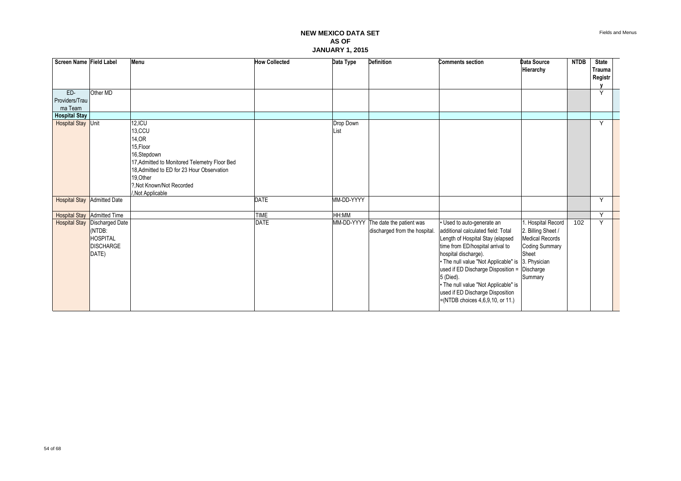| Screen Name Field Label         |                                                                                                | Menu                                                                                                                                                                                                                 | <b>How Collected</b> | Data Type         | <b>Definition</b>                                                    | <b>Comments section</b>                                                                                                                                                                                                                                                                                                                                                                               | Data Source<br>Hierarchy                                                                                       | <b>NTDB</b> | <b>State</b><br>Trauma<br>Registr |  |
|---------------------------------|------------------------------------------------------------------------------------------------|----------------------------------------------------------------------------------------------------------------------------------------------------------------------------------------------------------------------|----------------------|-------------------|----------------------------------------------------------------------|-------------------------------------------------------------------------------------------------------------------------------------------------------------------------------------------------------------------------------------------------------------------------------------------------------------------------------------------------------------------------------------------------------|----------------------------------------------------------------------------------------------------------------|-------------|-----------------------------------|--|
| ED-<br>Providers/Trau           | Other MD                                                                                       |                                                                                                                                                                                                                      |                      |                   |                                                                      |                                                                                                                                                                                                                                                                                                                                                                                                       |                                                                                                                |             | Y                                 |  |
| ma Team<br><b>Hospital Stay</b> |                                                                                                |                                                                                                                                                                                                                      |                      |                   |                                                                      |                                                                                                                                                                                                                                                                                                                                                                                                       |                                                                                                                |             |                                   |  |
| <b>Hospital Stay Unit</b>       |                                                                                                | $12,$ ICU<br>13,CCU<br>14, OR<br>15, Floor<br>16,Stepdown<br>17, Admitted to Monitored Telemetry Floor Bed<br>18. Admitted to ED for 23 Hour Observation<br>19, Other<br>?, Not Known/Not Recorded<br>Not Applicable |                      | Drop Down<br>List |                                                                      |                                                                                                                                                                                                                                                                                                                                                                                                       |                                                                                                                |             | Y                                 |  |
|                                 | <b>Hospital Stay Admitted Date</b>                                                             |                                                                                                                                                                                                                      | <b>DATE</b>          | MM-DD-YYYY        |                                                                      |                                                                                                                                                                                                                                                                                                                                                                                                       |                                                                                                                |             | Y                                 |  |
|                                 | <b>Hospital Stay Admitted Time</b>                                                             |                                                                                                                                                                                                                      | <b>TIME</b>          | HH:MM             |                                                                      |                                                                                                                                                                                                                                                                                                                                                                                                       |                                                                                                                |             | Y                                 |  |
|                                 | <b>Hospital Stay Discharged Date</b><br>(NTDB:<br><b>HOSPITAL</b><br><b>DISCHARGE</b><br>DATE) |                                                                                                                                                                                                                      | <b>DATE</b>          |                   | MM-DD-YYYY The date the patient was<br>discharged from the hospital. | Used to auto-generate an<br>additional calculated field: Total<br>Length of Hospital Stay (elapsed<br>time from ED/hospital arrival to<br>hospital discharge).<br>• The null value "Not Applicable" is 3. Physician<br>used if ED Discharge Disposition = Discharge<br>5 (Died).<br>• The null value "Not Applicable" is<br>used if ED Discharge Disposition<br>$=(NTDB$ choices $4,6,9,10$ , or 11.) | . Hospital Record<br>2. Billing Sheet /<br><b>Medical Records</b><br><b>Coding Summary</b><br>Sheet<br>Summary | 102         | Y                                 |  |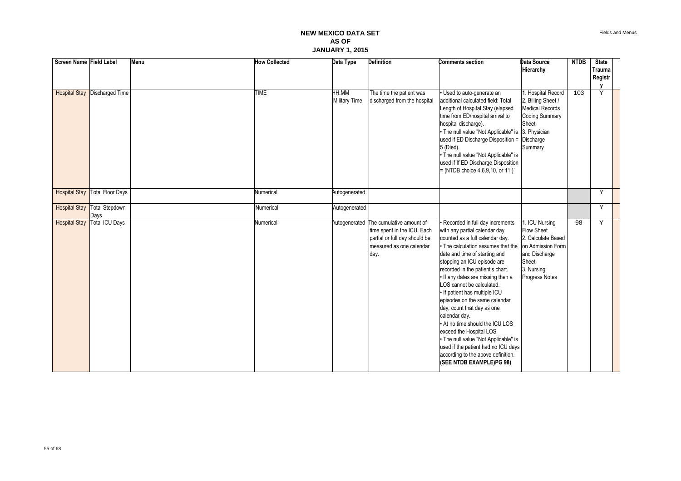| Screen Name Field Label |                                       | Menu | <b>How Collected</b> | Data Type                     | <b>Definition</b>                                                                                                            | <b>Comments section</b>                                                                                                                                                                                                                                                                                                                                                                                                                                                                                                                                                                                                                          | Data Source<br>Hierarchy                                                                                                                 | <b>NTDB</b> | <b>State</b><br><b>Trauma</b><br>Registr |  |
|-------------------------|---------------------------------------|------|----------------------|-------------------------------|------------------------------------------------------------------------------------------------------------------------------|--------------------------------------------------------------------------------------------------------------------------------------------------------------------------------------------------------------------------------------------------------------------------------------------------------------------------------------------------------------------------------------------------------------------------------------------------------------------------------------------------------------------------------------------------------------------------------------------------------------------------------------------------|------------------------------------------------------------------------------------------------------------------------------------------|-------------|------------------------------------------|--|
|                         | <b>Hospital Stay Discharged Time</b>  |      | <b>TIME</b>          | HH:MM<br><b>Military Time</b> | The time the patient was<br>discharged from the hospital                                                                     | · Used to auto-generate an<br>additional calculated field: Total<br>Length of Hospital Stay (elapsed<br>time from ED/hospital arrival to<br>hospital discharge).<br>. The null value "Not Applicable" is<br>used if ED Discharge Disposition =<br>5 (Died).<br>. The null value "Not Applicable" is<br>used if If ED Discharge Disposition<br>$= (NTDB choice 4.6.9.10, or 11.)$                                                                                                                                                                                                                                                                 | . Hospital Record<br>2. Billing Sheet /<br>Medical Records<br><b>Coding Summary</b><br>Sheet<br>3. Physician<br>Discharge<br>Summary     | 103         | Y                                        |  |
| <b>Hospital Stay</b>    | Total Floor Days                      |      | Numerical            | Autogenerated                 |                                                                                                                              |                                                                                                                                                                                                                                                                                                                                                                                                                                                                                                                                                                                                                                                  |                                                                                                                                          |             | Y                                        |  |
| <b>Hospital Stay</b>    | <b>Total Stepdown</b><br>Days         |      | Numerical            | Autogenerated                 |                                                                                                                              |                                                                                                                                                                                                                                                                                                                                                                                                                                                                                                                                                                                                                                                  |                                                                                                                                          |             | Y                                        |  |
|                         | <b>Hospital Stay   Total ICU Days</b> |      | Numerical            | Autogenerated                 | The cumulative amount of<br>time spent in the ICU. Each<br>partial or full day should be<br>measured as one calendar<br>day. | Recorded in full day increments<br>with any partial calendar day<br>counted as a full calendar day.<br>• The calculation assumes that the<br>date and time of starting and<br>stopping an ICU episode are<br>recorded in the patient's chart.<br>. If any dates are missing then a<br>LOS cannot be calculated.<br>. If patient has multiple ICU<br>episodes on the same calendar<br>day, count that day as one<br>calendar day.<br>• At no time should the ICU LOS<br>exceed the Hospital LOS.<br>• The null value "Not Applicable" is<br>used if the patient had no ICU days<br>according to the above definition.<br>(SEE NTDB EXAMPLE)PG 98) | 1. ICU Nursing<br><b>Flow Sheet</b><br>2. Calculate Based<br>on Admission Form<br>and Discharge<br>Sheet<br>3. Nursing<br>Progress Notes | 98          | Y                                        |  |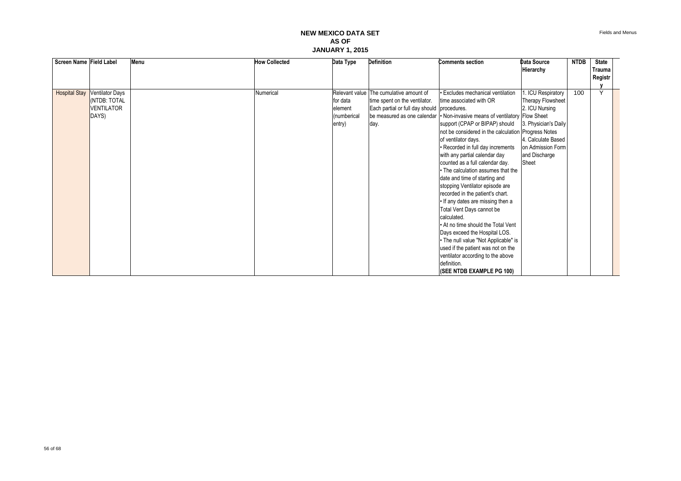| Screen Name Field Label |                        | Menu | <b>How Collected</b> | Data Type   | <b>Definition</b>                           | <b>Comments section</b>                                                    | Data Source          | <b>NTDB</b> | <b>State</b>            |  |
|-------------------------|------------------------|------|----------------------|-------------|---------------------------------------------|----------------------------------------------------------------------------|----------------------|-------------|-------------------------|--|
|                         |                        |      |                      |             |                                             |                                                                            | Hierarchy            |             | <b>Trauma</b>           |  |
|                         |                        |      |                      |             |                                             |                                                                            |                      |             | Registr                 |  |
|                         |                        |      |                      |             |                                             |                                                                            |                      |             | $\overline{\mathsf{v}}$ |  |
| <b>Hospital Stay</b>    | <b>Ventilator Days</b> |      | Numerical            |             | Relevant value The cumulative amount of     | <b>Excludes mechanical ventilation</b>                                     | . ICU Respiratory    | 100         |                         |  |
|                         | (NTDB: TOTAL           |      |                      | for data    | time spent on the ventilator.               | time associated with OR                                                    | Therapy Flowsheet    |             |                         |  |
|                         | <b>VENTILATOR</b>      |      |                      | element     | Each partial or full day should procedures. |                                                                            | 2. ICU Nursing       |             |                         |  |
|                         | DAYS)                  |      |                      | (numberical |                                             | be measured as one calendar • Non-invasive means of ventilatory Flow Sheet |                      |             |                         |  |
|                         |                        |      |                      | entry)      | day.                                        | support (CPAP or BIPAP) should                                             | 3. Physician's Daily |             |                         |  |
|                         |                        |      |                      |             |                                             | not be considered in the calculation Progress Notes                        |                      |             |                         |  |
|                         |                        |      |                      |             |                                             | of ventilator days.                                                        | 4. Calculate Based   |             |                         |  |
|                         |                        |      |                      |             |                                             | • Recorded in full day increments                                          | on Admission Form    |             |                         |  |
|                         |                        |      |                      |             |                                             | with any partial calendar day                                              | and Discharge        |             |                         |  |
|                         |                        |      |                      |             |                                             | counted as a full calendar day.                                            | Sheet                |             |                         |  |
|                         |                        |      |                      |             |                                             | • The calculation assumes that the                                         |                      |             |                         |  |
|                         |                        |      |                      |             |                                             | date and time of starting and                                              |                      |             |                         |  |
|                         |                        |      |                      |             |                                             | stopping Ventilator episode are                                            |                      |             |                         |  |
|                         |                        |      |                      |             |                                             | recorded in the patient's chart.                                           |                      |             |                         |  |
|                         |                        |      |                      |             |                                             | . If any dates are missing then a                                          |                      |             |                         |  |
|                         |                        |      |                      |             |                                             | Total Vent Days cannot be                                                  |                      |             |                         |  |
|                         |                        |      |                      |             |                                             | calculated.                                                                |                      |             |                         |  |
|                         |                        |      |                      |             |                                             | . At no time should the Total Vent                                         |                      |             |                         |  |
|                         |                        |      |                      |             |                                             | Days exceed the Hospital LOS.                                              |                      |             |                         |  |
|                         |                        |      |                      |             |                                             | • The null value "Not Applicable" is                                       |                      |             |                         |  |
|                         |                        |      |                      |             |                                             | used if the patient was not on the                                         |                      |             |                         |  |
|                         |                        |      |                      |             |                                             | ventilator according to the above                                          |                      |             |                         |  |
|                         |                        |      |                      |             |                                             | definition.                                                                |                      |             |                         |  |
|                         |                        |      |                      |             |                                             | (SEE NTDB EXAMPLE PG 100)                                                  |                      |             |                         |  |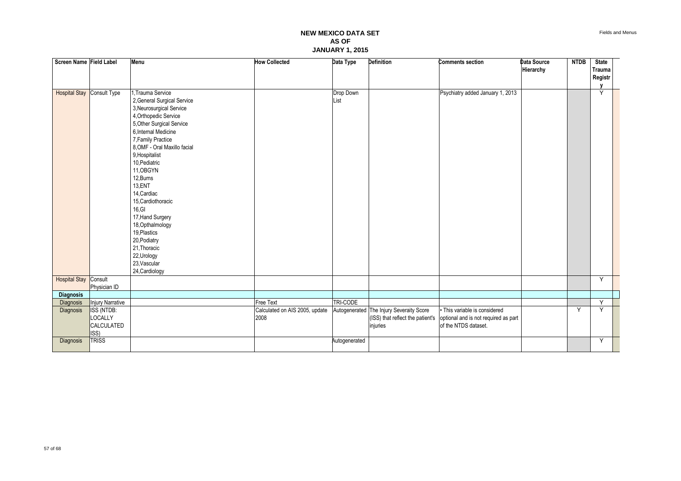| Screen Name Field Label           |                                             | Menu                                                                                                                                                                                                                                                                                                                                                                                                                                                                            | <b>How Collected</b>                   | Data Type         | <b>Definition</b>                                    | <b>Comments section</b>                                                                                                        | Data Source<br>Hierarchy | <b>NTDB</b> | <b>State</b><br>Trauma<br>Registr |  |
|-----------------------------------|---------------------------------------------|---------------------------------------------------------------------------------------------------------------------------------------------------------------------------------------------------------------------------------------------------------------------------------------------------------------------------------------------------------------------------------------------------------------------------------------------------------------------------------|----------------------------------------|-------------------|------------------------------------------------------|--------------------------------------------------------------------------------------------------------------------------------|--------------------------|-------------|-----------------------------------|--|
| <b>Hospital Stay Consult Type</b> |                                             | 1, Trauma Service<br>2, General Surgical Service<br>3, Neurosurgical Service<br>4, Orthopedic Service<br>5, Other Surgical Service<br>6, Internal Medicine<br>7, Family Practice<br>8, OMF - Oral Maxillo facial<br>9, Hospitalist<br>10, Pediatric<br>11, OBGYN<br>12, Burns<br>13,ENT<br>14, Cardiac<br>15, Cardiothoracic<br>16, G1<br>17, Hand Surgery<br>18, Opthalmology<br>19, Plastics<br>20, Podiatry<br>21, Thoracic<br>22, Urology<br>23, Vascular<br>24, Cardiology |                                        | Drop Down<br>List |                                                      | Psychiatry added January 1, 2013                                                                                               |                          |             | Y                                 |  |
| <b>Hospital Stay Consult</b>      | Physician ID                                |                                                                                                                                                                                                                                                                                                                                                                                                                                                                                 |                                        |                   |                                                      |                                                                                                                                |                          |             | Y                                 |  |
| <b>Diagnosis</b>                  |                                             |                                                                                                                                                                                                                                                                                                                                                                                                                                                                                 |                                        |                   |                                                      |                                                                                                                                |                          |             |                                   |  |
| Diagnosis                         | Injury Narrative                            |                                                                                                                                                                                                                                                                                                                                                                                                                                                                                 | <b>Free Text</b>                       | TRI-CODE          |                                                      |                                                                                                                                |                          |             | Y                                 |  |
| Diagnosis                         | ISS (NTDB:<br>LOCALLY<br>CALCULATED<br>ISS) |                                                                                                                                                                                                                                                                                                                                                                                                                                                                                 | Calculated on AIS 2005, update<br>2008 |                   | Autogenerated The Injury Severaity Score<br>injuries | • This variable is considered<br>(ISS) that reflect the patient's optional and is not required as part<br>of the NTDS dataset. |                          | Y           | Y                                 |  |
| Diagnosis                         | <b>TRISS</b>                                |                                                                                                                                                                                                                                                                                                                                                                                                                                                                                 |                                        | Autogenerated     |                                                      |                                                                                                                                |                          |             | Y                                 |  |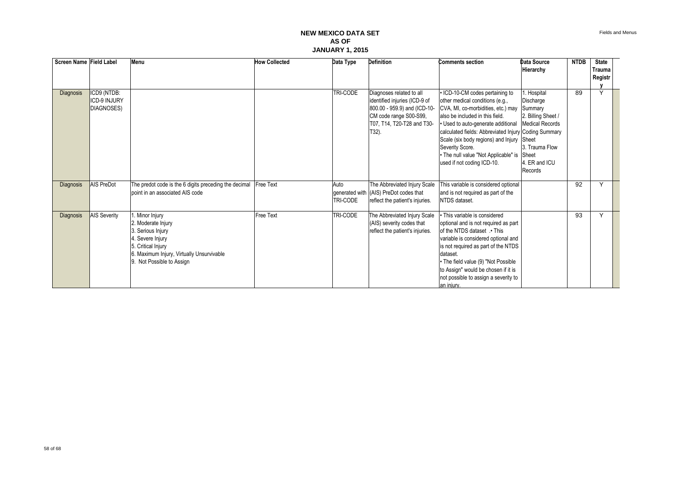| Screen Name Field Label |                                                  | Menu                                                                                                                                                                       | <b>How Collected</b> | Data Type        | <b>Definition</b>                                                                                                                                             | <b>Comments section</b>                                                                                                                                                                                                                                                                                                                                                       | Data Source<br>Hierarchy                                                                                                               | <b>NTDB</b> | <b>State</b><br>Trauma<br>Registr |  |
|-------------------------|--------------------------------------------------|----------------------------------------------------------------------------------------------------------------------------------------------------------------------------|----------------------|------------------|---------------------------------------------------------------------------------------------------------------------------------------------------------------|-------------------------------------------------------------------------------------------------------------------------------------------------------------------------------------------------------------------------------------------------------------------------------------------------------------------------------------------------------------------------------|----------------------------------------------------------------------------------------------------------------------------------------|-------------|-----------------------------------|--|
| Diagnosis               | ICD9 (NTDB:<br><b>ICD-9 INJURY</b><br>DIAGNOSES) |                                                                                                                                                                            |                      | TRI-CODE         | Diagnoses related to all<br>identified injuries (ICD-9 of<br>800.00 - 959.9) and (ICD-10-<br>CM code range S00-S99,<br>T07, T14, T20-T28 and T30-<br>$T32$ ). | • ICD-10-CM codes pertaining to<br>other medical conditions (e.g.,<br>CVA, MI, co-morbidities, etc.) may<br>also be included in this field.<br>Used to auto-generate additional<br>calculated fields: Abbreviated Injury Coding Summary<br>Scale (six body regions) and Injury Sheet<br>Severity Score.<br>• The null value "Not Applicable" is<br>used if not coding ICD-10. | Hospital<br>Discharge<br>Summary<br>2. Billing Sheet /<br><b>Medical Records</b><br>3. Trauma Flow<br>Sheet<br>. ER and ICU<br>Records | 89          | Y                                 |  |
| <b>Diagnosis</b>        | AIS PreDot                                       | The predot code is the 6 digits preceding the decimal<br>point in an associated AIS code                                                                                   | <b>Free Text</b>     | Auto<br>TRI-CODE | The Abbreviated Injury Scale<br>generated with (AIS) PreDot codes that<br>reflect the patient's injuries.                                                     | This variable is considered optional<br>and is not required as part of the<br>NTDS dataset.                                                                                                                                                                                                                                                                                   |                                                                                                                                        | 92          | Y                                 |  |
| Diagnosis               | <b>AIS Severity</b>                              | Minor Injury<br>2. Moderate Injury<br>. Serious Injury<br>4. Severe Injury<br>5. Critical Injury<br>6. Maximum Injury, Virtually Unsurvivable<br>9. Not Possible to Assign | Free Text            | TRI-CODE         | The Abbreviated Injury Scale<br>(AIS) severity codes that<br>reflect the patient's injuries.                                                                  | This variable is considered<br>optional and is not required as part<br>of the NTDS dataset . This<br>variable is considered optional and<br>is not required as part of the NTDS<br>dataset.<br>• The field value (9) "Not Possible<br>to Assign" would be chosen if it is<br>not possible to assign a severity to<br>an injury.                                               |                                                                                                                                        | 93          | Y                                 |  |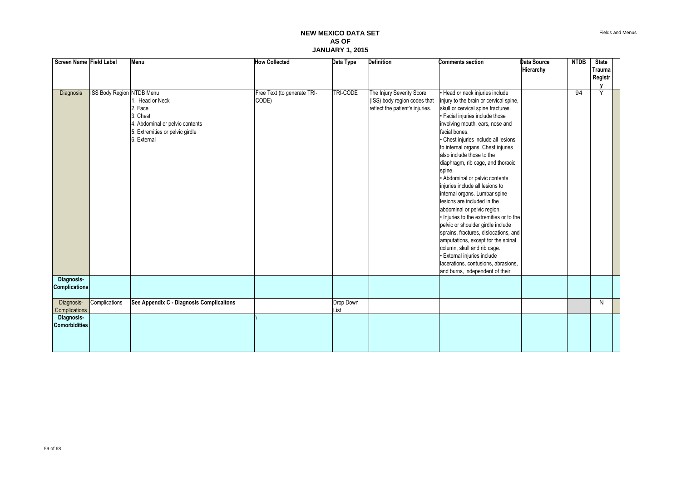| Screen Name Field Label |                           | Menu                                     | <b>How Collected</b>        | Data Type | <b>Definition</b>               | <b>Comments section</b>                 | Data Source | <b>NTDB</b> | <b>State</b> |  |
|-------------------------|---------------------------|------------------------------------------|-----------------------------|-----------|---------------------------------|-----------------------------------------|-------------|-------------|--------------|--|
|                         |                           |                                          |                             |           |                                 |                                         | Hierarchy   |             | Trauma       |  |
|                         |                           |                                          |                             |           |                                 |                                         |             |             | Registr      |  |
|                         |                           |                                          |                             |           |                                 |                                         |             |             |              |  |
| Diagnosis               | ISS Body Region NTDB Menu |                                          | Free Text (to generate TRI- | TRI-CODE  | The Injury Severity Score       | Head or neck injuries include           |             | 94          | Y            |  |
|                         |                           | 1. Head or Neck                          | CODE)                       |           | (ISS) body region codes that    | injury to the brain or cervical spine,  |             |             |              |  |
|                         |                           | 2. Face                                  |                             |           | reflect the patient's injuries. | skull or cervical spine fractures.      |             |             |              |  |
|                         |                           | 3. Chest                                 |                             |           |                                 | · Facial injuries include those         |             |             |              |  |
|                         |                           | 4. Abdominal or pelvic contents          |                             |           |                                 | involving mouth, ears, nose and         |             |             |              |  |
|                         |                           | 5. Extremities or pelvic girdle          |                             |           |                                 | facial bones.                           |             |             |              |  |
|                         |                           | 6. External                              |                             |           |                                 | · Chest injuries include all lesions    |             |             |              |  |
|                         |                           |                                          |                             |           |                                 | to internal organs. Chest injuries      |             |             |              |  |
|                         |                           |                                          |                             |           |                                 | also include those to the               |             |             |              |  |
|                         |                           |                                          |                             |           |                                 | diaphragm, rib cage, and thoracic       |             |             |              |  |
|                         |                           |                                          |                             |           |                                 | spine.                                  |             |             |              |  |
|                         |                           |                                          |                             |           |                                 | • Abdominal or pelvic contents          |             |             |              |  |
|                         |                           |                                          |                             |           |                                 | injuries include all lesions to         |             |             |              |  |
|                         |                           |                                          |                             |           |                                 | internal organs. Lumbar spine           |             |             |              |  |
|                         |                           |                                          |                             |           |                                 | lesions are included in the             |             |             |              |  |
|                         |                           |                                          |                             |           |                                 | abdominal or pelvic region.             |             |             |              |  |
|                         |                           |                                          |                             |           |                                 | · Injuries to the extremities or to the |             |             |              |  |
|                         |                           |                                          |                             |           |                                 | pelvic or shoulder girdle include       |             |             |              |  |
|                         |                           |                                          |                             |           |                                 | sprains, fractures, dislocations, and   |             |             |              |  |
|                         |                           |                                          |                             |           |                                 | amputations, except for the spinal      |             |             |              |  |
|                         |                           |                                          |                             |           |                                 | column, skull and rib cage.             |             |             |              |  |
|                         |                           |                                          |                             |           |                                 | · External injuries include             |             |             |              |  |
|                         |                           |                                          |                             |           |                                 | lacerations, contusions, abrasions,     |             |             |              |  |
|                         |                           |                                          |                             |           |                                 | and burns, independent of their         |             |             |              |  |
| Diagnosis-              |                           |                                          |                             |           |                                 |                                         |             |             |              |  |
| <b>Complications</b>    |                           |                                          |                             |           |                                 |                                         |             |             |              |  |
|                         |                           |                                          |                             |           |                                 |                                         |             |             |              |  |
| Diagnosis-              | Complications             | See Appendix C - Diagnosis Complicaitons |                             | Drop Down |                                 |                                         |             |             | N            |  |
| Complications           |                           |                                          |                             | List      |                                 |                                         |             |             |              |  |
| Diagnosis-              |                           |                                          |                             |           |                                 |                                         |             |             |              |  |
| <b>Comorbidities</b>    |                           |                                          |                             |           |                                 |                                         |             |             |              |  |
|                         |                           |                                          |                             |           |                                 |                                         |             |             |              |  |
|                         |                           |                                          |                             |           |                                 |                                         |             |             |              |  |
|                         |                           |                                          |                             |           |                                 |                                         |             |             |              |  |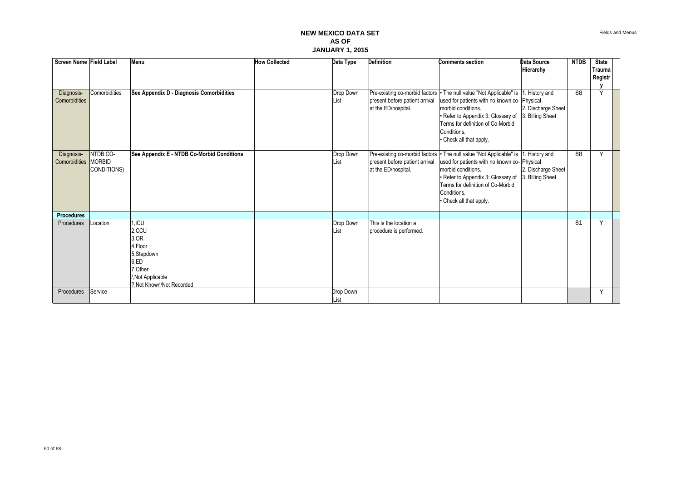| Screen Name Field Label<br>Diagnosis-<br>Comorbidities | Comorbidities                            | Menu<br>See Appendix D - Diagnosis Comorbidities                                                                       | <b>How Collected</b> | Data Type<br>Drop Down<br>List | <b>Definition</b><br>present before patient arrival<br>at the ED/hospital. | <b>Comments section</b><br>Pre-existing co-morbid factors   The null value "Not Applicable" is  1. History and<br>used for patients with no known co- Physical<br>morbid conditions.<br>· Refer to Appendix 3: Glossary of<br>Terms for definition of Co-Morbid<br>Conditions.<br>• Check all that apply. | <b>Data Source</b><br>Hierarchy<br>2. Discharge Sheet<br>3. Billing Sheet | <b>NTDB</b><br>88 | <b>State</b><br>Trauma<br>Registr<br>Υ |  |
|--------------------------------------------------------|------------------------------------------|------------------------------------------------------------------------------------------------------------------------|----------------------|--------------------------------|----------------------------------------------------------------------------|-----------------------------------------------------------------------------------------------------------------------------------------------------------------------------------------------------------------------------------------------------------------------------------------------------------|---------------------------------------------------------------------------|-------------------|----------------------------------------|--|
| Diagnosis-<br>Comorbidities                            | NTDB CO-<br><b>MORBID</b><br>CONDITIONS) | See Appendix E - NTDB Co-Morbid Conditions                                                                             |                      | Drop Down<br>List              | present before patient arrival<br>at the ED/hospital.                      | Pre-existing co-morbid factors • The null value "Not Applicable" is 1. History and<br>used for patients with no known co- Physical<br>morbid conditions.<br>• Refer to Appendix 3: Glossary of<br>Terms for definition of Co-Morbid<br>Conditions.<br>• Check all that apply.                             | 2. Discharge Sheet<br>3. Billing Sheet                                    | 88                | Y                                      |  |
| <b>Procedures</b>                                      |                                          |                                                                                                                        |                      |                                |                                                                            |                                                                                                                                                                                                                                                                                                           |                                                                           |                   |                                        |  |
| Procedures                                             | Location                                 | 1,ICU<br>2,CCU<br>3, OR<br>4.Floor<br>5,Stepdown<br>6,ED<br>7, Other<br>/, Not Applicable<br>?, Not Known/Not Recorded |                      | Drop Down<br>List              | This is the location a<br>procedure is performed.                          |                                                                                                                                                                                                                                                                                                           |                                                                           | 81                | Y                                      |  |
| Procedures                                             | Service                                  |                                                                                                                        |                      | Drop Down<br>List              |                                                                            |                                                                                                                                                                                                                                                                                                           |                                                                           |                   | Y                                      |  |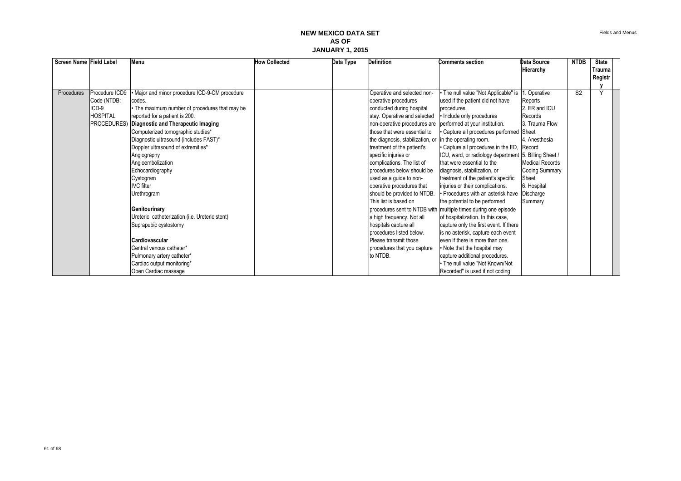| Screen Name Field Label |                   | Menu                                           | <b>How Collected</b> | Data Type | <b>Definition</b>                | <b>Comments section</b>                                        | Data Source            | <b>NTDB</b> | <b>State</b>  |  |
|-------------------------|-------------------|------------------------------------------------|----------------------|-----------|----------------------------------|----------------------------------------------------------------|------------------------|-------------|---------------|--|
|                         |                   |                                                |                      |           |                                  |                                                                | Hierarchy              |             | <b>Trauma</b> |  |
|                         |                   |                                                |                      |           |                                  |                                                                |                        |             | Registr       |  |
|                         |                   |                                                |                      |           |                                  |                                                                |                        |             |               |  |
| Procedures              | Procedure ICD9    | Major and minor procedure ICD-9-CM procedure   |                      |           | Operative and selected non-      | · The null value "Not Applicable" is                           | . Operative            | 82          | $\checkmark$  |  |
|                         | Code (NTDB:       | codes.                                         |                      |           | operative procedures             | used if the patient did not have                               | Reports                |             |               |  |
|                         | $ICD-9$           | • The maximum number of procedures that may be |                      |           | conducted during hospital        | procedures.                                                    | 2. ER and ICU          |             |               |  |
|                         | <b>HOSPITAL</b>   | reported for a patient is 200.                 |                      |           | stay. Operative and selected     | • Include only procedures                                      | Records                |             |               |  |
|                         | <b>PROCEDURES</b> | Diagnostic and Therapeutic Imaging             |                      |           | non-operative procedures are     | performed at your institution.                                 | 3. Trauma Flow         |             |               |  |
|                         |                   | Computerized tomographic studies*              |                      |           | those that were essential to     | · Capture all procedures performed                             | Sheet                  |             |               |  |
|                         |                   | Diagnostic ultrasound (includes FAST)*         |                      |           | the diagnosis, stabilization, or | in the operating room.                                         | 4. Anesthesia          |             |               |  |
|                         |                   | Doppler ultrasound of extremities*             |                      |           | treatment of the patient's       | • Capture all procedures in the ED,                            | Record                 |             |               |  |
|                         |                   | Angiography                                    |                      |           | specific injuries or             | ICU, ward, or radiology department 5. Billing Sheet /          |                        |             |               |  |
|                         |                   | Angioembolization                              |                      |           | complications. The list of       | that were essential to the                                     | <b>Medical Records</b> |             |               |  |
|                         |                   | Echocardiography                               |                      |           | procedures below should be       | diagnosis, stabilization, or                                   | <b>Coding Summary</b>  |             |               |  |
|                         |                   | Cystogram                                      |                      |           | used as a guide to non-          | treatment of the patient's specific                            | Sheet                  |             |               |  |
|                         |                   | <b>IVC</b> filter                              |                      |           | operative procedures that        | injuries or their complications.                               | 6. Hospital            |             |               |  |
|                         |                   | Urethrogram                                    |                      |           | should be provided to NTDB.      | • Procedures with an asterisk have                             | Discharge              |             |               |  |
|                         |                   |                                                |                      |           | This list is based on            | the potential to be performed                                  | Summary                |             |               |  |
|                         |                   | Genitourinary                                  |                      |           |                                  | procedures sent to NTDB with multiple times during one episode |                        |             |               |  |
|                         |                   | Ureteric catheterization (i.e. Ureteric stent) |                      |           | a high frequency. Not all        | of hospitalization. In this case,                              |                        |             |               |  |
|                         |                   | Suprapubic cystostomy                          |                      |           | hospitals capture all            | capture only the first event. If there                         |                        |             |               |  |
|                         |                   |                                                |                      |           | procedures listed below.         | is no asterisk, capture each event                             |                        |             |               |  |
|                         |                   | Cardiovascular                                 |                      |           | Please transmit those            | even if there is more than one.                                |                        |             |               |  |
|                         |                   | Central venous catheter*                       |                      |           | procedures that you capture      | . Note that the hospital may                                   |                        |             |               |  |
|                         |                   | Pulmonary artery catheter*                     |                      |           | to NTDB.                         | capture additional procedures.                                 |                        |             |               |  |
|                         |                   | Cardiac output monitoring*                     |                      |           |                                  | • The null value "Not Known/Not                                |                        |             |               |  |
|                         |                   | Open Cardiac massage                           |                      |           |                                  | Recorded" is used if not coding                                |                        |             |               |  |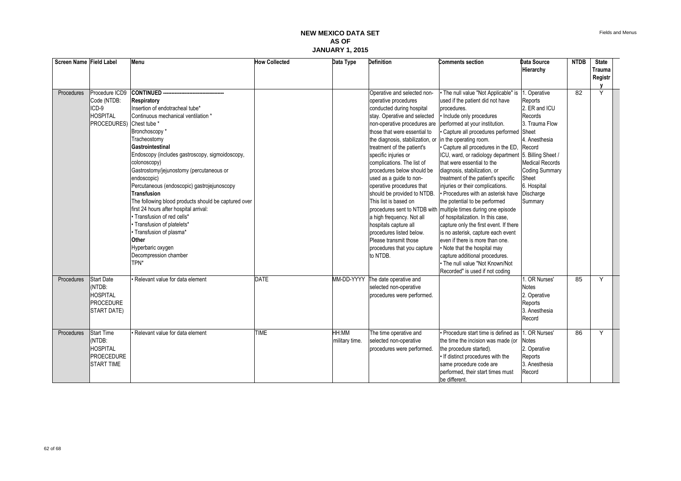| Screen Name Field Label |                    | Menu                                                 | <b>How Collected</b> | Data Type      | <b>Definition</b>                                       | <b>Comments section</b>                                        | <b>Data Source</b>     | <b>NTDB</b>     | <b>State</b> |  |
|-------------------------|--------------------|------------------------------------------------------|----------------------|----------------|---------------------------------------------------------|----------------------------------------------------------------|------------------------|-----------------|--------------|--|
|                         |                    |                                                      |                      |                |                                                         |                                                                | Hierarchy              |                 | Trauma       |  |
|                         |                    |                                                      |                      |                |                                                         |                                                                |                        |                 | Registr      |  |
|                         |                    |                                                      |                      |                |                                                         |                                                                |                        |                 |              |  |
| <b>Procedures</b>       | Procedure ICD9     | <b>CONTINUED --</b>                                  |                      |                | Operative and selected non-                             | . The null value "Not Applicable" is                           | . Operative            | $\overline{82}$ | Y            |  |
|                         | Code (NTDB:        | Respiratory                                          |                      |                | operative procedures                                    | used if the patient did not have                               | Reports                |                 |              |  |
|                         | ICD-9              | Insertion of endotracheal tube*                      |                      |                | conducted during hospital                               | procedures.                                                    | 2. ER and ICU          |                 |              |  |
|                         | <b>HOSPITAL</b>    | Continuous mechanical ventilation *                  |                      |                | stay. Operative and selected                            | • Include only procedures                                      | Records                |                 |              |  |
|                         | PROCEDURES)        | Chest tube *                                         |                      |                | non-operative procedures are                            | performed at your institution.                                 | 3. Trauma Flow         |                 |              |  |
|                         |                    | Bronchoscopy*                                        |                      |                | those that were essential to                            | · Capture all procedures performed Sheet                       |                        |                 |              |  |
|                         |                    | Tracheostomy                                         |                      |                | the diagnosis, stabilization, or in the operating room. |                                                                | 4. Anesthesia          |                 |              |  |
|                         |                    | Gastrointestinal                                     |                      |                | treatment of the patient's                              | · Capture all procedures in the ED,                            | Record                 |                 |              |  |
|                         |                    | Endoscopy (includes gastroscopy, sigmoidoscopy,      |                      |                | specific injuries or                                    | ICU, ward, or radiology department                             | 5. Billing Sheet /     |                 |              |  |
|                         |                    | colonoscopy)                                         |                      |                | complications. The list of                              | that were essential to the                                     | <b>Medical Records</b> |                 |              |  |
|                         |                    | Gastrostomy/jejunostomy (percutaneous or             |                      |                | procedures below should be                              | diagnosis, stabilization, or                                   | <b>Coding Summary</b>  |                 |              |  |
|                         |                    | endoscopic)                                          |                      |                | used as a guide to non-                                 | treatment of the patient's specific                            | Sheet                  |                 |              |  |
|                         |                    | Percutaneous (endoscopic) gastrojejunoscopy          |                      |                | operative procedures that                               | injuries or their complications.                               | 6. Hospital            |                 |              |  |
|                         |                    | Transfusion                                          |                      |                | should be provided to NTDB.                             | • Procedures with an asterisk have                             | Discharge              |                 |              |  |
|                         |                    | The following blood products should be captured over |                      |                | This list is based on                                   | the potential to be performed                                  | Summary                |                 |              |  |
|                         |                    | first 24 hours after hospital arrival:               |                      |                |                                                         | procedures sent to NTDB with multiple times during one episode |                        |                 |              |  |
|                         |                    | • Transfusion of red cells*                          |                      |                | a high frequency. Not all                               | of hospitalization. In this case,                              |                        |                 |              |  |
|                         |                    | · Transfusion of platelets*                          |                      |                | hospitals capture all                                   | capture only the first event. If there                         |                        |                 |              |  |
|                         |                    | · Transfusion of plasma*                             |                      |                | procedures listed below.                                | is no asterisk, capture each event                             |                        |                 |              |  |
|                         |                    | Other                                                |                      |                | Please transmit those                                   | even if there is more than one.                                |                        |                 |              |  |
|                         |                    | Hyperbaric oxygen                                    |                      |                | procedures that you capture                             | • Note that the hospital may                                   |                        |                 |              |  |
|                         |                    | Decompression chamber                                |                      |                | to NTDB.                                                | capture additional procedures.                                 |                        |                 |              |  |
|                         |                    | TPN*                                                 |                      |                |                                                         | . The null value "Not Known/Not                                |                        |                 |              |  |
|                         |                    |                                                      |                      |                |                                                         | Recorded" is used if not coding                                |                        |                 |              |  |
| Procedures              | <b>Start Date</b>  | Relevant value for data element                      | <b>DATE</b>          | MM-DD-YYYY     | The date operative and                                  |                                                                | . OR Nurses'           | 85              | Y            |  |
|                         | (NTDB:             |                                                      |                      |                | selected non-operative                                  |                                                                | <b>Notes</b>           |                 |              |  |
|                         | <b>HOSPITAL</b>    |                                                      |                      |                | procedures were performed.                              |                                                                | 2. Operative           |                 |              |  |
|                         | <b>PROCEDURE</b>   |                                                      |                      |                |                                                         |                                                                | Reports                |                 |              |  |
|                         | <b>START DATE)</b> |                                                      |                      |                |                                                         |                                                                | 3. Anesthesia          |                 |              |  |
|                         |                    |                                                      |                      |                |                                                         |                                                                | Record                 |                 |              |  |
|                         |                    |                                                      |                      |                |                                                         |                                                                |                        |                 |              |  |
| Procedures              | <b>Start Time</b>  | Relevant value for data element                      | <b>TIME</b>          | HH:MM          | The time operative and                                  | • Procedure start time is defined as 11. OR Nurses'            |                        | 86              | Y            |  |
|                         | (NTDB:             |                                                      |                      | military time. | selected non-operative                                  | the time the incision was made (or                             | <b>Notes</b>           |                 |              |  |
|                         | <b>HOSPITAL</b>    |                                                      |                      |                | procedures were performed.                              | the procedure started).                                        | 2. Operative           |                 |              |  |
|                         | <b>PROECEDURE</b>  |                                                      |                      |                |                                                         | • If distinct procedures with the                              | Reports                |                 |              |  |
|                         | <b>START TIME</b>  |                                                      |                      |                |                                                         | same procedure code are                                        | 3. Anesthesia          |                 |              |  |
|                         |                    |                                                      |                      |                |                                                         | performed, their start times must                              | Record                 |                 |              |  |
|                         |                    |                                                      |                      |                |                                                         | be different.                                                  |                        |                 |              |  |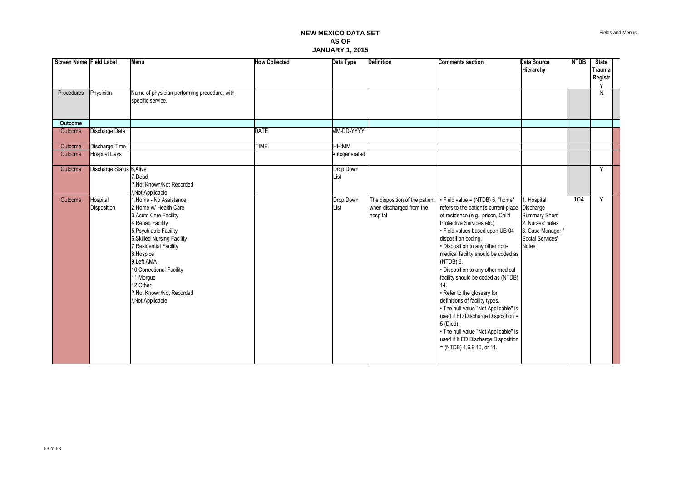| Screen Name Field Label |                           | Menu                                                                                                                                                                                                                                                                                                                     | <b>How Collected</b> | Data Type         | <b>Definition</b>                                                       | <b>Comments section</b>                                                                                                                                                                                                                                                                                                                                                                                                                                                                                                                                                                                                                                             | <b>Data Source</b><br>Hierarchy                                                                                  | <b>NTDB</b> | <b>State</b><br>Trauma<br>Registr |  |
|-------------------------|---------------------------|--------------------------------------------------------------------------------------------------------------------------------------------------------------------------------------------------------------------------------------------------------------------------------------------------------------------------|----------------------|-------------------|-------------------------------------------------------------------------|---------------------------------------------------------------------------------------------------------------------------------------------------------------------------------------------------------------------------------------------------------------------------------------------------------------------------------------------------------------------------------------------------------------------------------------------------------------------------------------------------------------------------------------------------------------------------------------------------------------------------------------------------------------------|------------------------------------------------------------------------------------------------------------------|-------------|-----------------------------------|--|
| Procedures              | Physician                 | Name of physician performing procedure, with<br>specific service.                                                                                                                                                                                                                                                        |                      |                   |                                                                         |                                                                                                                                                                                                                                                                                                                                                                                                                                                                                                                                                                                                                                                                     |                                                                                                                  |             | N                                 |  |
| <b>Outcome</b>          |                           |                                                                                                                                                                                                                                                                                                                          |                      |                   |                                                                         |                                                                                                                                                                                                                                                                                                                                                                                                                                                                                                                                                                                                                                                                     |                                                                                                                  |             |                                   |  |
| Outcome                 | Discharge Date            |                                                                                                                                                                                                                                                                                                                          | <b>DATE</b>          | MM-DD-YYYY        |                                                                         |                                                                                                                                                                                                                                                                                                                                                                                                                                                                                                                                                                                                                                                                     |                                                                                                                  |             |                                   |  |
| Outcome                 | Discharge Time            |                                                                                                                                                                                                                                                                                                                          | <b>TIME</b>          | HH:MM             |                                                                         |                                                                                                                                                                                                                                                                                                                                                                                                                                                                                                                                                                                                                                                                     |                                                                                                                  |             |                                   |  |
| Outcome                 | <b>Hospital Days</b>      |                                                                                                                                                                                                                                                                                                                          |                      | Autogenerated     |                                                                         |                                                                                                                                                                                                                                                                                                                                                                                                                                                                                                                                                                                                                                                                     |                                                                                                                  |             |                                   |  |
| Outcome                 | Discharge Status 6, Alive | 7.Dead<br>?. Not Known/Not Recorded<br>/.Not Applicable                                                                                                                                                                                                                                                                  |                      | Drop Down<br>List |                                                                         |                                                                                                                                                                                                                                                                                                                                                                                                                                                                                                                                                                                                                                                                     |                                                                                                                  |             | Y                                 |  |
| Outcome                 | Hospital<br>Disposition   | 1. Home - No Assistance<br>2. Home w/ Health Care<br>3, Acute Care Facility<br>4, Rehab Facility<br>5, Psychiatric Facility<br>6, Skilled Nursing Facility<br>Residential Facility<br>8, Hospice<br>9, Left AMA<br>10, Correctional Facility<br>11, Morgue<br>12.Other<br>?. Not Known/Not Recorded<br>/, Not Applicable |                      | Drop Down<br>List | The disposition of the patient<br>when discharged from the<br>hospital. | · Field value = (NTDB) 6, "home"<br>refers to the patient's current place Discharge<br>of residence (e.g., prison, Child<br>Protective Services etc.)<br>· Field values based upon UB-04<br>disposition coding.<br>· Disposition to any other non-<br>medical facility should be coded as<br>(NTDB) 6.<br>· Disposition to any other medical<br>facility should be coded as (NTDB)<br>14.<br>· Refer to the glossary for<br>definitions of facility types.<br>• The null value "Not Applicable" is<br>used if ED Discharge Disposition =<br>5 (Died).<br>• The null value "Not Applicable" is<br>used if If ED Discharge Disposition<br>$=$ (NTDB) 4,6,9,10, or 11. | I. Hospital<br><b>Summary Sheet</b><br>2. Nurses' notes<br>3. Case Manager /<br>Social Services'<br><b>Notes</b> | 104         | Y                                 |  |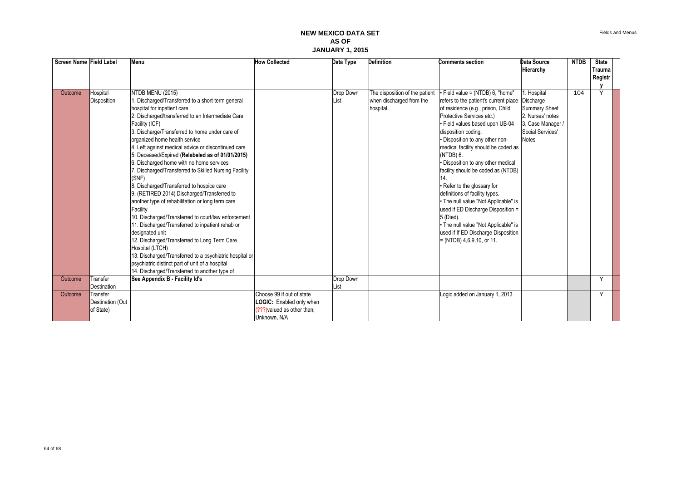| Screen Name Field Label |                                           | Menu                                                                                                                                                                                                                                                                                                                                                                                                                                                                                                                                                                                                                                                                                                                                                                                                                                                                                                                                                                                                               | <b>How Collected</b>                                                                                 | Data Type         | <b>Definition</b>                                                       | <b>Comments section</b>                                                                                                                                                                                                                                                                                                                                                                                                                                                                                                                                                                                                                                         | <b>Data Source</b>                                                                                                            | <b>NTDB</b> | <b>State</b> |  |
|-------------------------|-------------------------------------------|--------------------------------------------------------------------------------------------------------------------------------------------------------------------------------------------------------------------------------------------------------------------------------------------------------------------------------------------------------------------------------------------------------------------------------------------------------------------------------------------------------------------------------------------------------------------------------------------------------------------------------------------------------------------------------------------------------------------------------------------------------------------------------------------------------------------------------------------------------------------------------------------------------------------------------------------------------------------------------------------------------------------|------------------------------------------------------------------------------------------------------|-------------------|-------------------------------------------------------------------------|-----------------------------------------------------------------------------------------------------------------------------------------------------------------------------------------------------------------------------------------------------------------------------------------------------------------------------------------------------------------------------------------------------------------------------------------------------------------------------------------------------------------------------------------------------------------------------------------------------------------------------------------------------------------|-------------------------------------------------------------------------------------------------------------------------------|-------------|--------------|--|
|                         |                                           |                                                                                                                                                                                                                                                                                                                                                                                                                                                                                                                                                                                                                                                                                                                                                                                                                                                                                                                                                                                                                    |                                                                                                      |                   |                                                                         |                                                                                                                                                                                                                                                                                                                                                                                                                                                                                                                                                                                                                                                                 | Hierarchy                                                                                                                     |             | Trauma       |  |
|                         |                                           |                                                                                                                                                                                                                                                                                                                                                                                                                                                                                                                                                                                                                                                                                                                                                                                                                                                                                                                                                                                                                    |                                                                                                      |                   |                                                                         |                                                                                                                                                                                                                                                                                                                                                                                                                                                                                                                                                                                                                                                                 |                                                                                                                               |             | Registr      |  |
|                         |                                           |                                                                                                                                                                                                                                                                                                                                                                                                                                                                                                                                                                                                                                                                                                                                                                                                                                                                                                                                                                                                                    |                                                                                                      |                   |                                                                         |                                                                                                                                                                                                                                                                                                                                                                                                                                                                                                                                                                                                                                                                 |                                                                                                                               |             |              |  |
| Outcome                 | Hospital<br><b>Disposition</b>            | NTDB MENU (2015)<br>. Discharged/Transferred to a short-term general<br>hospital for inpatient care<br>2. Discharged/transferred to an Intermediate Care<br>Facility (ICF)<br>3. Discharge/Transferred to home under care of<br>organized home health service<br>4. Left against medical advice or discontinued care<br>5. Deceased/Expired (Relabeled as of 01/01/2015)<br>6. Discharged home with no home services<br>7. Discharged/Transferred to Skilled Nursing Facility<br>(SNF)<br>8. Discharged/Transferred to hospice care<br>9. (RETIRED 2014) Discharged/Transferred to<br>another type of rehabilitation or long term care<br>Facility<br>10. Discharged/Transferred to court/law enforcement<br>11. Discharged/Transferred to inpatient rehab or<br>designated unit<br>12. Discharged/Transferred to Long Term Care<br>Hospital (LTCH)<br>13. Discharged/Transferred to a psychiatric hospital or<br>psychiatric distinct part of unit of a hospital<br>14. Discharged/Transferred to another type of |                                                                                                      | Drop Down<br>List | The disposition of the patient<br>when discharged from the<br>hospital. | $\cdot$ Field value = (NTDB) 6, "home"<br>refers to the patient's current place<br>of residence (e.g., prison, Child<br>Protective Services etc.)<br>. Field values based upon UB-04<br>disposition coding.<br>• Disposition to any other non-<br>medical facility should be coded as<br>(NTDB) 6.<br>• Disposition to any other medical<br>facility should be coded as (NTDB)<br>14.<br>• Refer to the glossary for<br>definitions of facility types.<br>. The null value "Not Applicable" is<br>used if ED Discharge Disposition =<br>5 (Died).<br>. The null value "Not Applicable" is<br>used if If ED Discharge Disposition<br>$= (NTDB) 4,6,9,10, or 11.$ | 1. Hospital<br>Discharge<br><b>Summary Sheet</b><br>2. Nurses' notes<br>3. Case Manager /<br>Social Services'<br><b>Notes</b> | 104         | Υ            |  |
| Outcome                 | Transfer                                  | See Appendix B - Facility Id's                                                                                                                                                                                                                                                                                                                                                                                                                                                                                                                                                                                                                                                                                                                                                                                                                                                                                                                                                                                     |                                                                                                      | Drop Down         |                                                                         |                                                                                                                                                                                                                                                                                                                                                                                                                                                                                                                                                                                                                                                                 |                                                                                                                               |             | Y            |  |
|                         | Destination                               |                                                                                                                                                                                                                                                                                                                                                                                                                                                                                                                                                                                                                                                                                                                                                                                                                                                                                                                                                                                                                    |                                                                                                      | List              |                                                                         |                                                                                                                                                                                                                                                                                                                                                                                                                                                                                                                                                                                                                                                                 |                                                                                                                               |             |              |  |
| Outcome                 | Transfer<br>Destination (Out<br>of State) |                                                                                                                                                                                                                                                                                                                                                                                                                                                                                                                                                                                                                                                                                                                                                                                                                                                                                                                                                                                                                    | Choose 99 if out of state<br>LOGIC: Enabled only when<br>(???) valued as other than;<br>Unknown, N/A |                   |                                                                         | Logic added on January 1, 2013                                                                                                                                                                                                                                                                                                                                                                                                                                                                                                                                                                                                                                  |                                                                                                                               |             | Y            |  |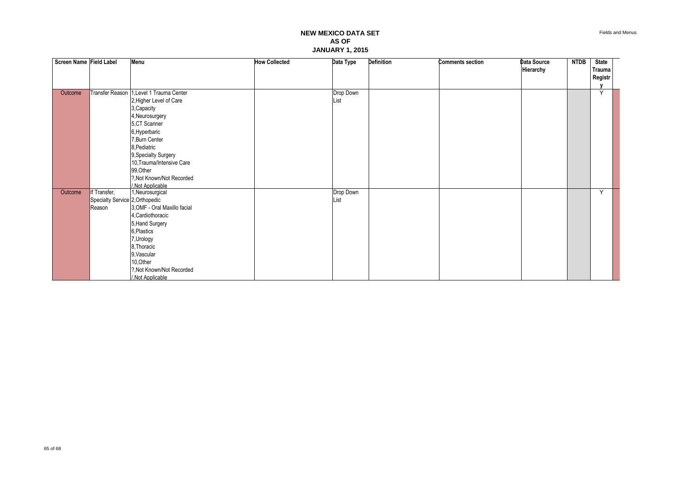| Screen Name Field Label |                                                 | Menu                         | <b>How Collected</b> | Data Type | <b>Definition</b> | <b>Comments section</b> | Data Source | <b>NTDB</b> | <b>State</b> |  |
|-------------------------|-------------------------------------------------|------------------------------|----------------------|-----------|-------------------|-------------------------|-------------|-------------|--------------|--|
|                         |                                                 |                              |                      |           |                   |                         | Hierarchy   |             | Trauma       |  |
|                         |                                                 |                              |                      |           |                   |                         |             |             | Registr      |  |
|                         |                                                 |                              |                      |           |                   |                         |             |             |              |  |
| Outcome                 | Transfer Reason                                 | 1, Level 1 Trauma Center     |                      | Drop Down |                   |                         |             |             | V            |  |
|                         |                                                 | 2, Higher Level of Care      |                      | List      |                   |                         |             |             |              |  |
|                         |                                                 | 3, Capacity                  |                      |           |                   |                         |             |             |              |  |
|                         |                                                 | 4, Neurosurgery              |                      |           |                   |                         |             |             |              |  |
|                         |                                                 | 5,CT Scanner                 |                      |           |                   |                         |             |             |              |  |
|                         |                                                 | 6, Hyperbaric                |                      |           |                   |                         |             |             |              |  |
|                         |                                                 | 7, Burn Center               |                      |           |                   |                         |             |             |              |  |
|                         |                                                 | 8, Pediatric                 |                      |           |                   |                         |             |             |              |  |
|                         |                                                 | 9, Specialty Surgery         |                      |           |                   |                         |             |             |              |  |
|                         |                                                 | 10, Trauma/Intensive Care    |                      |           |                   |                         |             |             |              |  |
|                         |                                                 | 99, Other                    |                      |           |                   |                         |             |             |              |  |
|                         |                                                 | ?, Not Known/Not Recorded    |                      |           |                   |                         |             |             |              |  |
| Outcome                 |                                                 | /.Not Applicable             |                      | Drop Down |                   |                         |             |             | Y            |  |
|                         | If Transfer,<br>Specialty Service 2, Orthopedic | 1, Neurosurgical             |                      | List      |                   |                         |             |             |              |  |
|                         | Reason                                          | 3, OMF - Oral Maxillo facial |                      |           |                   |                         |             |             |              |  |
|                         |                                                 | 4. Cardiothoracic            |                      |           |                   |                         |             |             |              |  |
|                         |                                                 | 5, Hand Surgery              |                      |           |                   |                         |             |             |              |  |
|                         |                                                 | 6, Plastics                  |                      |           |                   |                         |             |             |              |  |
|                         |                                                 | 7, Urology                   |                      |           |                   |                         |             |             |              |  |
|                         |                                                 | 8, Thoracic                  |                      |           |                   |                         |             |             |              |  |
|                         |                                                 | 9, Vascular                  |                      |           |                   |                         |             |             |              |  |
|                         |                                                 | 10, Other                    |                      |           |                   |                         |             |             |              |  |
|                         |                                                 | ?, Not Known/Not Recorded    |                      |           |                   |                         |             |             |              |  |
|                         |                                                 | /, Not Applicable            |                      |           |                   |                         |             |             |              |  |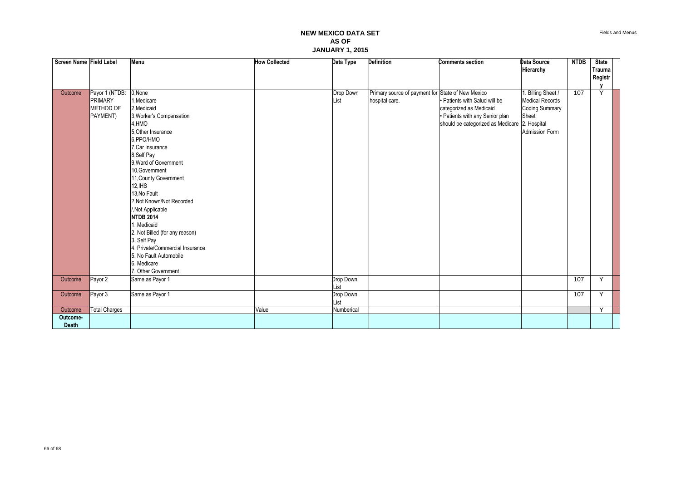| Screen Name Field Label  |                                                           | Menu                                                                                                                                                                                                                                                                                                                                                                                                                                                                                  | <b>How Collected</b> | Data Type         | <b>Definition</b>                                                   | <b>Comments section</b>                                                                                                                      | Data Source<br>Hierarchy                                                                                | <b>NTDB</b> | <b>State</b><br><b>Trauma</b> |  |
|--------------------------|-----------------------------------------------------------|---------------------------------------------------------------------------------------------------------------------------------------------------------------------------------------------------------------------------------------------------------------------------------------------------------------------------------------------------------------------------------------------------------------------------------------------------------------------------------------|----------------------|-------------------|---------------------------------------------------------------------|----------------------------------------------------------------------------------------------------------------------------------------------|---------------------------------------------------------------------------------------------------------|-------------|-------------------------------|--|
|                          |                                                           |                                                                                                                                                                                                                                                                                                                                                                                                                                                                                       |                      |                   |                                                                     |                                                                                                                                              |                                                                                                         |             | Registr                       |  |
|                          |                                                           |                                                                                                                                                                                                                                                                                                                                                                                                                                                                                       |                      |                   |                                                                     |                                                                                                                                              |                                                                                                         |             |                               |  |
| Outcome                  | Payor 1 (NTDB:<br><b>PRIMARY</b><br>METHOD OF<br>PAYMENT) | 0, None<br>1, Medicare<br>2, Medicaid<br>3, Worker's Compensation<br>4,HMO<br>5. Other Insurance<br>6.PPO/HMO<br>7.Car Insurance<br>8, Self Pay<br>9. Ward of Government<br>10.Government<br>11, County Government<br>12, IHS<br>13.No Fault<br>?. Not Known/Not Recorded<br>/, Not Applicable<br><b>NTDB 2014</b><br>1. Medicaid<br>2. Not Billed (for any reason)<br>3. Self Pay<br>4. Private/Commercial Insurance<br>5. No Fault Automobile<br>6. Medicare<br>7. Other Government |                      | Drop Down<br>List | Primary source of payment for State of New Mexico<br>hospital care. | • Patients with Salud will be<br>categorized as Medicaid<br>· Patients with any Senior plan<br>should be categorized as Medicare 2. Hospital | 1. Billing Sheet /<br><b>Medical Records</b><br><b>Coding Summary</b><br>Sheet<br><b>Admission Form</b> | 107         | Y                             |  |
| Outcome                  | Payor 2                                                   | Same as Payor 1                                                                                                                                                                                                                                                                                                                                                                                                                                                                       |                      | Drop Down<br>List |                                                                     |                                                                                                                                              |                                                                                                         | 107         | Y                             |  |
| Outcome                  | Payor 3                                                   | Same as Payor 1                                                                                                                                                                                                                                                                                                                                                                                                                                                                       |                      | Drop Down<br>List |                                                                     |                                                                                                                                              |                                                                                                         | 107         | Y                             |  |
| Outcome                  | <b>Total Charges</b>                                      |                                                                                                                                                                                                                                                                                                                                                                                                                                                                                       | Value                | Numberical        |                                                                     |                                                                                                                                              |                                                                                                         |             | Y                             |  |
| Outcome-<br><b>Death</b> |                                                           |                                                                                                                                                                                                                                                                                                                                                                                                                                                                                       |                      |                   |                                                                     |                                                                                                                                              |                                                                                                         |             |                               |  |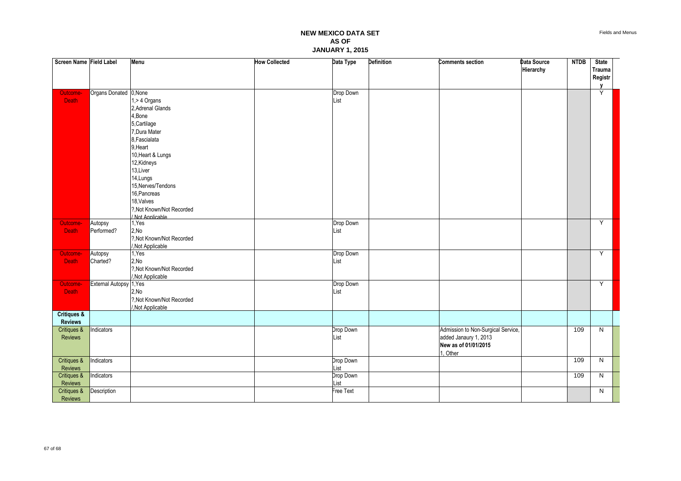| Screen Name Field Label |                         | Menu                                         | <b>How Collected</b> | Data Type         | Definition | <b>Comments section</b>            | Data Source | <b>NTDB</b> | <b>State</b>             |  |
|-------------------------|-------------------------|----------------------------------------------|----------------------|-------------------|------------|------------------------------------|-------------|-------------|--------------------------|--|
|                         |                         |                                              |                      |                   |            |                                    | Hierarchy   |             | <b>Trauma</b><br>Registr |  |
|                         |                         |                                              |                      |                   |            |                                    |             |             | $\mathbf{v}$             |  |
| Outcome-                | Organs Donated 0, None  |                                              |                      | Drop Down         |            |                                    |             |             | Ÿ                        |  |
| <b>Death</b>            |                         | 1,> 4 Organs                                 |                      | List              |            |                                    |             |             |                          |  |
|                         |                         | 2. Adrenal Glands                            |                      |                   |            |                                    |             |             |                          |  |
|                         |                         | 4,Bone                                       |                      |                   |            |                                    |             |             |                          |  |
|                         |                         | 5, Cartilage                                 |                      |                   |            |                                    |             |             |                          |  |
|                         |                         | 7, Dura Mater                                |                      |                   |            |                                    |             |             |                          |  |
|                         |                         | 8, Fascialata                                |                      |                   |            |                                    |             |             |                          |  |
|                         |                         | 9, Heart                                     |                      |                   |            |                                    |             |             |                          |  |
|                         |                         | 10, Heart & Lungs                            |                      |                   |            |                                    |             |             |                          |  |
|                         |                         | 12, Kidneys                                  |                      |                   |            |                                    |             |             |                          |  |
|                         |                         | 13, Liver                                    |                      |                   |            |                                    |             |             |                          |  |
|                         |                         | 14, Lungs                                    |                      |                   |            |                                    |             |             |                          |  |
|                         |                         | 15, Nerves/Tendons                           |                      |                   |            |                                    |             |             |                          |  |
|                         |                         | 16, Pancreas                                 |                      |                   |            |                                    |             |             |                          |  |
|                         |                         | 18, Valves                                   |                      |                   |            |                                    |             |             |                          |  |
|                         |                         | ?, Not Known/Not Recorded                    |                      |                   |            |                                    |             |             |                          |  |
|                         |                         | /.Not Applicable                             |                      |                   |            |                                    |             |             |                          |  |
| Outcome-                | Autopsy                 | 1, Yes                                       |                      | Drop Down<br>List |            |                                    |             |             | Υ                        |  |
| <b>Death</b>            | Performed?              | 2,No                                         |                      |                   |            |                                    |             |             |                          |  |
|                         |                         | ?, Not Known/Not Recorded<br>,Not Applicable |                      |                   |            |                                    |             |             |                          |  |
| Outcome-                | Autopsy                 | 1, Yes                                       |                      | Drop Down         |            |                                    |             |             | Y                        |  |
| <b>Death</b>            | Charted?                | 2, No                                        |                      | List              |            |                                    |             |             |                          |  |
|                         |                         | ?, Not Known/Not Recorded                    |                      |                   |            |                                    |             |             |                          |  |
|                         |                         | /, Not Applicable                            |                      |                   |            |                                    |             |             |                          |  |
| Outcome-                | External Autopsy 1, Yes |                                              |                      | Drop Down         |            |                                    |             |             | Y                        |  |
| <b>Death</b>            |                         | 2,No                                         |                      | List              |            |                                    |             |             |                          |  |
|                         |                         | ?, Not Known/Not Recorded                    |                      |                   |            |                                    |             |             |                          |  |
|                         |                         | Not Applicable                               |                      |                   |            |                                    |             |             |                          |  |
| <b>Critiques &amp;</b>  |                         |                                              |                      |                   |            |                                    |             |             |                          |  |
| <b>Reviews</b>          |                         |                                              |                      |                   |            |                                    |             |             |                          |  |
| Critiques &             | Indicators              |                                              |                      | Drop Down         |            | Admission to Non-Surgical Service, |             | 109         | N                        |  |
| <b>Reviews</b>          |                         |                                              |                      | List              |            | added Janaury 1, 2013              |             |             |                          |  |
|                         |                         |                                              |                      |                   |            | New as of 01/01/2015               |             |             |                          |  |
|                         |                         |                                              |                      |                   |            | 1, Other                           |             |             |                          |  |
| Critiques &             | Indicators              |                                              |                      | Drop Down         |            |                                    |             | 109         | N                        |  |
| Reviews                 |                         |                                              |                      | List              |            |                                    |             |             |                          |  |
| Critiques &             | Indicators              |                                              |                      | Drop Down         |            |                                    |             | 109         | N                        |  |
| Reviews                 |                         |                                              |                      | List              |            |                                    |             |             |                          |  |
| Critiques &             | Description             |                                              |                      | Free Text         |            |                                    |             |             | N                        |  |
| Reviews                 |                         |                                              |                      |                   |            |                                    |             |             |                          |  |